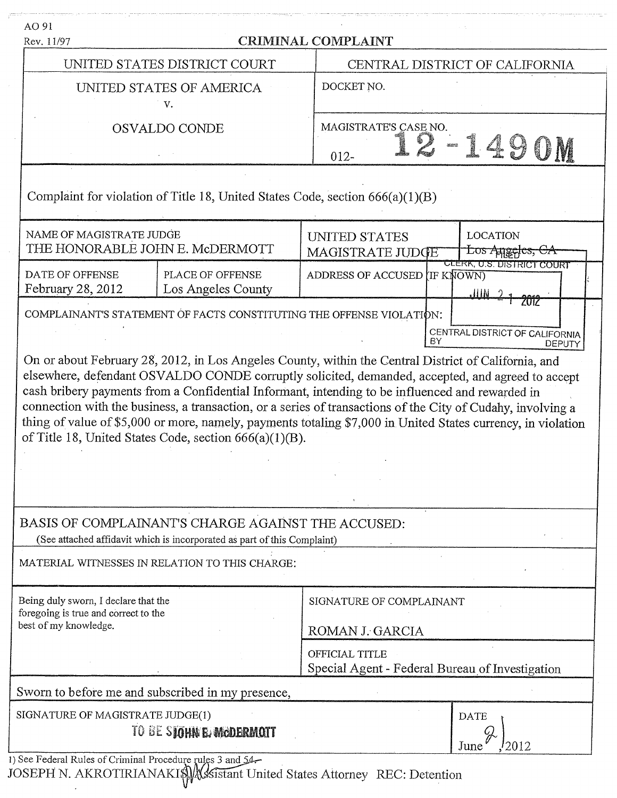| Rev. 11/97                                                                                            |                                                                                                                                                                                                                                                                                                                                                                                                                                                                                                                                                                                                                                                                                                                                                                                          | <b>CRIMINAL COMPLAINT</b>                                     |                                                 |  |
|-------------------------------------------------------------------------------------------------------|------------------------------------------------------------------------------------------------------------------------------------------------------------------------------------------------------------------------------------------------------------------------------------------------------------------------------------------------------------------------------------------------------------------------------------------------------------------------------------------------------------------------------------------------------------------------------------------------------------------------------------------------------------------------------------------------------------------------------------------------------------------------------------------|---------------------------------------------------------------|-------------------------------------------------|--|
|                                                                                                       | UNITED STATES DISTRICT COURT                                                                                                                                                                                                                                                                                                                                                                                                                                                                                                                                                                                                                                                                                                                                                             |                                                               | CENTRAL DISTRICT OF CALIFORNIA                  |  |
| UNITED STATES OF AMERICA<br>v.                                                                        |                                                                                                                                                                                                                                                                                                                                                                                                                                                                                                                                                                                                                                                                                                                                                                                          | DOCKET NO.                                                    |                                                 |  |
| OSVALDO CONDE                                                                                         |                                                                                                                                                                                                                                                                                                                                                                                                                                                                                                                                                                                                                                                                                                                                                                                          | MAGISTRATE'S CASE NO.<br>$012 -$                              | 149                                             |  |
|                                                                                                       | Complaint for violation of Title 18, United States Code, section $666(a)(1)(B)$                                                                                                                                                                                                                                                                                                                                                                                                                                                                                                                                                                                                                                                                                                          |                                                               |                                                 |  |
| NAME OF MAGISTRATE JUDGE                                                                              | THE HONORABLE JOHN E. McDERMOTT                                                                                                                                                                                                                                                                                                                                                                                                                                                                                                                                                                                                                                                                                                                                                          | UNITED STATES<br>MAGISTRATE JUDGE                             | <b>LOCATION</b><br>Los Angeles, CA              |  |
| DATE OF OFFENSE<br>February 28, 2012                                                                  | PLACE OF OFFENSE<br>Los Angeles County                                                                                                                                                                                                                                                                                                                                                                                                                                                                                                                                                                                                                                                                                                                                                   | ADDRESS OF ACCUSED IF KNOWN)                                  | CLERK, U.S. DISTRICT COURT<br>.IIIN             |  |
|                                                                                                       | COMPLAINANT'S STATEMENT OF FACTS CONSTITUTING THE OFFENSE VIOLATION:                                                                                                                                                                                                                                                                                                                                                                                                                                                                                                                                                                                                                                                                                                                     | BY                                                            | CENTRAL DISTRICT OF CALIFORNIA<br><b>DEPUTY</b> |  |
|                                                                                                       | On or about February 28, 2012, in Los Angeles County, within the Central District of California, and<br>elsewhere, defendant OSVALDO CONDE corruptly solicited, demanded, accepted, and agreed to accept<br>cash bribery payments from a Confidential Informant, intending to be influenced and rewarded in<br>connection with the business, a transaction, or a series of transactions of the City of Cudahy, involving a<br>thing of value of \$5,000 or more, namely, payments totaling \$7,000 in United States currency, in violation<br>of Title 18, United States Code, section 666(a)(1)(B).<br>BASIS OF COMPLAINANT'S CHARGE AGAINST THE ACCUSED:<br>(See attached affidavit which is incorporated as part of this Complaint)<br>MATERIAL WITNESSES IN RELATION TO THIS CHARGE: |                                                               |                                                 |  |
|                                                                                                       |                                                                                                                                                                                                                                                                                                                                                                                                                                                                                                                                                                                                                                                                                                                                                                                          | SIGNATURE OF COMPLAINANT<br>ROMAN J. GARCIA<br>OFFICIAL TITLE |                                                 |  |
| Being duly sworn, I declare that the<br>foregoing is true and correct to the<br>best of my knowledge. | Sworn to before me and subscribed in my presence,                                                                                                                                                                                                                                                                                                                                                                                                                                                                                                                                                                                                                                                                                                                                        | Special Agent - Federal Bureau of Investigation               |                                                 |  |

 $\mathbf{J}$ vr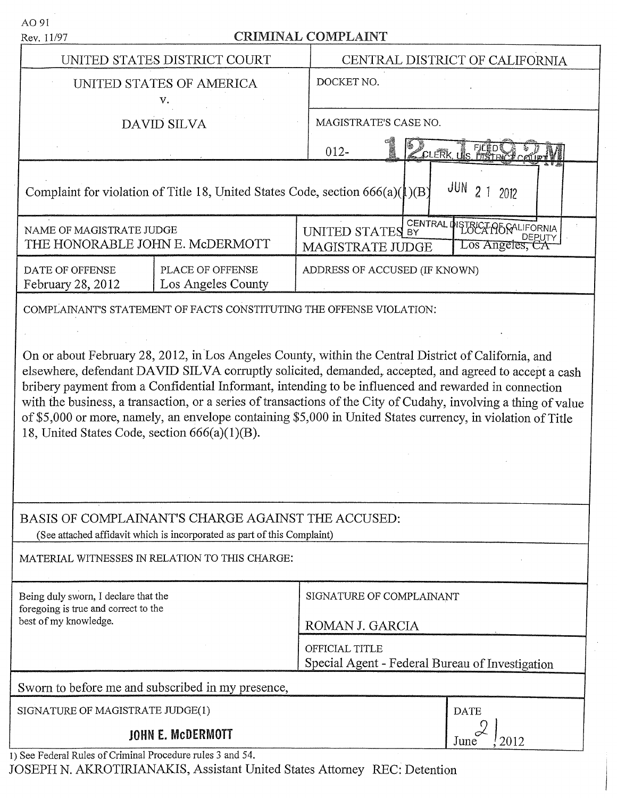| Rev. 11/97                                                    | <b>CRIMINAL COMPLAINT</b>                                                                                                      |                                                                                                                                                                                                                                                                                                                                                                                                                                                                                                                                                         |  |  |
|---------------------------------------------------------------|--------------------------------------------------------------------------------------------------------------------------------|---------------------------------------------------------------------------------------------------------------------------------------------------------------------------------------------------------------------------------------------------------------------------------------------------------------------------------------------------------------------------------------------------------------------------------------------------------------------------------------------------------------------------------------------------------|--|--|
|                                                               | UNITED STATES DISTRICT COURT                                                                                                   | CENTRAL DISTRICT OF CALIFORNIA                                                                                                                                                                                                                                                                                                                                                                                                                                                                                                                          |  |  |
| UNITED STATES OF AMERICA<br>v.                                |                                                                                                                                | DOCKET NO.                                                                                                                                                                                                                                                                                                                                                                                                                                                                                                                                              |  |  |
| <b>DAVID SILVA</b>                                            |                                                                                                                                | MAGISTRATE'S CASE NO.                                                                                                                                                                                                                                                                                                                                                                                                                                                                                                                                   |  |  |
|                                                               |                                                                                                                                | CLERK US DISTRICT CO<br>$012 -$                                                                                                                                                                                                                                                                                                                                                                                                                                                                                                                         |  |  |
|                                                               | Complaint for violation of Title 18, United States Code, section $666(a)(1)(B)$                                                | JUN<br>2012                                                                                                                                                                                                                                                                                                                                                                                                                                                                                                                                             |  |  |
| NAME OF MAGISTRATE JUDGE<br>THE HONORABLE JOHN E. McDERMOTT   |                                                                                                                                | CENTRAL DISTRICT PORALIFORNIA<br>UNITED STATES BY<br>∠os Ange<br>MAGISTRATE JUDGE                                                                                                                                                                                                                                                                                                                                                                                                                                                                       |  |  |
| DATE OF OFFENSE<br>February 28, 2012                          | PLACE OF OFFENSE<br>Los Angeles County                                                                                         | ADDRESS OF ACCUSED (IF KNOWN)                                                                                                                                                                                                                                                                                                                                                                                                                                                                                                                           |  |  |
| 18, United States Code, section 666(a)(1)(B).                 | BASIS OF COMPLAINANT'S CHARGE AGAINST THE ACCUSED:<br>(See attached affidavit which is incorporated as part of this Complaint) | On or about February 28, 2012, in Los Angeles County, within the Central District of California, and<br>elsewhere, defendant DAVID SILVA corruptly solicited, demanded, accepted, and agreed to accept a cash<br>bribery payment from a Confidential Informant, intending to be influenced and rewarded in connection<br>with the business, a transaction, or a series of transactions of the City of Cudahy, involving a thing of value<br>of \$5,000 or more, namely, an envelope containing \$5,000 in United States currency, in violation of Title |  |  |
| MATERIAL WITNESSES IN RELATION TO THIS CHARGE:                |                                                                                                                                |                                                                                                                                                                                                                                                                                                                                                                                                                                                                                                                                                         |  |  |
| Being duly sworn, I declare that the                          |                                                                                                                                | SIGNATURE OF COMPLAINANT                                                                                                                                                                                                                                                                                                                                                                                                                                                                                                                                |  |  |
| foregoing is true and correct to the<br>best of my knowledge. |                                                                                                                                |                                                                                                                                                                                                                                                                                                                                                                                                                                                                                                                                                         |  |  |
|                                                               |                                                                                                                                | ROMAN J. GARCIA<br>OFFICIAL TITLE<br>Special Agent - Federal Bureau of Investigation                                                                                                                                                                                                                                                                                                                                                                                                                                                                    |  |  |
|                                                               | Sworn to before me and subscribed in my presence,                                                                              |                                                                                                                                                                                                                                                                                                                                                                                                                                                                                                                                                         |  |  |
| SIGNATURE OF MAGISTRATE JUDGE(1)                              |                                                                                                                                | <b>DATE</b>                                                                                                                                                                                                                                                                                                                                                                                                                                                                                                                                             |  |  |

JOSEPH N. AKROTIRIANAKIS, Assistant United States Attorney REC: Detention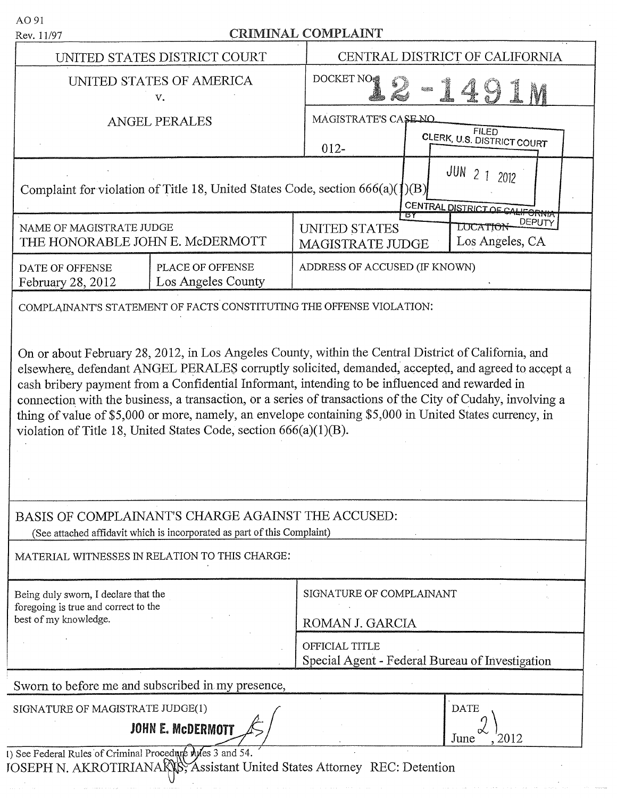| AO 91<br>Rev. 11/97                                                                                   |                                                                                                                                | <b>CRIMINAL COMPLAINT</b>                                                                                                                                                                                                                                                                                                                                                                                                      |  |
|-------------------------------------------------------------------------------------------------------|--------------------------------------------------------------------------------------------------------------------------------|--------------------------------------------------------------------------------------------------------------------------------------------------------------------------------------------------------------------------------------------------------------------------------------------------------------------------------------------------------------------------------------------------------------------------------|--|
| UNITED STATES DISTRICT COURT                                                                          |                                                                                                                                | CENTRAL DISTRICT OF CALIFORNIA                                                                                                                                                                                                                                                                                                                                                                                                 |  |
| UNITED STATES OF AMERICA<br>v.                                                                        |                                                                                                                                | <b>DOCKET NO</b>                                                                                                                                                                                                                                                                                                                                                                                                               |  |
| <b>ANGEL PERALES</b>                                                                                  |                                                                                                                                | MAGISTRATE'S CASE NO<br><b>FILED</b><br>CLERK, U.S. DISTRICT COURT<br>$012 -$                                                                                                                                                                                                                                                                                                                                                  |  |
|                                                                                                       | Complaint for violation of Title 18, United States Code, section $666(a)(1)(B)$                                                | JUN<br>$\mathcal{P}$<br>2012<br>CENTRAL DISTRICT OF CALIFORNIA                                                                                                                                                                                                                                                                                                                                                                 |  |
| NAME OF MAGISTRATE JUDGE<br>THE HONORABLE JOHN E. McDERMOTT                                           |                                                                                                                                | DEPUTY<br><b>UNITED STATES</b><br>LOCATION<br>Los Angeles, CA<br><b>MAGISTRATE JUDGE</b>                                                                                                                                                                                                                                                                                                                                       |  |
| DATE OF OFFENSE<br>February 28, 2012                                                                  | PLACE OF OFFENSE<br>Los Angeles County                                                                                         | ADDRESS OF ACCUSED (IF KNOWN)                                                                                                                                                                                                                                                                                                                                                                                                  |  |
|                                                                                                       | COMPLAINANT'S STATEMENT OF FACTS CONSTITUTING THE OFFENSE VIOLATION:                                                           |                                                                                                                                                                                                                                                                                                                                                                                                                                |  |
|                                                                                                       | violation of Title 18, United States Code, section 666(a)(1)(B).                                                               | elsewhere, defendant ANGEL PERALES corruptly solicited, demanded, accepted, and agreed to accept a<br>cash bribery payment from a Confidential Informant, intending to be influenced and rewarded in<br>connection with the business, a transaction, or a series of transactions of the City of Cudahy, involving a<br>thing of value of \$5,000 or more, namely, an envelope containing \$5,000 in United States currency, in |  |
|                                                                                                       | BASIS OF COMPLAINANT'S CHARGE AGAINST THE ACCUSED:<br>(See attached affidavit which is incorporated as part of this Complaint) |                                                                                                                                                                                                                                                                                                                                                                                                                                |  |
|                                                                                                       | MATERIAL WITNESSES IN RELATION TO THIS CHARGE:                                                                                 |                                                                                                                                                                                                                                                                                                                                                                                                                                |  |
| Being duly sworn, I declare that the<br>foregoing is true and correct to the<br>best of my knowledge. |                                                                                                                                | SIGNATURE OF COMPLAINANT<br>ROMAN J. GARCIA<br>OFFICIAL TITLE<br>Special Agent - Federal Bureau of Investigation                                                                                                                                                                                                                                                                                                               |  |
|                                                                                                       | Sworn to before me and subscribed in my presence,                                                                              |                                                                                                                                                                                                                                                                                                                                                                                                                                |  |
| SIGNATURE OF MAGISTRATE JUDGE(1)                                                                      | <b>JOHN E. MCDERMOTT</b>                                                                                                       | <b>DATE</b><br>2012<br>June                                                                                                                                                                                                                                                                                                                                                                                                    |  |
| See Federal Rules of Criminal Procedure wiles 3 and 54.                                               |                                                                                                                                | OSEPH N. AKROTIRIANAKAS, Assistant United States Attorney REC: Detention                                                                                                                                                                                                                                                                                                                                                       |  |

1 I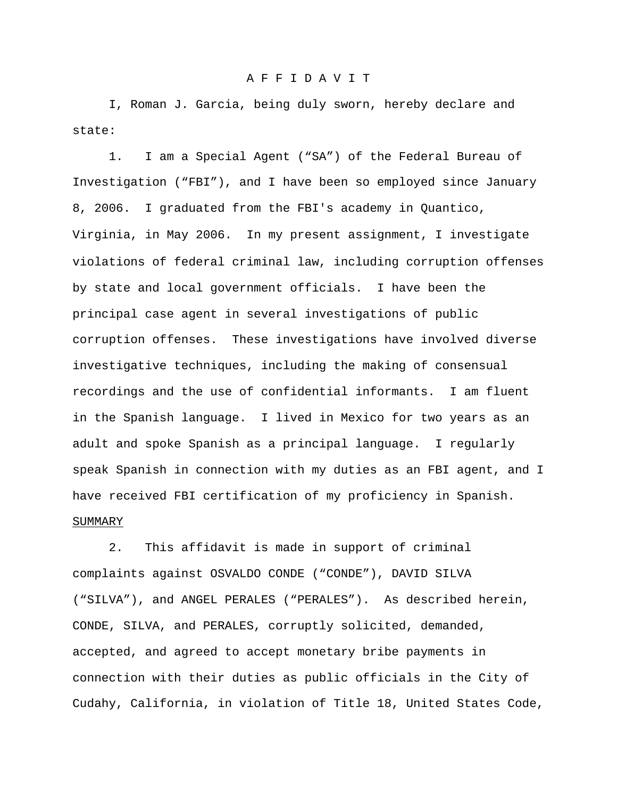### A F F I D A V I T

I, Roman J. Garcia, being duly sworn, hereby declare and state:

1. I am a Special Agent ("SA") of the Federal Bureau of Investigation ("FBI"), and I have been so employed since January 8, 2006. I graduated from the FBI's academy in Quantico, Virginia, in May 2006. In my present assignment, I investigate violations of federal criminal law, including corruption offenses by state and local government officials. I have been the principal case agent in several investigations of public corruption offenses. These investigations have involved diverse investigative techniques, including the making of consensual recordings and the use of confidential informants. I am fluent in the Spanish language. I lived in Mexico for two years as an adult and spoke Spanish as a principal language. I regularly speak Spanish in connection with my duties as an FBI agent, and I have received FBI certification of my proficiency in Spanish. SUMMARY

2. This affidavit is made in support of criminal complaints against OSVALDO CONDE ("CONDE"), DAVID SILVA ("SILVA"), and ANGEL PERALES ("PERALES"). As described herein, CONDE, SILVA, and PERALES, corruptly solicited, demanded, accepted, and agreed to accept monetary bribe payments in connection with their duties as public officials in the City of Cudahy, California, in violation of Title 18, United States Code,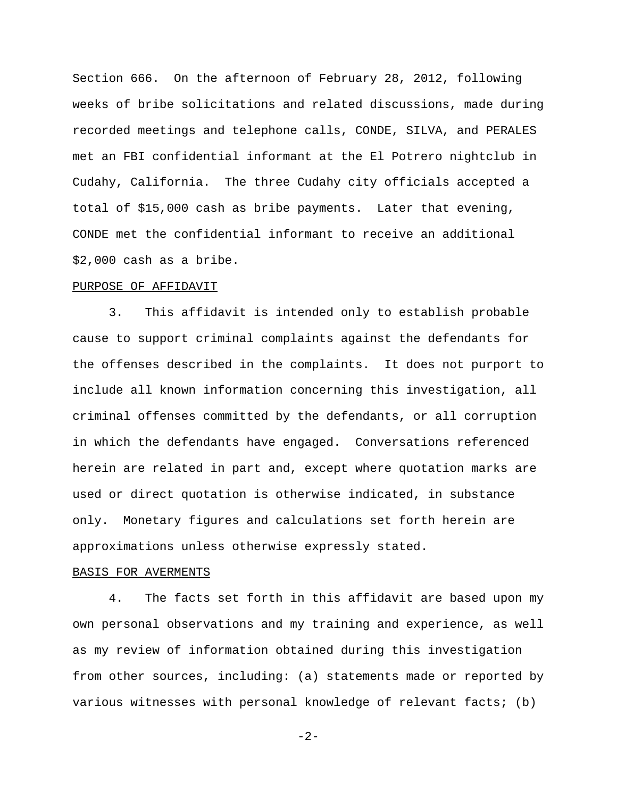Section 666. On the afternoon of February 28, 2012, following weeks of bribe solicitations and related discussions, made during recorded meetings and telephone calls, CONDE, SILVA, and PERALES met an FBI confidential informant at the El Potrero nightclub in Cudahy, California. The three Cudahy city officials accepted a total of \$15,000 cash as bribe payments. Later that evening, CONDE met the confidential informant to receive an additional \$2,000 cash as a bribe.

#### PURPOSE OF AFFIDAVIT

3. This affidavit is intended only to establish probable cause to support criminal complaints against the defendants for the offenses described in the complaints. It does not purport to include all known information concerning this investigation, all criminal offenses committed by the defendants, or all corruption in which the defendants have engaged. Conversations referenced herein are related in part and, except where quotation marks are used or direct quotation is otherwise indicated, in substance only. Monetary figures and calculations set forth herein are approximations unless otherwise expressly stated.

### BASIS FOR AVERMENTS

4. The facts set forth in this affidavit are based upon my own personal observations and my training and experience, as well as my review of information obtained during this investigation from other sources, including: (a) statements made or reported by various witnesses with personal knowledge of relevant facts; (b)

-2-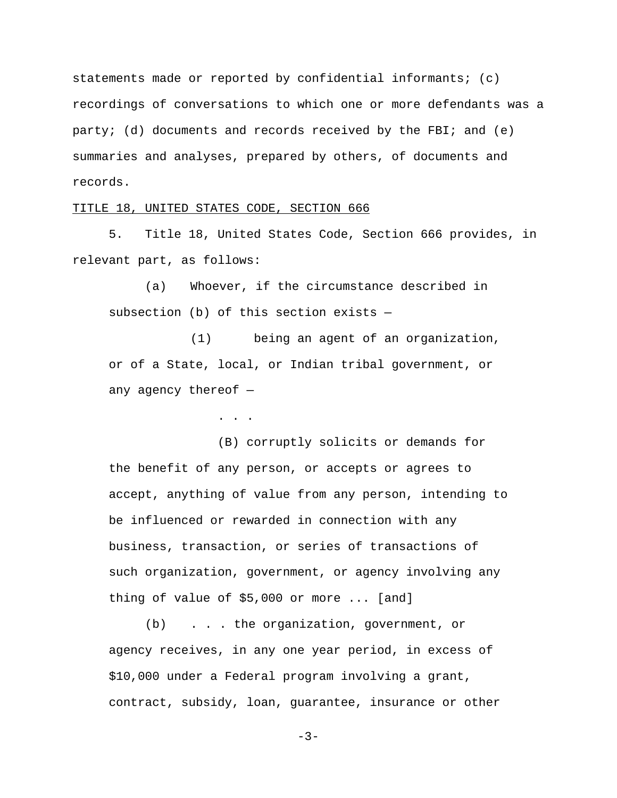statements made or reported by confidential informants; (c) recordings of conversations to which one or more defendants was a party; (d) documents and records received by the FBI; and  $(e)$ summaries and analyses, prepared by others, of documents and records.

# TITLE 18, UNITED STATES CODE, SECTION 666

5. Title 18, United States Code, Section 666 provides, in relevant part, as follows:

(a) Whoever, if the circumstance described in subsection (b) of this section exists —

(1) being an agent of an organization, or of a State, local, or Indian tribal government, or any agency thereof  $-$ 

. . .

(B) corruptly solicits or demands for the benefit of any person, or accepts or agrees to accept, anything of value from any person, intending to be influenced or rewarded in connection with any business, transaction, or series of transactions of such organization, government, or agency involving any thing of value of \$5,000 or more ... [and]

(b) . . . the organization, government, or agency receives, in any one year period, in excess of \$10,000 under a Federal program involving a grant, contract, subsidy, loan, guarantee, insurance or other

-3-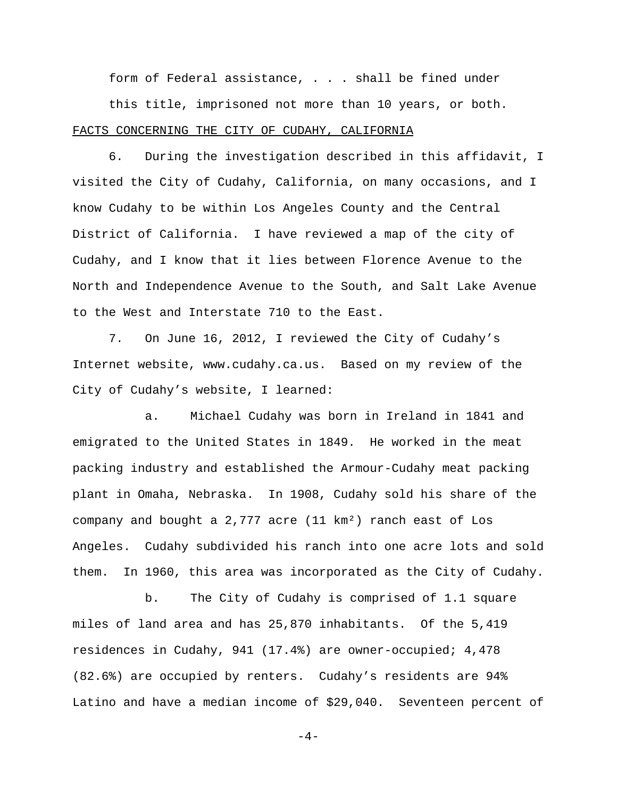form of Federal assistance, . . . shall be fined under

this title, imprisoned not more than 10 years, or both. FACTS CONCERNING THE CITY OF CUDAHY, CALIFORNIA

6. During the investigation described in this affidavit, I visited the City of Cudahy, California, on many occasions, and I know Cudahy to be within Los Angeles County and the Central District of California. I have reviewed a map of the city of Cudahy, and I know that it lies between Florence Avenue to the North and Independence Avenue to the South, and Salt Lake Avenue to the West and Interstate 710 to the East.

7. On June 16, 2012, I reviewed the City of Cudahy's Internet website, www.cudahy.ca.us. Based on my review of the City of Cudahy's website, I learned:

a. Michael Cudahy was born in Ireland in 1841 and emigrated to the United States in 1849. He worked in the meat packing industry and established the Armour-Cudahy meat packing plant in Omaha, Nebraska. In 1908, Cudahy sold his share of the company and bought a 2,777 acre (11 km²) ranch east of Los Angeles. Cudahy subdivided his ranch into one acre lots and sold them. In 1960, this area was incorporated as the City of Cudahy.

b. The City of Cudahy is comprised of 1.1 square miles of land area and has 25,870 inhabitants. Of the 5,419 residences in Cudahy, 941 (17.4%) are owner-occupied; 4,478 (82.6%) are occupied by renters. Cudahy's residents are 94% Latino and have a median income of \$29,040. Seventeen percent of

 $-4-$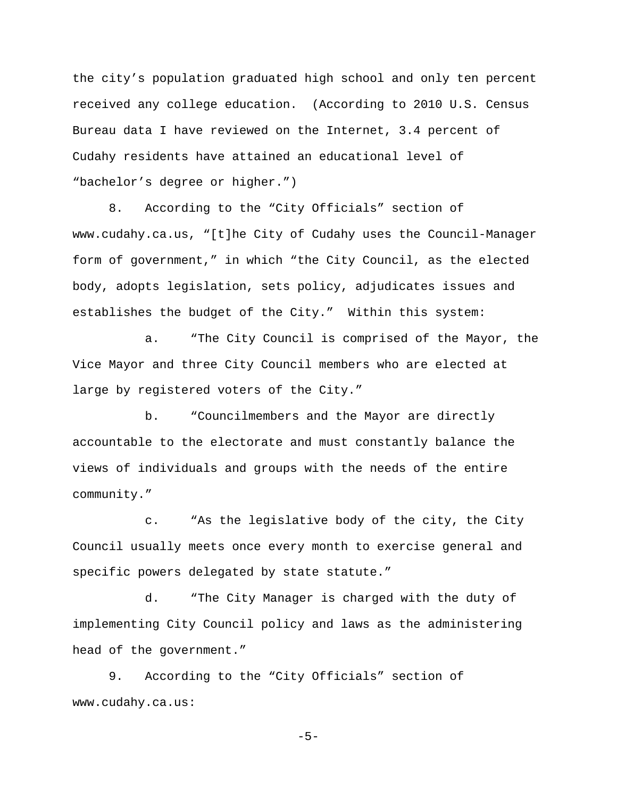the city's population graduated high school and only ten percent received any college education. (According to 2010 U.S. Census Bureau data I have reviewed on the Internet, 3.4 percent of Cudahy residents have attained an educational level of "bachelor's degree or higher.")

8. According to the "City Officials" section of www.cudahy.ca.us, "[t]he City of Cudahy uses the Council-Manager form of government," in which "the City Council, as the elected body, adopts legislation, sets policy, adjudicates issues and establishes the budget of the City." Within this system:

a. "The City Council is comprised of the Mayor, the Vice Mayor and three City Council members who are elected at large by registered voters of the City."

b. "Councilmembers and the Mayor are directly accountable to the electorate and must constantly balance the views of individuals and groups with the needs of the entire community."

c. "As the legislative body of the city, the City Council usually meets once every month to exercise general and specific powers delegated by state statute."

d. "The City Manager is charged with the duty of implementing City Council policy and laws as the administering head of the government."

9. According to the "City Officials" section of www.cudahy.ca.us:

-5-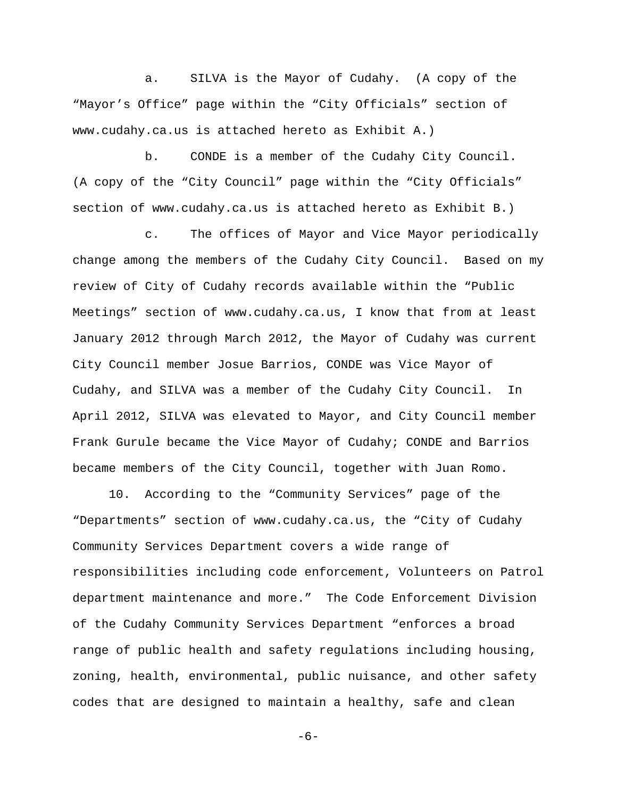a. SILVA is the Mayor of Cudahy. (A copy of the "Mayor's Office" page within the "City Officials" section of www.cudahy.ca.us is attached hereto as Exhibit A.)

b. CONDE is a member of the Cudahy City Council. (A copy of the "City Council" page within the "City Officials" section of www.cudahy.ca.us is attached hereto as Exhibit B.)

c. The offices of Mayor and Vice Mayor periodically change among the members of the Cudahy City Council. Based on my review of City of Cudahy records available within the "Public Meetings" section of www.cudahy.ca.us, I know that from at least January 2012 through March 2012, the Mayor of Cudahy was current City Council member Josue Barrios, CONDE was Vice Mayor of Cudahy, and SILVA was a member of the Cudahy City Council. In April 2012, SILVA was elevated to Mayor, and City Council member Frank Gurule became the Vice Mayor of Cudahy; CONDE and Barrios became members of the City Council, together with Juan Romo.

10. According to the "Community Services" page of the "Departments" section of www.cudahy.ca.us, the "City of Cudahy Community Services Department covers a wide range of responsibilities including code enforcement, Volunteers on Patrol department maintenance and more." The Code Enforcement Division of the Cudahy Community Services Department "enforces a broad range of public health and safety regulations including housing, zoning, health, environmental, public nuisance, and other safety codes that are designed to maintain a healthy, safe and clean

-6-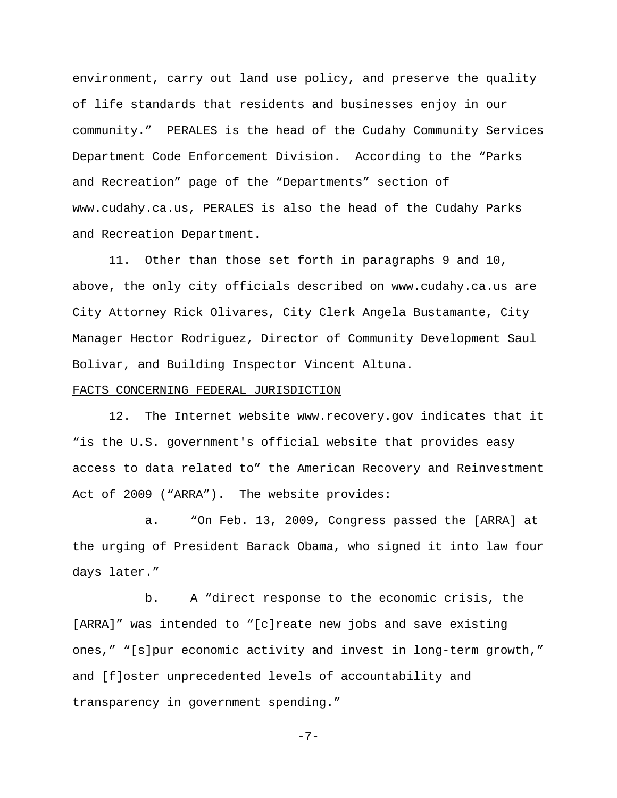environment, carry out land use policy, and preserve the quality of life standards that residents and businesses enjoy in our community." PERALES is the head of the Cudahy Community Services Department Code Enforcement Division. According to the "Parks and Recreation" page of the "Departments" section of www.cudahy.ca.us, PERALES is also the head of the Cudahy Parks and Recreation Department.

11. Other than those set forth in paragraphs 9 and 10, above, the only city officials described on www.cudahy.ca.us are City Attorney Rick Olivares, City Clerk Angela Bustamante, City Manager Hector Rodriguez, Director of Community Development Saul Bolivar, and Building Inspector Vincent Altuna.

## FACTS CONCERNING FEDERAL JURISDICTION

12. The Internet website www.recovery.gov indicates that it "is the U.S. government's official website that provides easy access to data related to" the American Recovery and Reinvestment Act of 2009 ("ARRA"). The website provides:

a. "On Feb. 13, 2009, Congress passed the [ARRA] at the urging of President Barack Obama, who signed it into law four days later."

b. A "direct response to the economic crisis, the [ARRA]" was intended to "[c]reate new jobs and save existing ones," "[s]pur economic activity and invest in long-term growth," and [f]oster unprecedented levels of accountability and transparency in government spending."

$$
-7- \nonumber\\
$$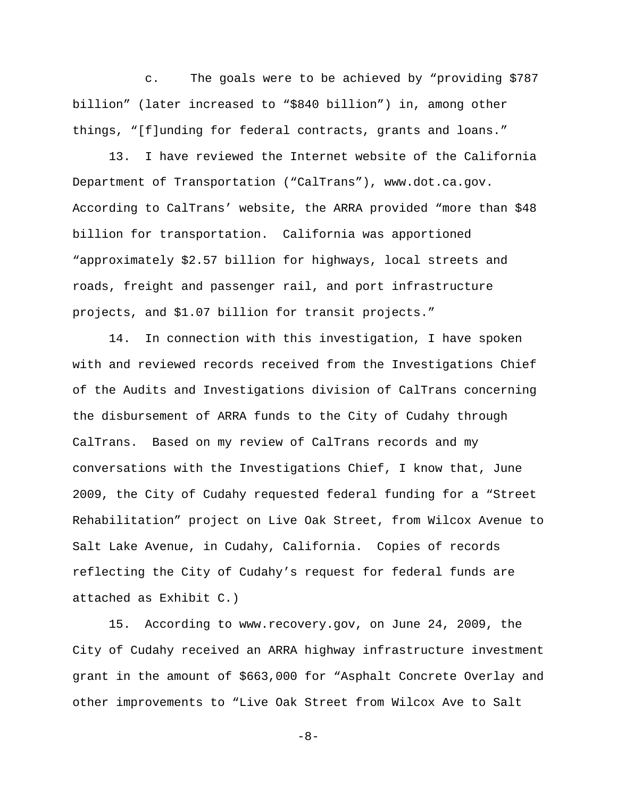c. The goals were to be achieved by "providing \$787 billion" (later increased to "\$840 billion") in, among other things, "[f]unding for federal contracts, grants and loans."

13. I have reviewed the Internet website of the California Department of Transportation ("CalTrans"), www.dot.ca.gov. According to CalTrans' website, the ARRA provided "more than \$48 billion for transportation. California was apportioned "approximately \$2.57 billion for highways, local streets and roads, freight and passenger rail, and port infrastructure projects, and \$1.07 billion for transit projects."

14. In connection with this investigation, I have spoken with and reviewed records received from the Investigations Chief of the Audits and Investigations division of CalTrans concerning the disbursement of ARRA funds to the City of Cudahy through CalTrans. Based on my review of CalTrans records and my conversations with the Investigations Chief, I know that, June 2009, the City of Cudahy requested federal funding for a "Street Rehabilitation" project on Live Oak Street, from Wilcox Avenue to Salt Lake Avenue, in Cudahy, California. Copies of records reflecting the City of Cudahy's request for federal funds are attached as Exhibit C.)

15. According to www.recovery.gov, on June 24, 2009, the City of Cudahy received an ARRA highway infrastructure investment grant in the amount of \$663,000 for "Asphalt Concrete Overlay and other improvements to "Live Oak Street from Wilcox Ave to Salt

-8-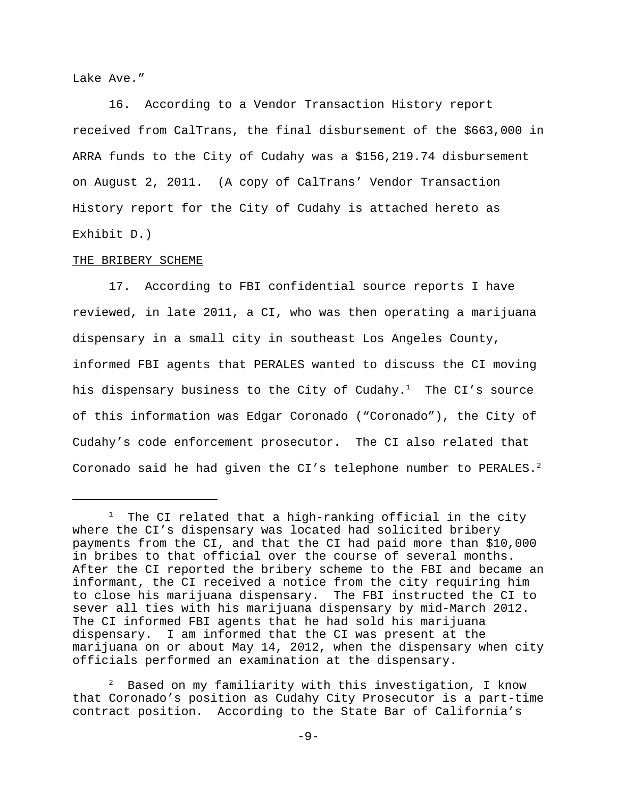Lake Ave."

16. According to a Vendor Transaction History report received from CalTrans, the final disbursement of the \$663,000 in ARRA funds to the City of Cudahy was a \$156,219.74 disbursement on August 2, 2011. (A copy of CalTrans' Vendor Transaction History report for the City of Cudahy is attached hereto as Exhibit D.)

# THE BRIBERY SCHEME

17. According to FBI confidential source reports I have reviewed, in late 2011, a CI, who was then operating a marijuana dispensary in a small city in southeast Los Angeles County, informed FBI agents that PERALES wanted to discuss the CI moving his dispensary business to the City of Cudahy.<sup>1</sup> The CI's source of this information was Edgar Coronado ("Coronado"), the City of Cudahy's code enforcement prosecutor. The CI also related that Coronado said he had given the CI's telephone number to PERALES.<sup>2</sup>

 $^1$  The CI related that a high-ranking official in the city where the CI's dispensary was located had solicited bribery payments from the CI, and that the CI had paid more than \$10,000 in bribes to that official over the course of several months. After the CI reported the bribery scheme to the FBI and became an informant, the CI received a notice from the city requiring him to close his marijuana dispensary. The FBI instructed the CI to sever all ties with his marijuana dispensary by mid-March 2012. The CI informed FBI agents that he had sold his marijuana dispensary. I am informed that the CI was present at the marijuana on or about May 14, 2012, when the dispensary when city officials performed an examination at the dispensary.

Based on my familiarity with this investigation, I know that Coronado's position as Cudahy City Prosecutor is a part-time contract position. According to the State Bar of California's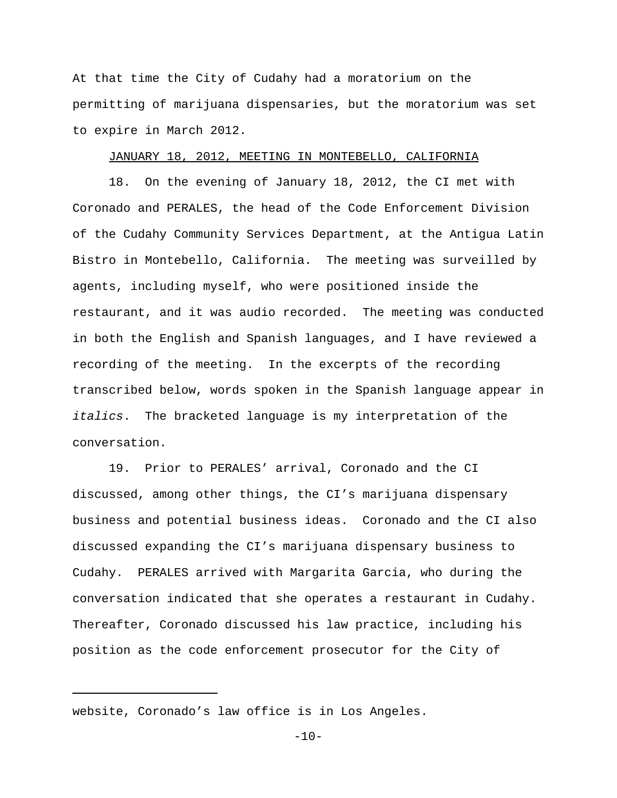At that time the City of Cudahy had a moratorium on the permitting of marijuana dispensaries, but the moratorium was set to expire in March 2012.

# JANUARY 18, 2012, MEETING IN MONTEBELLO, CALIFORNIA

18. On the evening of January 18, 2012, the CI met with Coronado and PERALES, the head of the Code Enforcement Division of the Cudahy Community Services Department, at the Antigua Latin Bistro in Montebello, California. The meeting was surveilled by agents, including myself, who were positioned inside the restaurant, and it was audio recorded. The meeting was conducted in both the English and Spanish languages, and I have reviewed a recording of the meeting. In the excerpts of the recording transcribed below, words spoken in the Spanish language appear in *italics*. The bracketed language is my interpretation of the conversation.

19. Prior to PERALES' arrival, Coronado and the CI discussed, among other things, the CI's marijuana dispensary business and potential business ideas. Coronado and the CI also discussed expanding the CI's marijuana dispensary business to Cudahy. PERALES arrived with Margarita Garcia, who during the conversation indicated that she operates a restaurant in Cudahy. Thereafter, Coronado discussed his law practice, including his position as the code enforcement prosecutor for the City of

 $-10-$ 

website, Coronado's law office is in Los Angeles.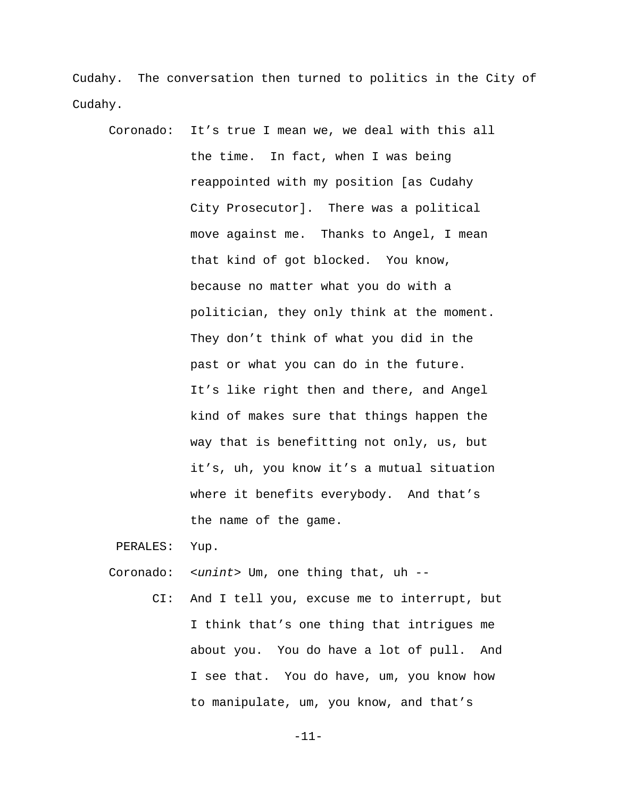Cudahy. The conversation then turned to politics in the City of Cudahy.

Coronado: It's true I mean we, we deal with this all the time. In fact, when I was being reappointed with my position [as Cudahy City Prosecutor]. There was a political move against me. Thanks to Angel, I mean that kind of got blocked. You know, because no matter what you do with a politician, they only think at the moment. They don't think of what you did in the past or what you can do in the future. It's like right then and there, and Angel kind of makes sure that things happen the way that is benefitting not only, us, but it's, uh, you know it's a mutual situation where it benefits everybody. And that's the name of the game.

PERALES: Yup.

Coronado: *<unint>* Um, one thing that, uh --

 CI: And I tell you, excuse me to interrupt, but I think that's one thing that intrigues me about you. You do have a lot of pull. And I see that. You do have, um, you know how to manipulate, um, you know, and that's

-11-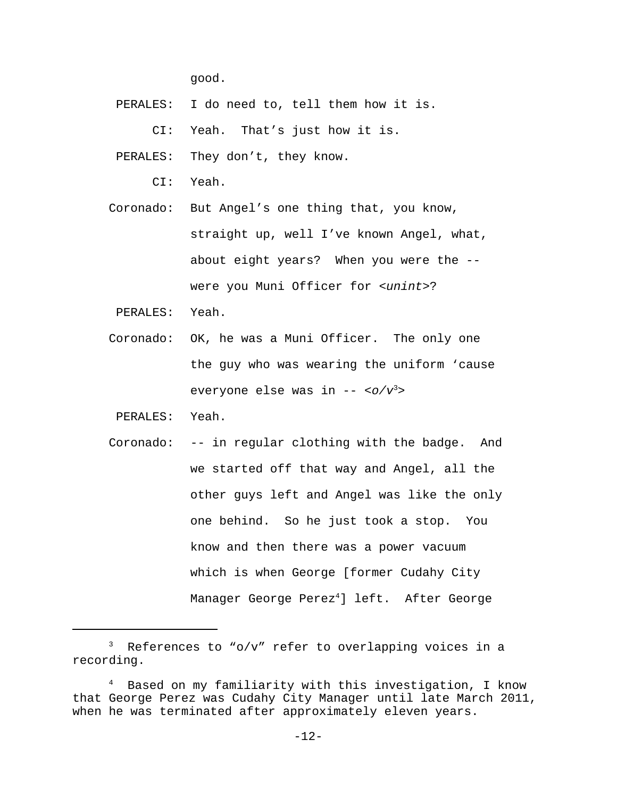good.

PERALES: I do need to, tell them how it is.

CI: Yeah. That's just how it is.

PERALES: They don't, they know.

CI: Yeah.

- Coronado: But Angel's one thing that, you know, straight up, well I've known Angel, what, about eight years? When you were the - were you Muni Officer for *<unint>*?
- PERALES: Yeah.
- Coronado: OK, he was a Muni Officer. The only one the guy who was wearing the uniform 'cause everyone else was in -- *<o/v*<sup>3</sup> *>*
- PERALES: Yeah.
- Coronado: -- in regular clothing with the badge. And we started off that way and Angel, all the other guys left and Angel was like the only one behind. So he just took a stop. You know and then there was a power vacuum which is when George [former Cudahy City Manager George Perez $^4$ ] left. After George

<sup>&</sup>lt;sup>3</sup> References to "o/v" refer to overlapping voices in a recording.

Based on my familiarity with this investigation, I know that George Perez was Cudahy City Manager until late March 2011, when he was terminated after approximately eleven years.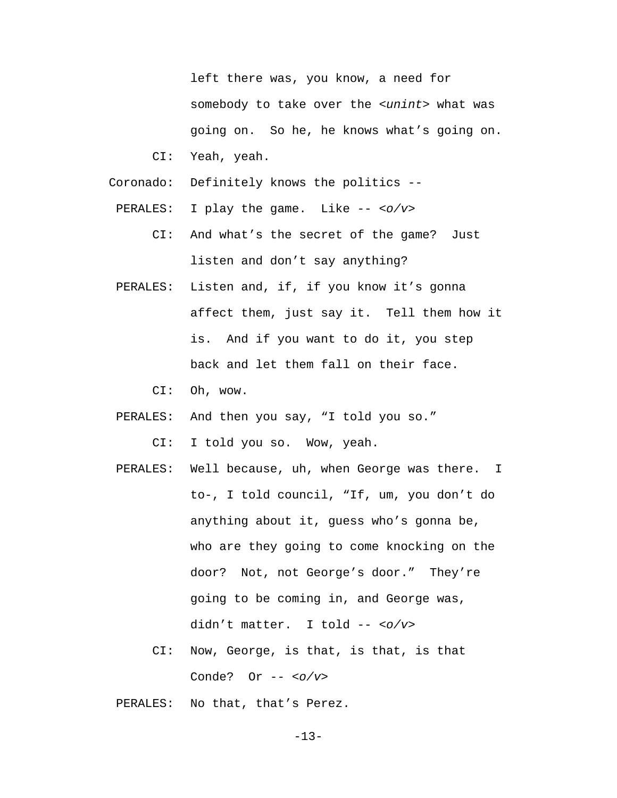left there was, you know, a need for somebody to take over the *<unint>* what was going on. So he, he knows what's going on. CI: Yeah, yeah.

- Coronado: Definitely knows the politics --
- PERALES: I play the game. Like -- *<o/v>*
	- CI: And what's the secret of the game? Just listen and don't say anything?
- PERALES: Listen and, if, if you know it's gonna affect them, just say it. Tell them how it is. And if you want to do it, you step back and let them fall on their face.
	- CI: Oh, wow.
- PERALES: And then you say, "I told you so."

CI: I told you so. Wow, yeah.

- PERALES: Well because, uh, when George was there. I to-, I told council, "If, um, you don't do anything about it, guess who's gonna be, who are they going to come knocking on the door? Not, not George's door." They're going to be coming in, and George was, didn't matter. I told -- *<o/v>*
	- CI: Now, George, is that, is that, is that Conde? Or -- *<o/v>*
- PERALES: No that, that's Perez.

-13-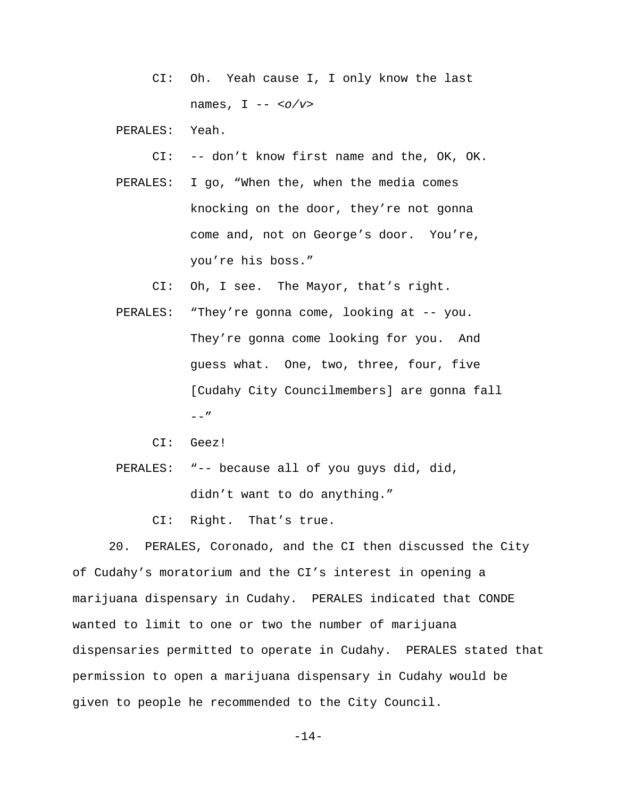CI: Oh. Yeah cause I, I only know the last names, I -- *<o/v>*

PERALES: Yeah.

```
 CI: -- don't know first name and the, OK, OK.
```
 PERALES: I go, "When the, when the media comes knocking on the door, they're not gonna come and, not on George's door. You're, you're his boss."

CI: Oh, I see. The Mayor, that's right.

- PERALES: "They're gonna come, looking at -- you. They're gonna come looking for you. And guess what. One, two, three, four, five [Cudahy City Councilmembers] are gonna fall  $--"$ 
	- CI: Geez!
- PERALES: "-- because all of you guys did, did, didn't want to do anything."

CI: Right. That's true.

20. PERALES, Coronado, and the CI then discussed the City of Cudahy's moratorium and the CI's interest in opening a marijuana dispensary in Cudahy. PERALES indicated that CONDE wanted to limit to one or two the number of marijuana dispensaries permitted to operate in Cudahy. PERALES stated that permission to open a marijuana dispensary in Cudahy would be given to people he recommended to the City Council.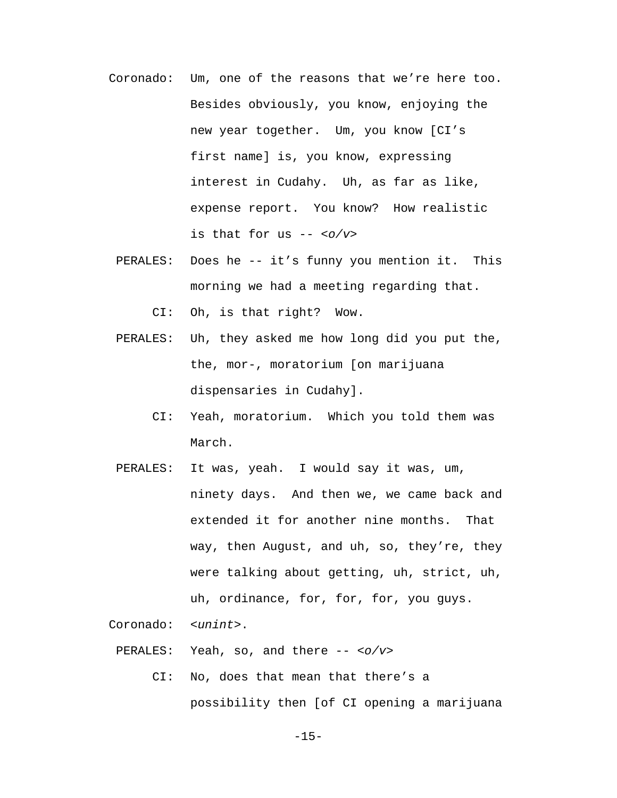- Coronado: Um, one of the reasons that we're here too. Besides obviously, you know, enjoying the new year together. Um, you know [CI's first name] is, you know, expressing interest in Cudahy. Uh, as far as like, expense report. You know? How realistic is that for us -- *<o/v>*
	- PERALES: Does he -- it's funny you mention it. This morning we had a meeting regarding that.

CI: Oh, is that right? Wow.

- PERALES: Uh, they asked me how long did you put the, the, mor-, moratorium [on marijuana dispensaries in Cudahy].
	- CI: Yeah, moratorium. Which you told them was March.
- PERALES: It was, yeah. I would say it was, um, ninety days. And then we, we came back and extended it for another nine months. That way, then August, and uh, so, they're, they were talking about getting, uh, strict, uh, uh, ordinance, for, for, for, you guys.

Coronado: *<unint>*.

PERALES: Yeah, so, and there -- *<o/v>*

 CI: No, does that mean that there's a possibility then [of CI opening a marijuana

 $-15-$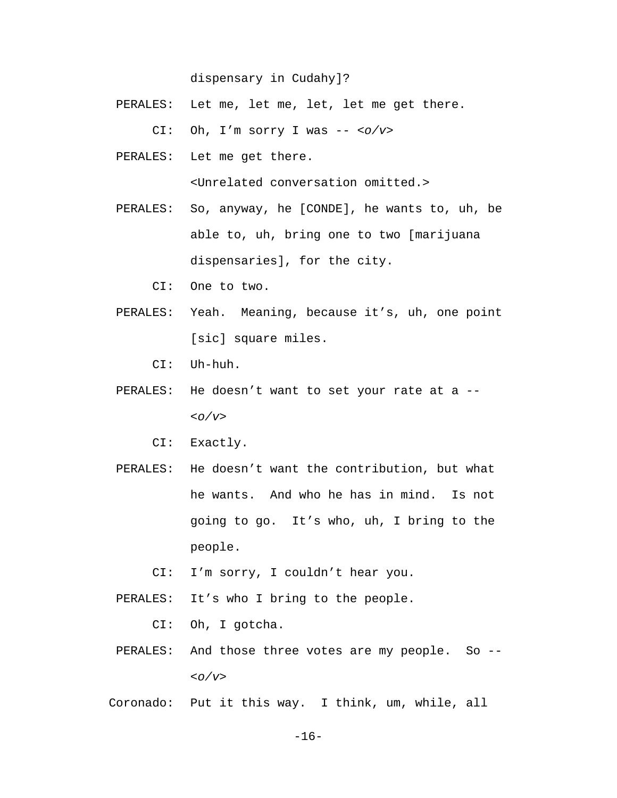dispensary in Cudahy]?

PERALES: Let me, let me, let, let me get there.

CI: Oh, I'm sorry I was -- *<o/v>*

PERALES: Let me get there.

<Unrelated conversation omitted.>

- PERALES: So, anyway, he [CONDE], he wants to, uh, be able to, uh, bring one to two [marijuana dispensaries], for the city.
	- CI: One to two.
- PERALES: Yeah. Meaning, because it's, uh, one point [sic] square miles.
	- CI: Uh-huh.
- PERALES: He doesn't want to set your rate at a --*<o/v>*
	- CI: Exactly.
- PERALES: He doesn't want the contribution, but what he wants. And who he has in mind. Is not going to go. It's who, uh, I bring to the people.
	- CI: I'm sorry, I couldn't hear you.
- PERALES: It's who I bring to the people.
	- CI: Oh, I gotcha.
- PERALES: And those three votes are my people. So -- *<o/v>*

Coronado: Put it this way. I think, um, while, all

 $-16-$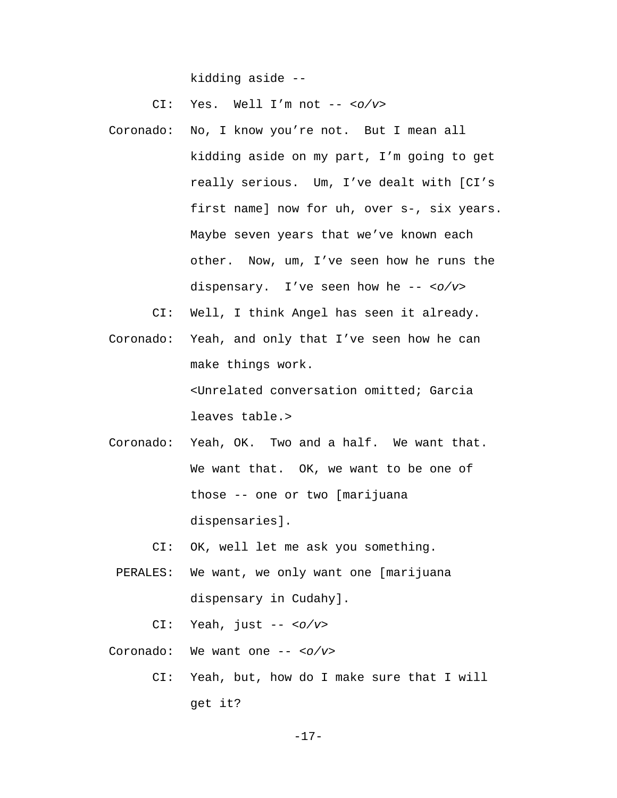kidding aside --

CI: Yes. Well I'm not -- *<o/v>*

Coronado: No, I know you're not. But I mean all kidding aside on my part, I'm going to get really serious. Um, I've dealt with [CI's first name] now for uh, over s-, six years. Maybe seven years that we've known each other. Now, um, I've seen how he runs the dispensary. I've seen how he -- *<o/v>*

CI: Well, I think Angel has seen it already.

- Coronado: Yeah, and only that I've seen how he can make things work. <Unrelated conversation omitted; Garcia leaves table.>
- Coronado: Yeah, OK. Two and a half. We want that. We want that. OK, we want to be one of those -- one or two [marijuana dispensaries].

CI: OK, well let me ask you something.

- PERALES: We want, we only want one [marijuana dispensary in Cudahy].
	- CI: Yeah, just -- *<o/v>*

Coronado: We want one -- *<o/v>*

 CI: Yeah, but, how do I make sure that I will get it?

-17-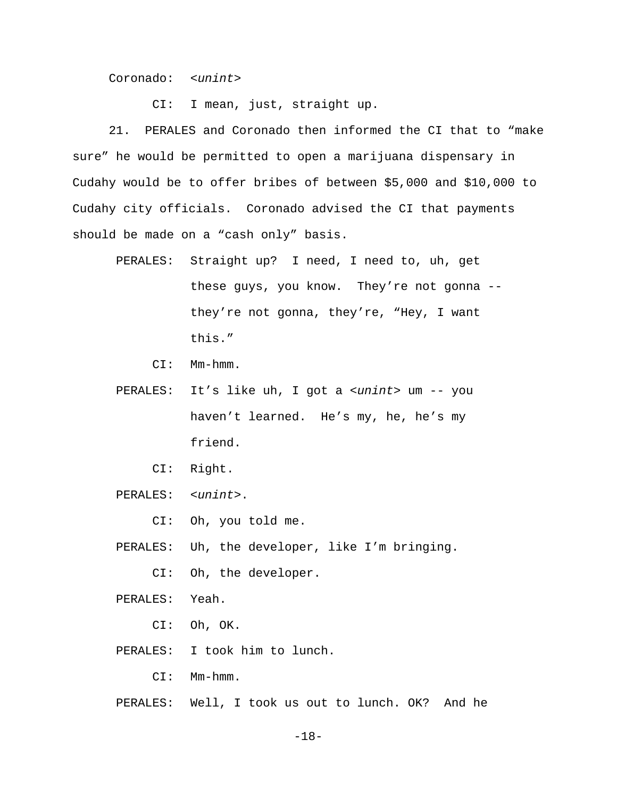Coronado: *<unint>*

CI: I mean, just, straight up.

21. PERALES and Coronado then informed the CI that to "make sure" he would be permitted to open a marijuana dispensary in Cudahy would be to offer bribes of between \$5,000 and \$10,000 to Cudahy city officials. Coronado advised the CI that payments should be made on a "cash only" basis.

- PERALES: Straight up? I need, I need to, uh, get these guys, you know. They're not gonna - they're not gonna, they're, "Hey, I want this."
	- CI: Mm-hmm.
- PERALES: It's like uh, I got a *<unint>* um -- you haven't learned. He's my, he, he's my friend.
	- CI: Right.
- PERALES: *<unint>*.
	- CI: Oh, you told me.
- PERALES: Uh, the developer, like I'm bringing.
	- CI: Oh, the developer.
- PERALES: Yeah.
	- CI: Oh, OK.
- PERALES: I took him to lunch.
	- CI: Mm-hmm.
- PERALES: Well, I took us out to lunch. OK? And he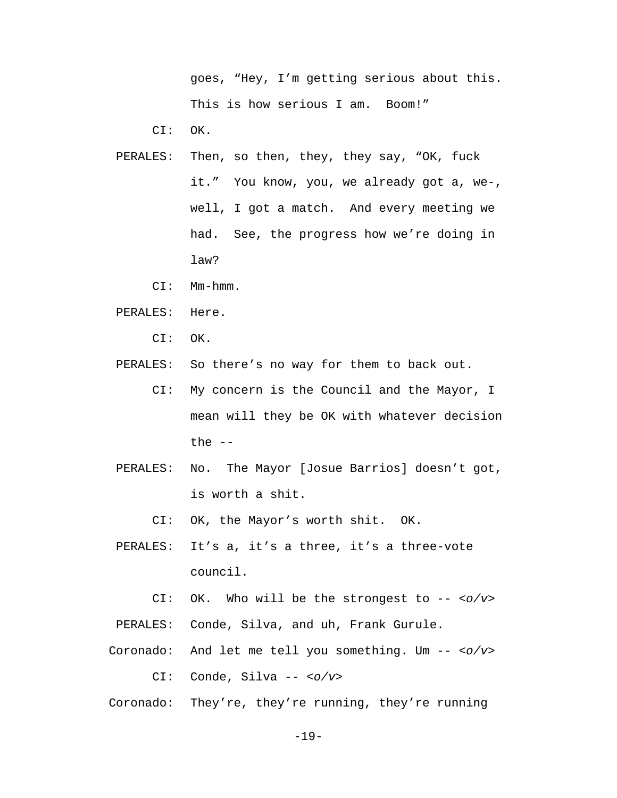goes, "Hey, I'm getting serious about this. This is how serious I am. Boom!"

CI: OK.

- PERALES: Then, so then, they, they say, "OK, fuck it." You know, you, we already got a, we-, well, I got a match. And every meeting we had. See, the progress how we're doing in law?
	- CI: Mm-hmm.
- PERALES: Here.
	- CI: OK.

PERALES: So there's no way for them to back out.

- CI: My concern is the Council and the Mayor, I mean will they be OK with whatever decision the  $--$
- PERALES: No. The Mayor [Josue Barrios] doesn't got, is worth a shit.
	- CI: OK, the Mayor's worth shit. OK.
- PERALES: It's a, it's a three, it's a three-vote council.
- CI: OK. Who will be the strongest to -- *<o/v>* PERALES: Conde, Silva, and uh, Frank Gurule.
- Coronado: And let me tell you something. Um -- *<o/v>*

CI: Conde, Silva -- *<o/v>*

Coronado: They're, they're running, they're running

-19-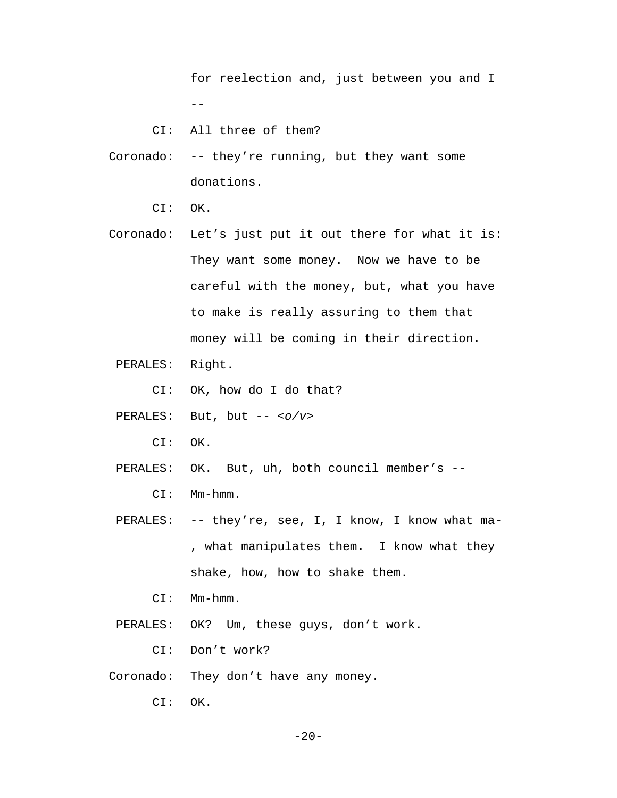for reelection and, just between you and I  $- -$ 

CI: All three of them?

- Coronado: -- they're running, but they want some donations.
	- CI: OK.
- Coronado: Let's just put it out there for what it is: They want some money. Now we have to be careful with the money, but, what you have to make is really assuring to them that money will be coming in their direction.
	- PERALES: Right.
		- CI: OK, how do I do that?
	- PERALES: But, but -- *<o/v>*
		- CI: OK.
	- PERALES: OK. But, uh, both council member's -- CI: Mm-hmm.
	- PERALES: -- they're, see, I, I know, I know what ma-, what manipulates them. I know what they shake, how, how to shake them.
		- CI: Mm-hmm.
	- PERALES: OK? Um, these guys, don't work.

CI: Don't work?

Coronado: They don't have any money.

CI: OK.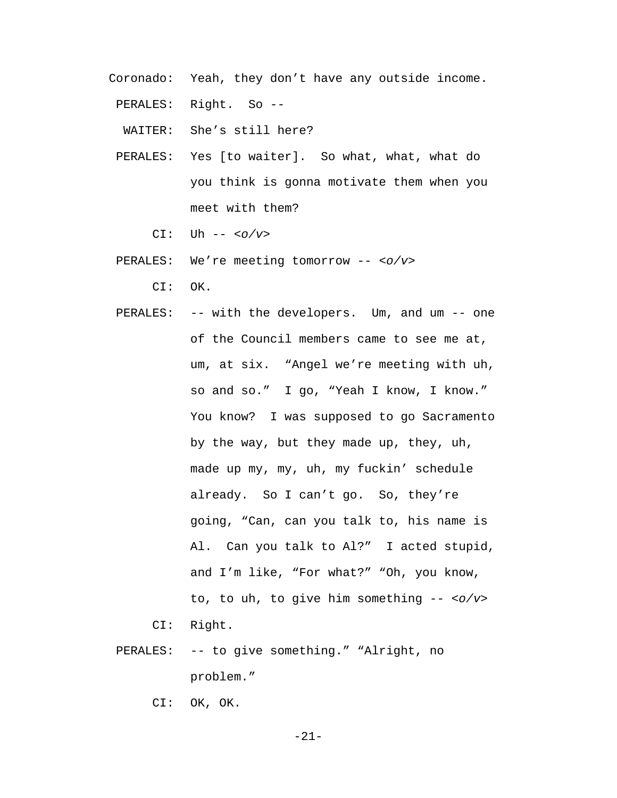Coronado: Yeah, they don't have any outside income.

PERALES: Right. So --

WAITER: She's still here?

 PERALES: Yes [to waiter]. So what, what, what do you think is gonna motivate them when you meet with them?

CI: Uh -- *<o/v>*

PERALES: We're meeting tomorrow -- *<o/v>*

CI: OK.

PERALES: -- with the developers. Um, and um -- one of the Council members came to see me at, um, at six. "Angel we're meeting with uh, so and so." I go, "Yeah I know, I know." You know? I was supposed to go Sacramento by the way, but they made up, they, uh, made up my, my, uh, my fuckin' schedule already. So I can't go. So, they're going, "Can, can you talk to, his name is Al. Can you talk to Al?" I acted stupid, and I'm like, "For what?" "Oh, you know, to, to uh, to give him something -- *<o/v>*

CI: Right.

PERALES: -- to give something." "Alright, no problem."

CI: OK, OK.

-21-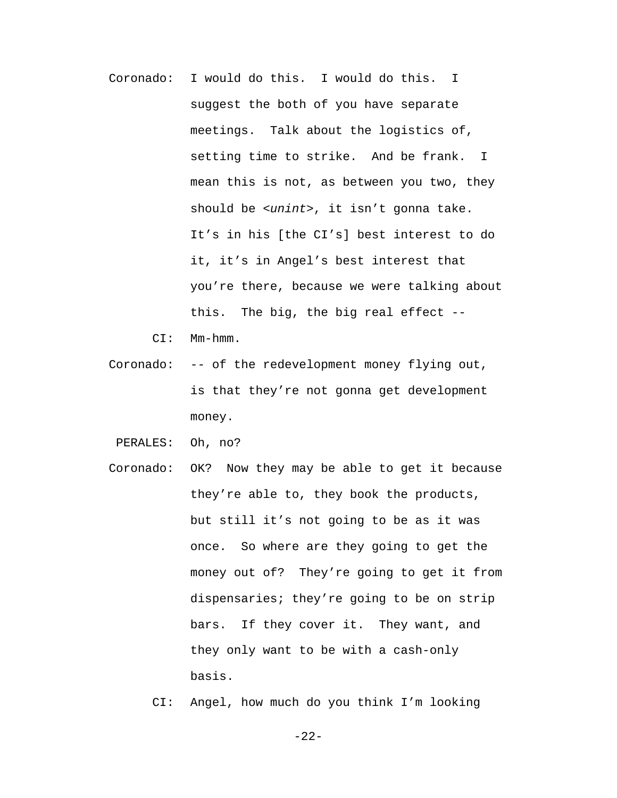- Coronado: I would do this. I would do this. I suggest the both of you have separate meetings. Talk about the logistics of, setting time to strike. And be frank. I mean this is not, as between you two, they should be *<unint>*, it isn't gonna take. It's in his [the CI's] best interest to do it, it's in Angel's best interest that you're there, because we were talking about this. The big, the big real effect --
	- CI: Mm-hmm.
- Coronado: -- of the redevelopment money flying out, is that they're not gonna get development money.
- PERALES: Oh, no?
- Coronado: OK? Now they may be able to get it because they're able to, they book the products, but still it's not going to be as it was once. So where are they going to get the money out of? They're going to get it from dispensaries; they're going to be on strip bars. If they cover it. They want, and they only want to be with a cash-only basis.
	- CI: Angel, how much do you think I'm looking

-22-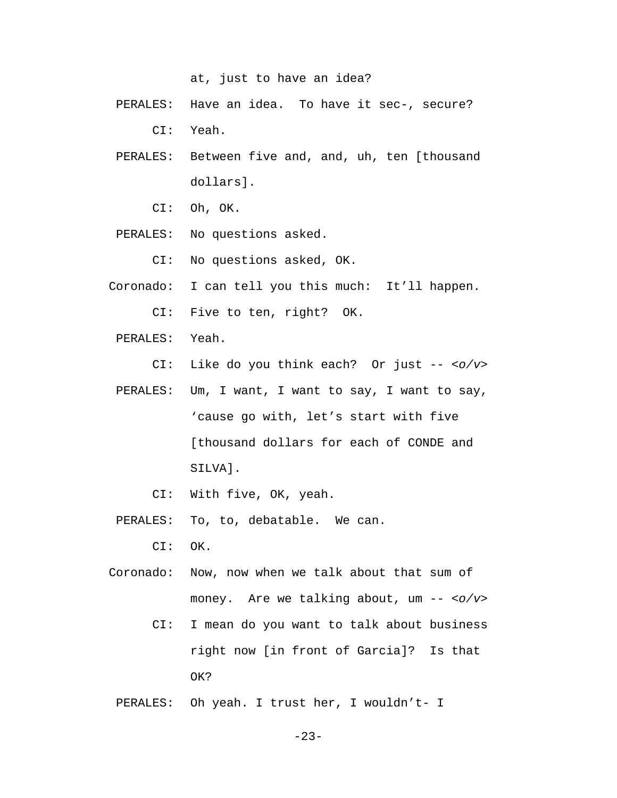at, just to have an idea?

- PERALES: Have an idea. To have it sec-, secure? CI: Yeah.
- PERALES: Between five and, and, uh, ten [thousand dollars].
	- CI: Oh, OK.
- PERALES: No questions asked.
	- CI: No questions asked, OK.
- Coronado: I can tell you this much: It'll happen.
	- CI: Five to ten, right? OK.
- PERALES: Yeah.
	- CI: Like do you think each? Or just -- *<o/v>*
- PERALES: Um, I want, I want to say, I want to say, 'cause go with, let's start with five [thousand dollars for each of CONDE and SILVA].
	- CI: With five, OK, yeah.
- PERALES: To, to, debatable. We can.
	- CI: OK.
- Coronado: Now, now when we talk about that sum of money. Are we talking about, um -- *<o/v>*
	- CI: I mean do you want to talk about business right now [in front of Garcia]? Is that OK?
	- PERALES: Oh yeah. I trust her, I wouldn't- I

-23-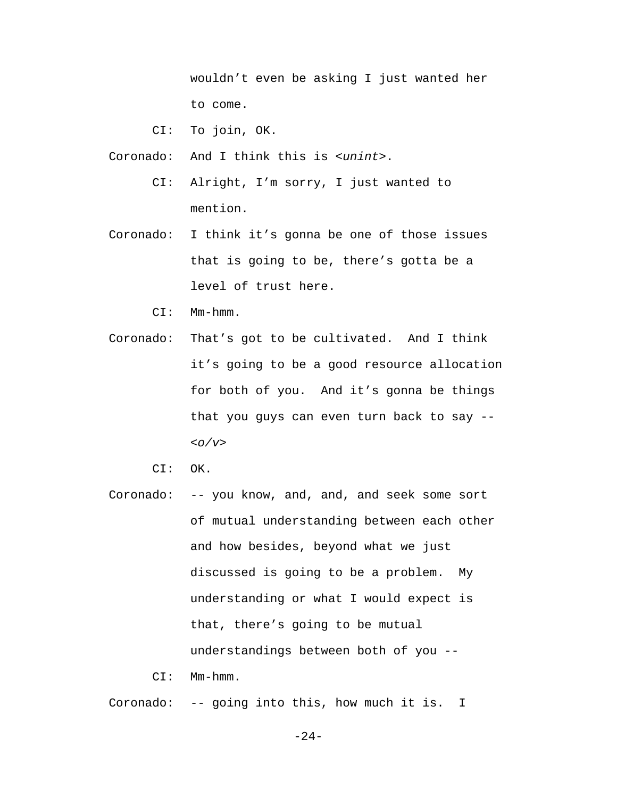wouldn't even be asking I just wanted her to come.

CI: To join, OK.

Coronado: And I think this is *<unint>*.

- CI: Alright, I'm sorry, I just wanted to mention.
- Coronado: I think it's gonna be one of those issues that is going to be, there's gotta be a level of trust here.
	- CI: Mm-hmm.
- Coronado: That's got to be cultivated. And I think it's going to be a good resource allocation for both of you. And it's gonna be things that you guys can even turn back to say -- *<o/v>*
	- CI: OK.
- Coronado: -- you know, and, and, and seek some sort of mutual understanding between each other and how besides, beyond what we just discussed is going to be a problem. My understanding or what I would expect is that, there's going to be mutual understandings between both of you --
	- CI: Mm-hmm.

Coronado: -- going into this, how much it is. I

-24-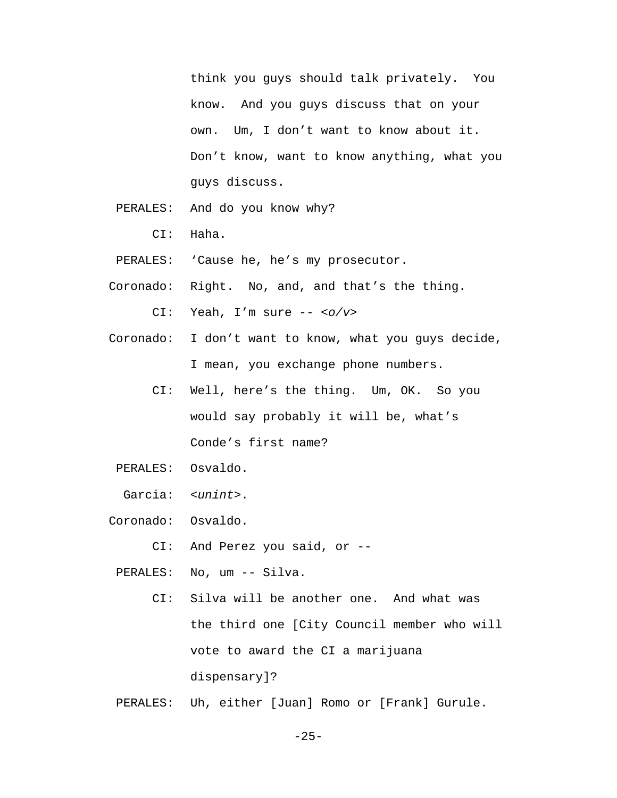think you guys should talk privately. You know. And you guys discuss that on your own. Um, I don't want to know about it. Don't know, want to know anything, what you guys discuss.

- PERALES: And do you know why?
	- CI: Haha.
- PERALES: 'Cause he, he's my prosecutor.
- Coronado: Right. No, and, and that's the thing.

CI: Yeah, I'm sure -- *<o/v>*

- Coronado: I don't want to know, what you guys decide, I mean, you exchange phone numbers.
	- CI: Well, here's the thing. Um, OK. So you would say probably it will be, what's Conde's first name?
- PERALES: Osvaldo.

Garcia: *<unint>*.

Coronado: Osvaldo.

CI: And Perez you said, or --

PERALES: No, um -- Silva.

- CI: Silva will be another one. And what was the third one [City Council member who will vote to award the CI a marijuana dispensary]?
- PERALES: Uh, either [Juan] Romo or [Frank] Gurule.

 $-25-$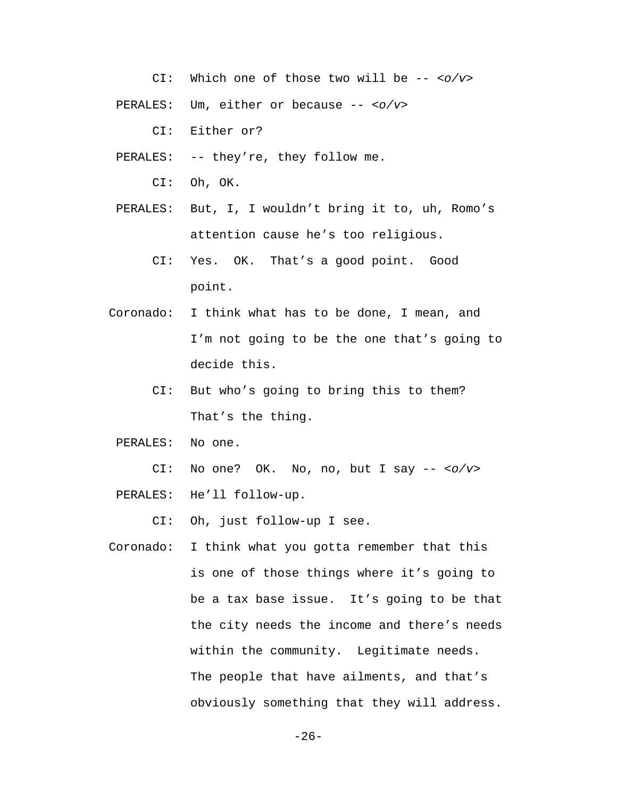CI: Which one of those two will be -- *<o/v>*

PERALES: Um, either or because -- *<o/v>*

CI: Either or?

PERALES: -- they're, they follow me.

CI: Oh, OK.

- PERALES: But, I, I wouldn't bring it to, uh, Romo's attention cause he's too religious.
	- CI: Yes. OK. That's a good point. Good point.
- Coronado: I think what has to be done, I mean, and I'm not going to be the one that's going to decide this.
	- CI: But who's going to bring this to them? That's the thing.

PERALES: No one.

CI: No one? OK. No, no, but I say -- *<o/v>*

PERALES: He'll follow-up.

CI: Oh, just follow-up I see.

Coronado: I think what you gotta remember that this is one of those things where it's going to be a tax base issue. It's going to be that the city needs the income and there's needs within the community. Legitimate needs. The people that have ailments, and that's obviously something that they will address.

-26-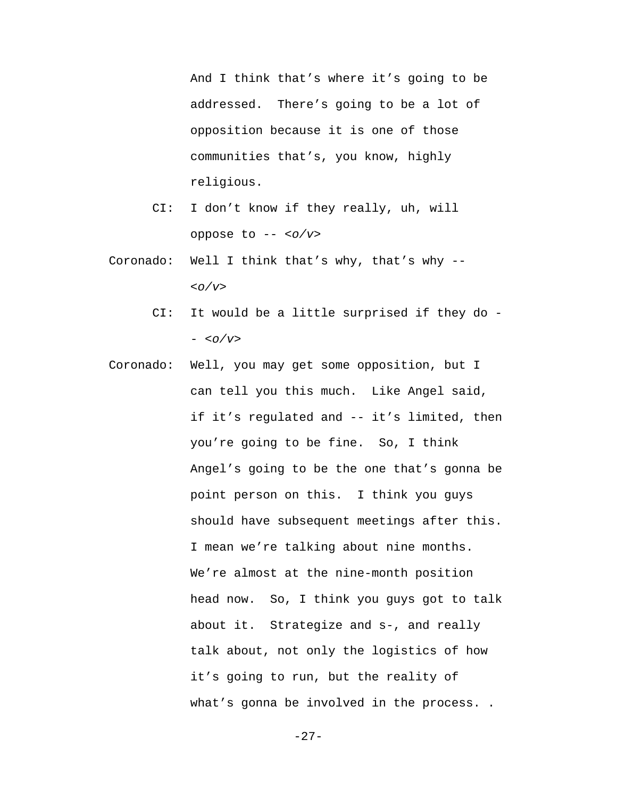And I think that's where it's going to be addressed. There's going to be a lot of opposition because it is one of those communities that's, you know, highly religious.

- CI: I don't know if they really, uh, will oppose to -- *<o/v>*
- Coronado: Well I think that's why, that's why -- *<o/v>*
	- CI: It would be a little surprised if they do - *<o/v>*
- Coronado: Well, you may get some opposition, but I can tell you this much. Like Angel said, if it's regulated and -- it's limited, then you're going to be fine. So, I think Angel's going to be the one that's gonna be point person on this. I think you guys should have subsequent meetings after this. I mean we're talking about nine months. We're almost at the nine-month position head now. So, I think you guys got to talk about it. Strategize and s-, and really talk about, not only the logistics of how it's going to run, but the reality of what's gonna be involved in the process..

-27-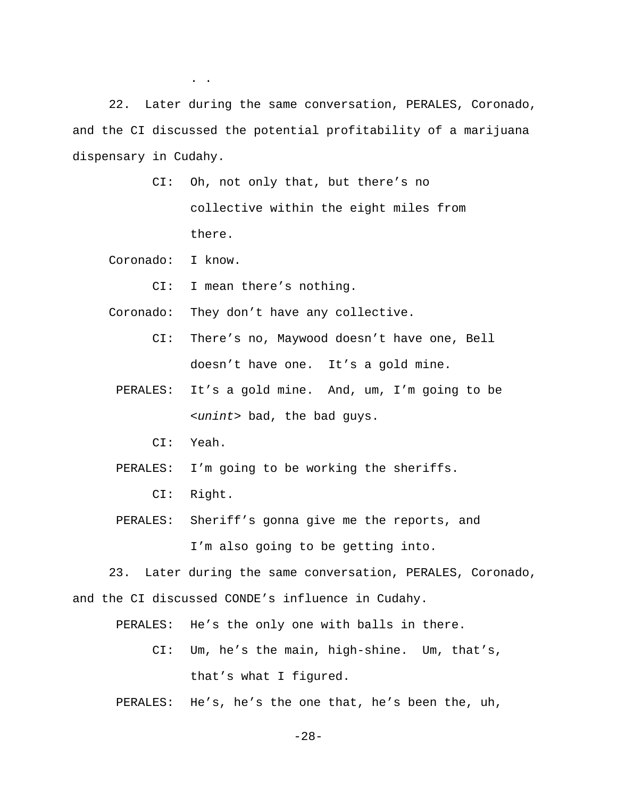22. Later during the same conversation, PERALES, Coronado, and the CI discussed the potential profitability of a marijuana dispensary in Cudahy.

> CI: Oh, not only that, but there's no collective within the eight miles from there.

Coronado: I know.

. .

CI: I mean there's nothing.

Coronado: They don't have any collective.

- CI: There's no, Maywood doesn't have one, Bell doesn't have one. It's a gold mine.
- PERALES: It's a gold mine. And, um, I'm going to be *<unint>* bad, the bad guys.
	- CI: Yeah.
- PERALES: I'm going to be working the sheriffs.

CI: Right.

 PERALES: Sheriff's gonna give me the reports, and I'm also going to be getting into.

23. Later during the same conversation, PERALES, Coronado, and the CI discussed CONDE's influence in Cudahy.

PERALES: He's the only one with balls in there.

- CI: Um, he's the main, high-shine. Um, that's, that's what I figured.
- PERALES: He's, he's the one that, he's been the, uh,

-28-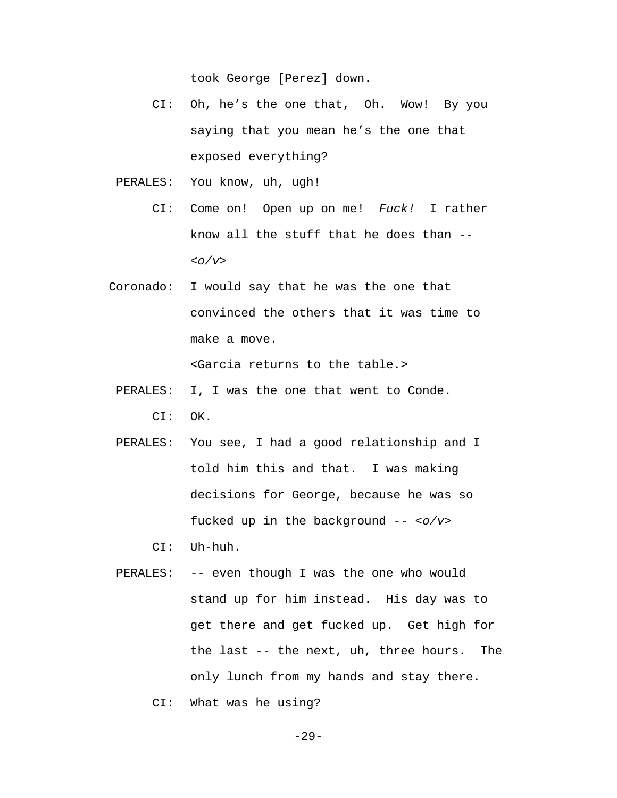took George [Perez] down.

- CI: Oh, he's the one that, Oh. Wow! By you saying that you mean he's the one that exposed everything?
- PERALES: You know, uh, ugh!
	- CI: Come on! Open up on me! *Fuck!* I rather know all the stuff that he does than -- *<o/v>*
- Coronado: I would say that he was the one that convinced the others that it was time to make a move.

<Garcia returns to the table.>

- PERALES: I, I was the one that went to Conde. CI: OK.
- PERALES: You see, I had a good relationship and I told him this and that. I was making decisions for George, because he was so fucked up in the background -- *<o/v>*

CI: Uh-huh.

- PERALES: -- even though I was the one who would stand up for him instead. His day was to get there and get fucked up. Get high for the last -- the next, uh, three hours. The only lunch from my hands and stay there.
	- CI: What was he using?

-29-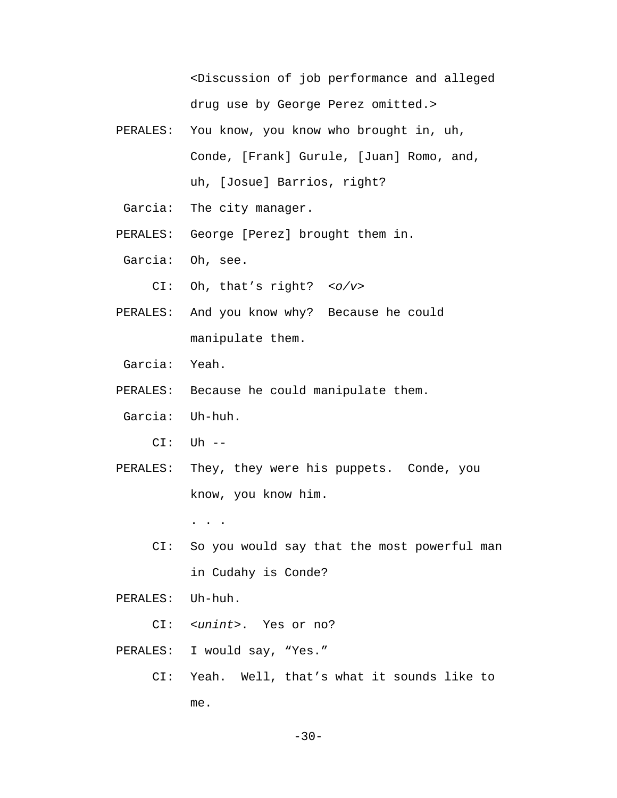<Discussion of job performance and alleged drug use by George Perez omitted.>

- PERALES: You know, you know who brought in, uh, Conde, [Frank] Gurule, [Juan] Romo, and, uh, [Josue] Barrios, right?
- Garcia: The city manager.
- PERALES: George [Perez] brought them in.
- Garcia: Oh, see.
	- CI: Oh, that's right? *<o/v>*
- PERALES: And you know why? Because he could manipulate them.
- Garcia: Yeah.
- PERALES: Because he could manipulate them.
- Garcia: Uh-huh.
	- CI: Uh --
- PERALES: They, they were his puppets. Conde, you know, you know him.

. . .

- CI: So you would say that the most powerful man in Cudahy is Conde?
- PERALES: Uh-huh.
	- CI: *<unint>*. Yes or no?
- PERALES: I would say, "Yes."
	- CI: Yeah. Well, that's what it sounds like to me.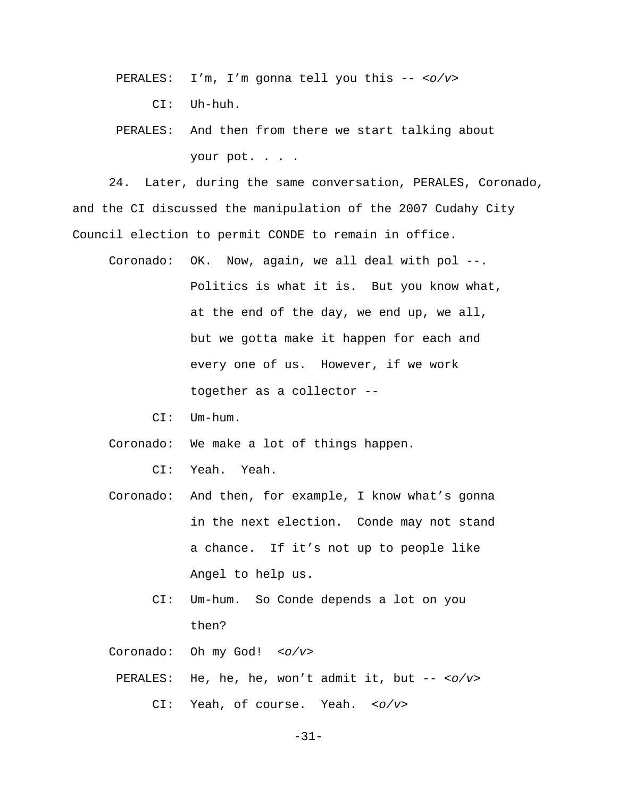- PERALES: I'm, I'm gonna tell you this -- *<o/v>*
	- CI: Uh-huh.
- PERALES: And then from there we start talking about your pot. . . .

24. Later, during the same conversation, PERALES, Coronado, and the CI discussed the manipulation of the 2007 Cudahy City Council election to permit CONDE to remain in office.

- Coronado: OK. Now, again, we all deal with pol --. Politics is what it is. But you know what, at the end of the day, we end up, we all, but we gotta make it happen for each and every one of us. However, if we work together as a collector --
	- CI: Um-hum.
- Coronado: We make a lot of things happen.
	- CI: Yeah. Yeah.
- Coronado: And then, for example, I know what's gonna in the next election. Conde may not stand a chance. If it's not up to people like Angel to help us.
	- CI: Um-hum. So Conde depends a lot on you then?

Coronado: Oh my God! *<o/v>*

 PERALES: He, he, he, won't admit it, but -- *<o/v>* CI: Yeah, of course. Yeah. *<o/v>*

-31-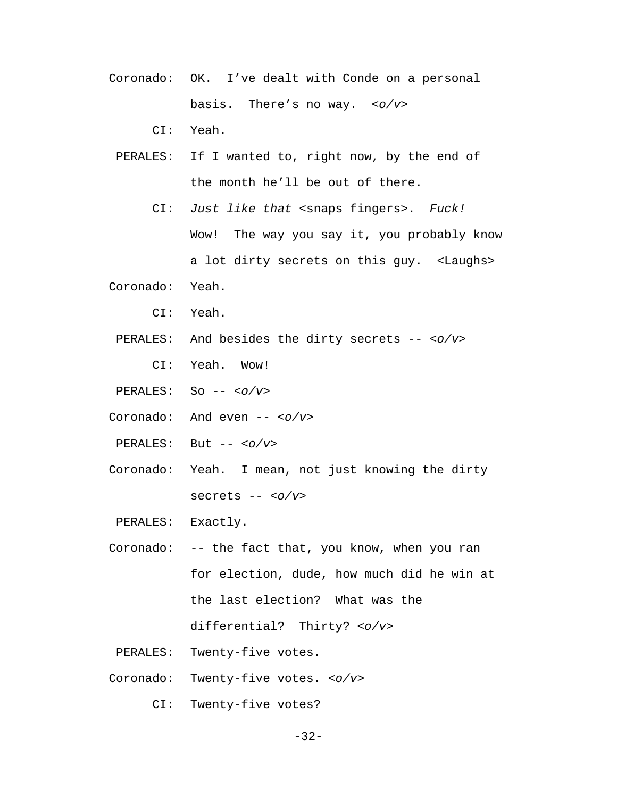Coronado: OK. I've dealt with Conde on a personal basis. There's no way. *<o/v>*

CI: Yeah.

- PERALES: If I wanted to, right now, by the end of the month he'll be out of there.
	- CI: *Just like that* <snaps fingers>. *Fuck!* Wow! The way you say it, you probably know a lot dirty secrets on this guy. <Laughs>
- Coronado: Yeah.
	- CI: Yeah.
	- PERALES: And besides the dirty secrets -- *<o/v>*
		- CI: Yeah. Wow!
- PERALES: So -- *<o/v>*
- Coronado: And even -- *<o/v>*
- PERALES: But -- *<o/v>*
- Coronado: Yeah. I mean, not just knowing the dirty secrets -- *<o/v>*

PERALES: Exactly.

- Coronado: -- the fact that, you know, when you ran for election, dude, how much did he win at the last election? What was the differential? Thirty? *<o/v>*
- PERALES: Twenty-five votes.
- Coronado: Twenty-five votes. *<o/v>*
	- CI: Twenty-five votes?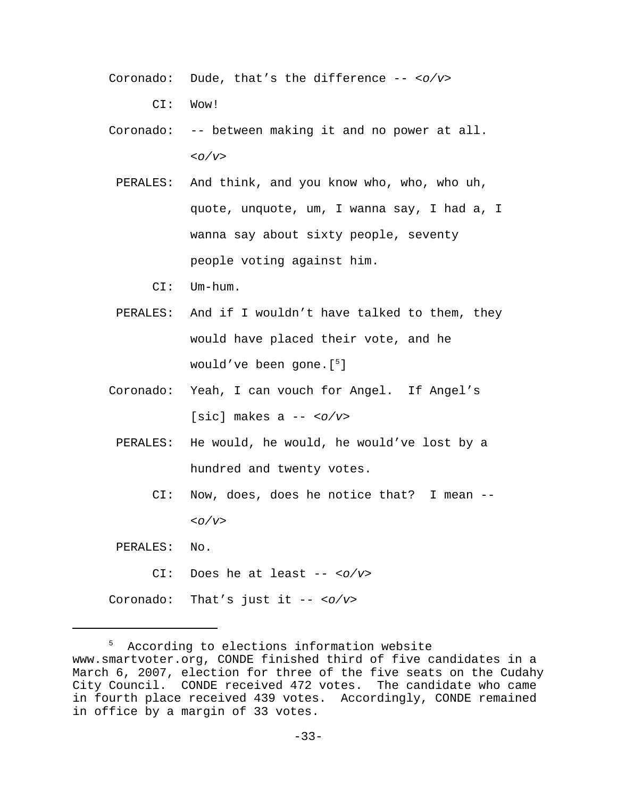Coronado: Dude, that's the difference -- *<o/v>*

CI: Wow!

Coronado: -- between making it and no power at all. *<o/v>*

- PERALES: And think, and you know who, who, who uh, quote, unquote, um, I wanna say, I had a, I wanna say about sixty people, seventy people voting against him.
	- CI: Um-hum.
- PERALES: And if I wouldn't have talked to them, they would have placed their vote, and he would've been gone.[5 ]
- Coronado: Yeah, I can vouch for Angel. If Angel's [sic] makes a -- *<o/v>*
	- PERALES: He would, he would, he would've lost by a hundred and twenty votes.
		- CI: Now, does, does he notice that? I mean -- *<o/v>*
- PERALES: No.
	- CI: Does he at least -- *<o/v>*

Coronado: That's just it -- *<o/v>*

<sup>5</sup> According to elections information website www.smartvoter.org, CONDE finished third of five candidates in a March 6, 2007, election for three of the five seats on the Cudahy City Council. CONDE received 472 votes. The candidate who came in fourth place received 439 votes. Accordingly, CONDE remained in office by a margin of 33 votes.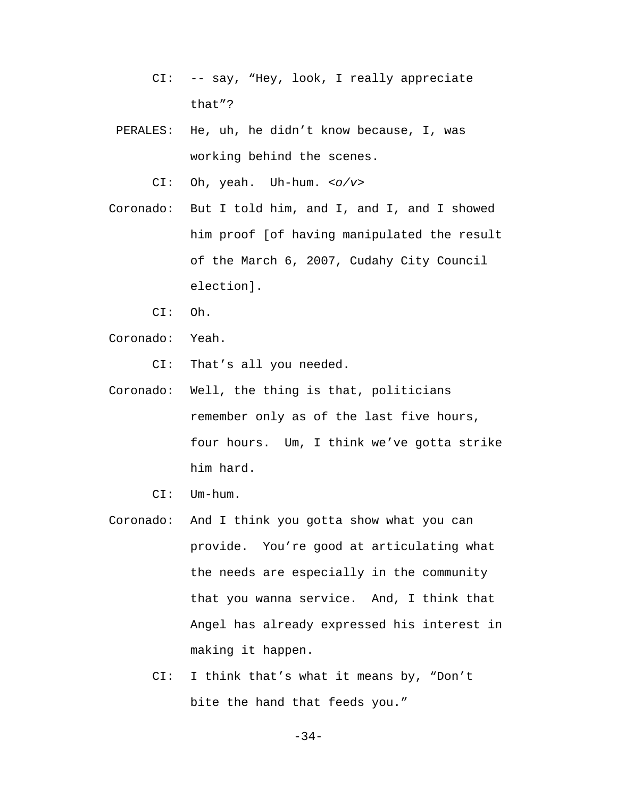- CI: -- say, "Hey, look, I really appreciate that"?
- PERALES: He, uh, he didn't know because, I, was working behind the scenes.

CI: Oh, yeah. Uh-hum. *<o/v>*

- Coronado: But I told him, and I, and I, and I showed him proof [of having manipulated the result of the March 6, 2007, Cudahy City Council election].
	- CI: Oh.
- Coronado: Yeah.

CI: That's all you needed.

- Coronado: Well, the thing is that, politicians remember only as of the last five hours, four hours. Um, I think we've gotta strike him hard.
	- CI: Um-hum.
- Coronado: And I think you gotta show what you can provide. You're good at articulating what the needs are especially in the community that you wanna service. And, I think that Angel has already expressed his interest in making it happen.
	- CI: I think that's what it means by, "Don't bite the hand that feeds you."

-34-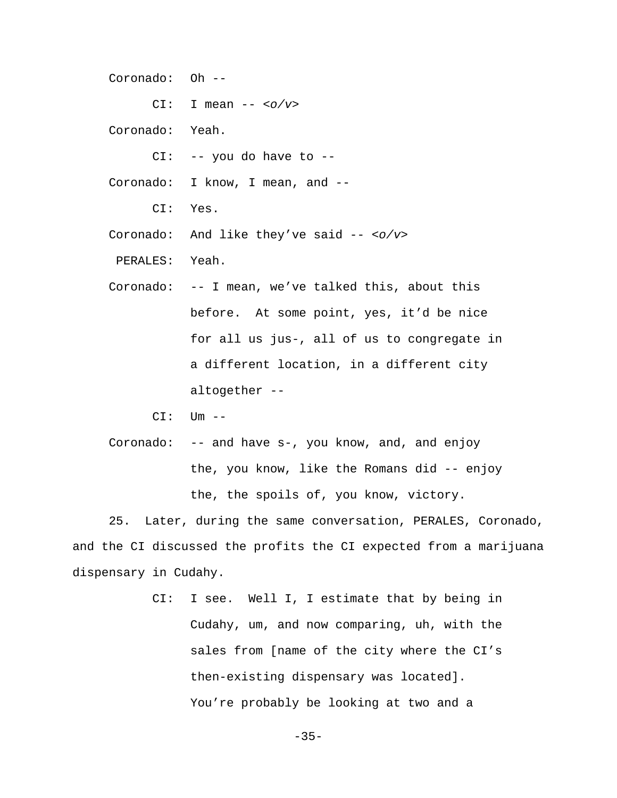Coronado: Oh --

CI: I mean -- *<o/v>*

- Coronado: Yeah.
	- CI: -- you do have to --
- Coronado: I know, I mean, and --
	- CI: Yes.
- Coronado: And like they've said -- *<o/v>*
- PERALES: Yeah.
- Coronado: -- I mean, we've talked this, about this before. At some point, yes, it'd be nice for all us jus-, all of us to congregate in a different location, in a different city altogether --
	- $CI:$   $Um$   $--$
- Coronado: -- and have s-, you know, and, and enjoy the, you know, like the Romans did -- enjoy the, the spoils of, you know, victory.

25. Later, during the same conversation, PERALES, Coronado, and the CI discussed the profits the CI expected from a marijuana dispensary in Cudahy.

> CI: I see. Well I, I estimate that by being in Cudahy, um, and now comparing, uh, with the sales from [name of the city where the CI's then-existing dispensary was located]. You're probably be looking at two and a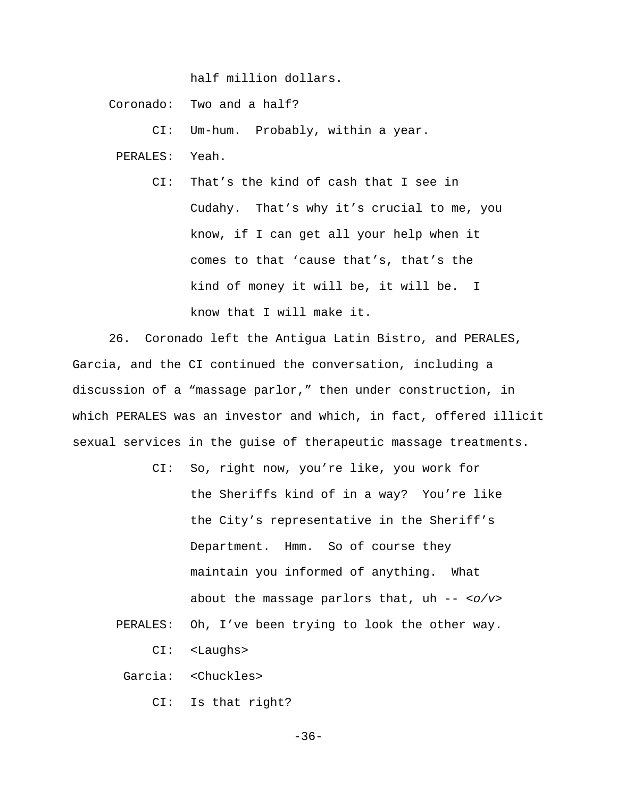half million dollars.

Coronado: Two and a half?

CI: Um-hum. Probably, within a year.

PERALES: Yeah.

 CI: That's the kind of cash that I see in Cudahy. That's why it's crucial to me, you know, if I can get all your help when it comes to that 'cause that's, that's the kind of money it will be, it will be. I know that I will make it.

26. Coronado left the Antigua Latin Bistro, and PERALES, Garcia, and the CI continued the conversation, including a discussion of a "massage parlor," then under construction, in which PERALES was an investor and which, in fact, offered illicit sexual services in the guise of therapeutic massage treatments.

- CI: So, right now, you're like, you work for the Sheriffs kind of in a way? You're like the City's representative in the Sheriff's Department. Hmm. So of course they maintain you informed of anything. What about the massage parlors that, uh -- *<o/v>*
- PERALES: Oh, I've been trying to look the other way.

CI: <Laughs>

Garcia: <Chuckles>

CI: Is that right?

-36-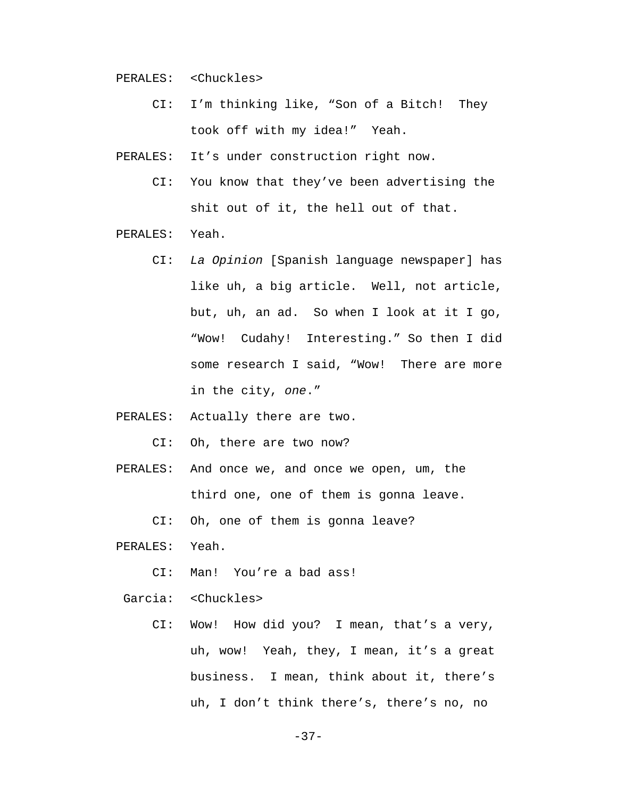PERALES: <Chuckles>

 CI: I'm thinking like, "Son of a Bitch! They took off with my idea!" Yeah.

PERALES: It's under construction right now.

- CI: You know that they've been advertising the shit out of it, the hell out of that.
- PERALES: Yeah.
	- CI: *La Opinion* [Spanish language newspaper] has like uh, a big article. Well, not article, but, uh, an ad. So when I look at it I go, "Wow! Cudahy! Interesting." So then I did some research I said, "Wow! There are more in the city, *one*."
- PERALES: Actually there are two.

CI: Oh, there are two now?

 PERALES: And once we, and once we open, um, the third one, one of them is gonna leave.

CI: Oh, one of them is gonna leave?

PERALES: Yeah.

CI: Man! You're a bad ass!

Garcia: <Chuckles>

 CI: Wow! How did you? I mean, that's a very, uh, wow! Yeah, they, I mean, it's a great business. I mean, think about it, there's uh, I don't think there's, there's no, no

-37-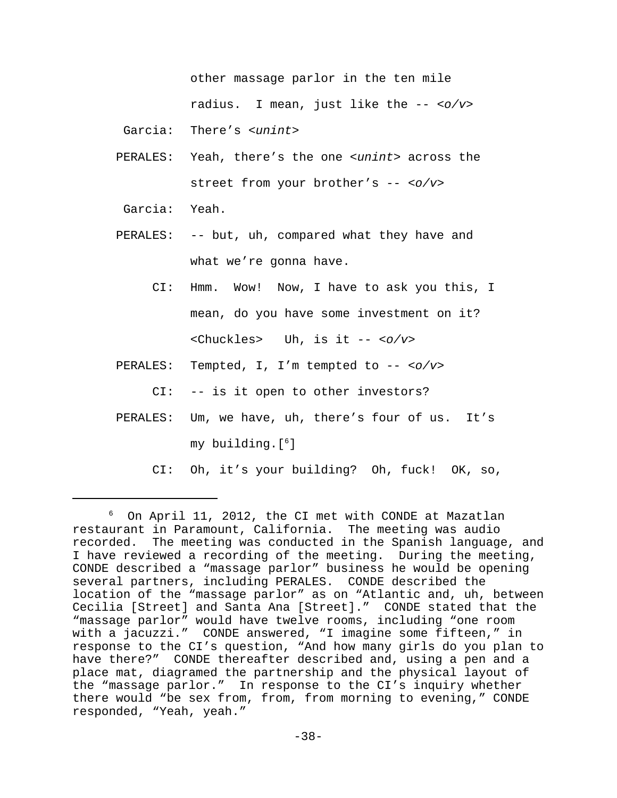other massage parlor in the ten mile radius. I mean, just like the -- *<o/v>*

Garcia: There's *<unint>*

- PERALES: Yeah, there's the one *<unint>* across the street from your brother's -- *<o/v>*
- Garcia: Yeah.
- PERALES: -- but, uh, compared what they have and what we're gonna have.
	- CI: Hmm. Wow! Now, I have to ask you this, I mean, do you have some investment on it? <Chuckles> Uh, is it -- *<o/v>*
- PERALES: Tempted, I, I'm tempted to -- *<o/v>*

CI: -- is it open to other investors?

- PERALES: Um, we have, uh, there's four of us. It's my building.[6 ]
	- CI: Oh, it's your building? Oh, fuck! OK, so,

<sup>6</sup> On April 11, 2012, the CI met with CONDE at Mazatlan restaurant in Paramount, California. The meeting was audio recorded. The meeting was conducted in the Spanish language, and I have reviewed a recording of the meeting. During the meeting, CONDE described a "massage parlor" business he would be opening several partners, including PERALES. CONDE described the location of the "massage parlor" as on "Atlantic and, uh, between Cecilia [Street] and Santa Ana [Street]." CONDE stated that the "massage parlor" would have twelve rooms, including "one room with a jacuzzi." CONDE answered, "I imagine some fifteen," in response to the CI's question, "And how many girls do you plan to have there?" CONDE thereafter described and, using a pen and a place mat, diagramed the partnership and the physical layout of the "massage parlor." In response to the CI's inquiry whether there would "be sex from, from, from morning to evening," CONDE responded, "Yeah, yeah."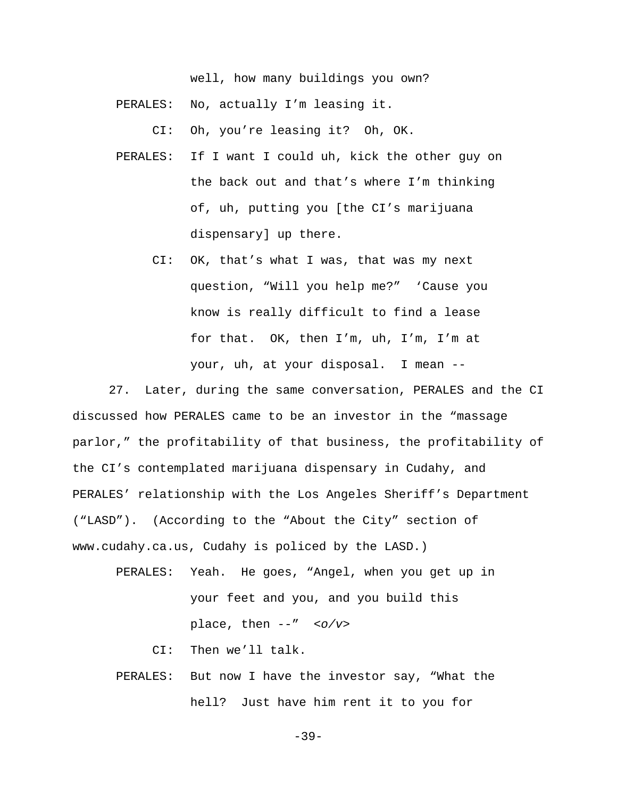well, how many buildings you own?

PERALES: No, actually I'm leasing it.

CI: Oh, you're leasing it? Oh, OK.

- PERALES: If I want I could uh, kick the other guy on the back out and that's where I'm thinking of, uh, putting you [the CI's marijuana dispensary] up there.
	- CI: OK, that's what I was, that was my next question, "Will you help me?" 'Cause you know is really difficult to find a lease for that. OK, then I'm, uh, I'm, I'm at your, uh, at your disposal. I mean --

27. Later, during the same conversation, PERALES and the CI discussed how PERALES came to be an investor in the "massage parlor," the profitability of that business, the profitability of the CI's contemplated marijuana dispensary in Cudahy, and PERALES' relationship with the Los Angeles Sheriff's Department ("LASD"). (According to the "About the City" section of www.cudahy.ca.us, Cudahy is policed by the LASD.)

 PERALES: Yeah. He goes, "Angel, when you get up in your feet and you, and you build this place, then --" *<o/v>*

CI: Then we'll talk.

 PERALES: But now I have the investor say, "What the hell? Just have him rent it to you for

-39-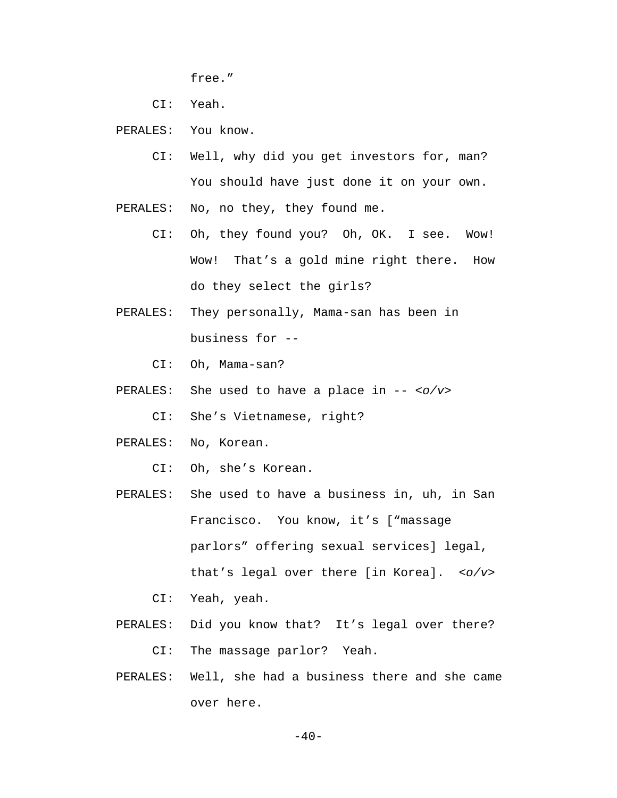free."

CI: Yeah.

PERALES: You know.

 CI: Well, why did you get investors for, man? You should have just done it on your own.

PERALES: No, no they, they found me.

- CI: Oh, they found you? Oh, OK. I see. Wow! Wow! That's a gold mine right there. How do they select the girls?
- PERALES: They personally, Mama-san has been in business for --

CI: Oh, Mama-san?

PERALES: She used to have a place in -- *<o/v>*

CI: She's Vietnamese, right?

- PERALES: No, Korean.
	- CI: Oh, she's Korean.
- PERALES: She used to have a business in, uh, in San Francisco. You know, it's ["massage parlors" offering sexual services] legal, that's legal over there [in Korea]. *<o/v>*

CI: Yeah, yeah.

- PERALES: Did you know that? It's legal over there? CI: The massage parlor? Yeah.
- PERALES: Well, she had a business there and she came over here.

 $-40-$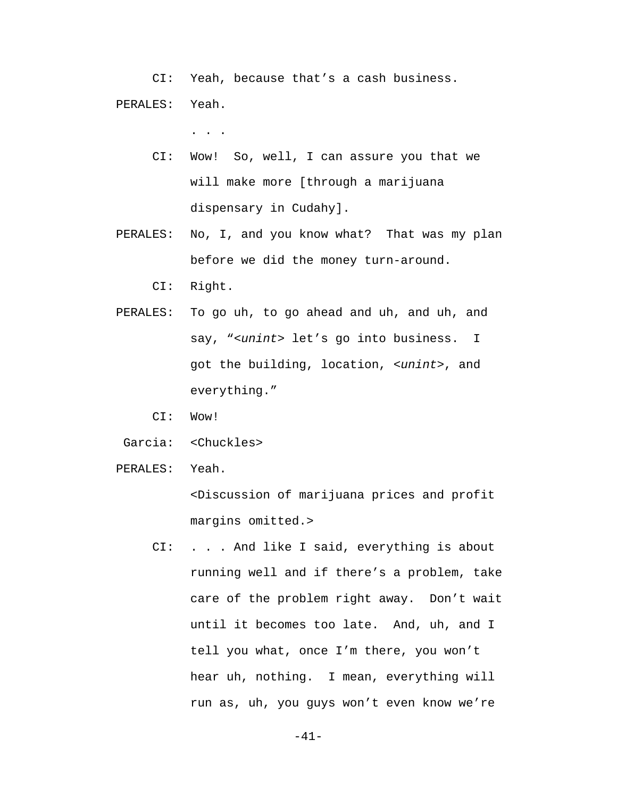CI: Yeah, because that's a cash business. PERALES: Yeah.

. . .

- CI: Wow! So, well, I can assure you that we will make more [through a marijuana dispensary in Cudahy].
- PERALES: No, I, and you know what? That was my plan before we did the money turn-around.

CI: Right.

- PERALES: To go uh, to go ahead and uh, and uh, and say, "*<unint>* let's go into business. I got the building, location, *<unint>*, and everything."
	- CI: Wow!
- Garcia: <Chuckles>
- PERALES: Yeah.

 <Discussion of marijuana prices and profit margins omitted.>

 CI: . . . And like I said, everything is about running well and if there's a problem, take care of the problem right away. Don't wait until it becomes too late. And, uh, and I tell you what, once I'm there, you won't hear uh, nothing. I mean, everything will run as, uh, you guys won't even know we're

-41-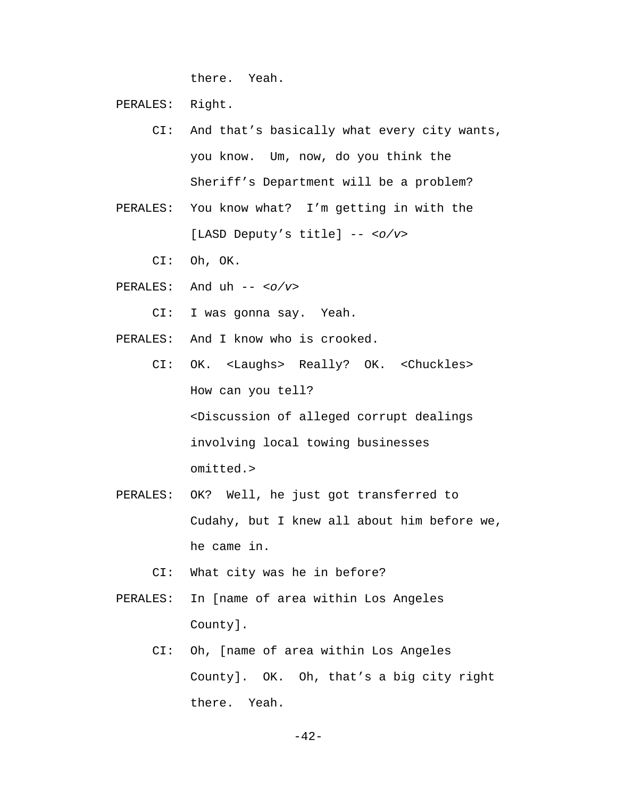there. Yeah.

PERALES: Right.

- CI: And that's basically what every city wants, you know. Um, now, do you think the Sheriff's Department will be a problem?
- PERALES: You know what? I'm getting in with the [LASD Deputy's title] -- *<o/v>*
	- CI: Oh, OK.
- PERALES: And uh -- *<o/v>*
	- CI: I was gonna say. Yeah.
- PERALES: And I know who is crooked.
	- CI: OK. <Laughs> Really? OK. <Chuckles> How can you tell? <Discussion of alleged corrupt dealings involving local towing businesses omitted.>
- PERALES: OK? Well, he just got transferred to Cudahy, but I knew all about him before we, he came in.
	- CI: What city was he in before?
- PERALES: In [name of area within Los Angeles County].
	- CI: Oh, [name of area within Los Angeles County]. OK. Oh, that's a big city right there. Yeah.

-42-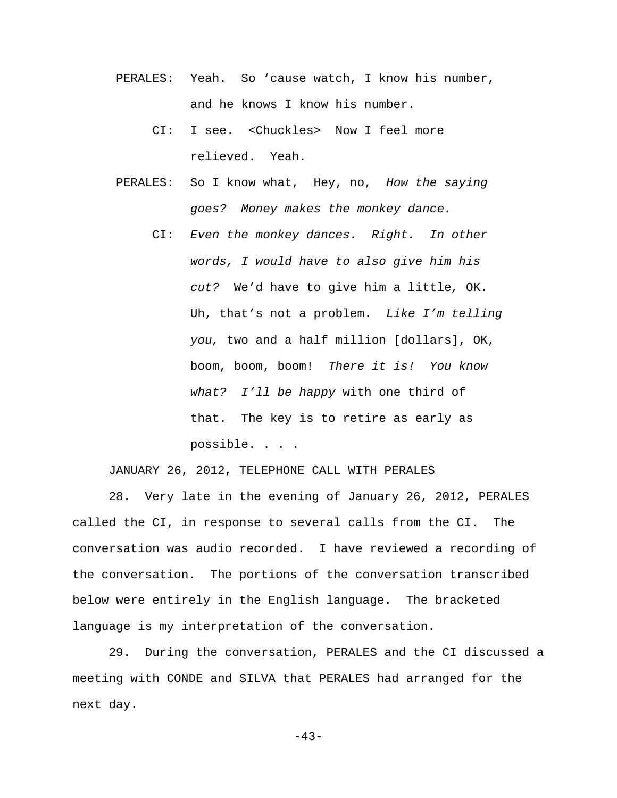- PERALES: Yeah. So 'cause watch, I know his number, and he knows I know his number.
	- CI: I see. <Chuckles> Now I feel more relieved. Yeah.
- PERALES: So I know what, Hey, no, *How the saying goes? Money makes the monkey dance.*
	- CI: *Even the monkey dances. Right. In other words, I would have to also give him his cut?* We'd have to give him a little*,* OK. Uh, that's not a problem. *Like I'm telling you,* two and a half million [dollars], OK, boom, boom, boom! *There it is! You know what? I'll be happy* with one third of that. The key is to retire as early as possible. . . .

## JANUARY 26, 2012, TELEPHONE CALL WITH PERALES

28. Very late in the evening of January 26, 2012, PERALES called the CI, in response to several calls from the CI. The conversation was audio recorded. I have reviewed a recording of the conversation. The portions of the conversation transcribed below were entirely in the English language. The bracketed language is my interpretation of the conversation.

29. During the conversation, PERALES and the CI discussed a meeting with CONDE and SILVA that PERALES had arranged for the next day.

-43-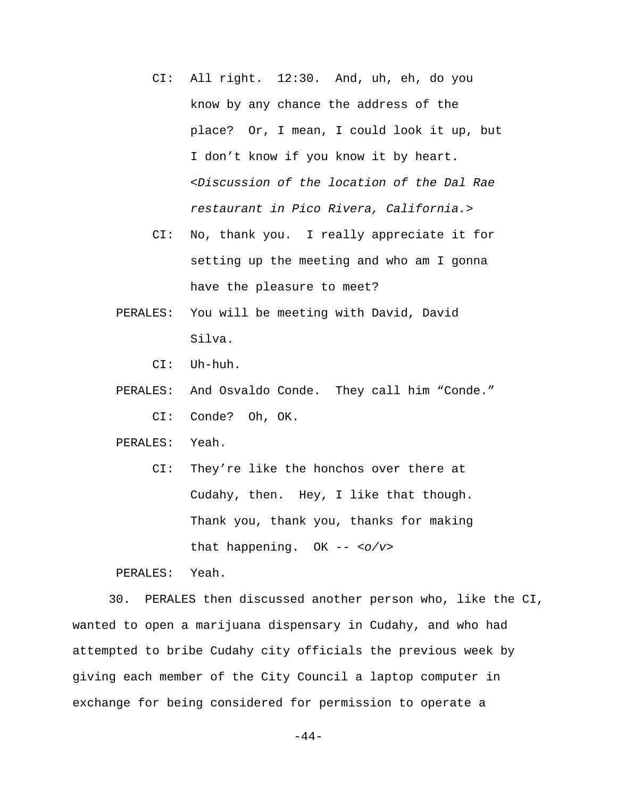- CI: All right. 12:30. And, uh, eh, do you know by any chance the address of the place? Or, I mean, I could look it up, but I don't know if you know it by heart. *<Discussion of the location of the Dal Rae restaurant in Pico Rivera, California.>*
- CI: No, thank you. I really appreciate it for setting up the meeting and who am I gonna have the pleasure to meet?
- PERALES: You will be meeting with David, David Silva.

CI: Uh-huh.

 PERALES: And Osvaldo Conde. They call him "Conde." CI: Conde? Oh, OK.

PERALES: Yeah.

 CI: They're like the honchos over there at Cudahy, then. Hey, I like that though. Thank you, thank you, thanks for making that happening. OK -- *<o/v>*

PERALES: Yeah.

30. PERALES then discussed another person who, like the CI, wanted to open a marijuana dispensary in Cudahy, and who had attempted to bribe Cudahy city officials the previous week by giving each member of the City Council a laptop computer in exchange for being considered for permission to operate a

-44-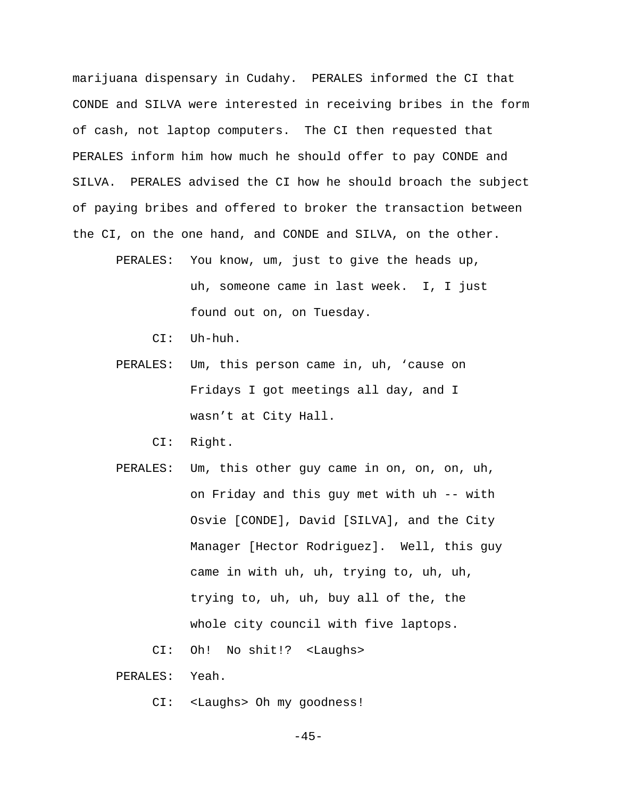marijuana dispensary in Cudahy. PERALES informed the CI that CONDE and SILVA were interested in receiving bribes in the form of cash, not laptop computers. The CI then requested that PERALES inform him how much he should offer to pay CONDE and SILVA. PERALES advised the CI how he should broach the subject of paying bribes and offered to broker the transaction between the CI, on the one hand, and CONDE and SILVA, on the other.

- PERALES: You know, um, just to give the heads up, uh, someone came in last week. I, I just found out on, on Tuesday.
	- CI: Uh-huh.
- PERALES: Um, this person came in, uh, 'cause on Fridays I got meetings all day, and I wasn't at City Hall.
	- CI: Right.
- PERALES: Um, this other guy came in on, on, on, uh, on Friday and this guy met with uh -- with Osvie [CONDE], David [SILVA], and the City Manager [Hector Rodriguez]. Well, this guy came in with uh, uh, trying to, uh, uh, trying to, uh, uh, buy all of the, the whole city council with five laptops.
	- CI: Oh! No shit!? <Laughs>

PERALES: Yeah.

CI: <Laughs> Oh my goodness!

 $-45-$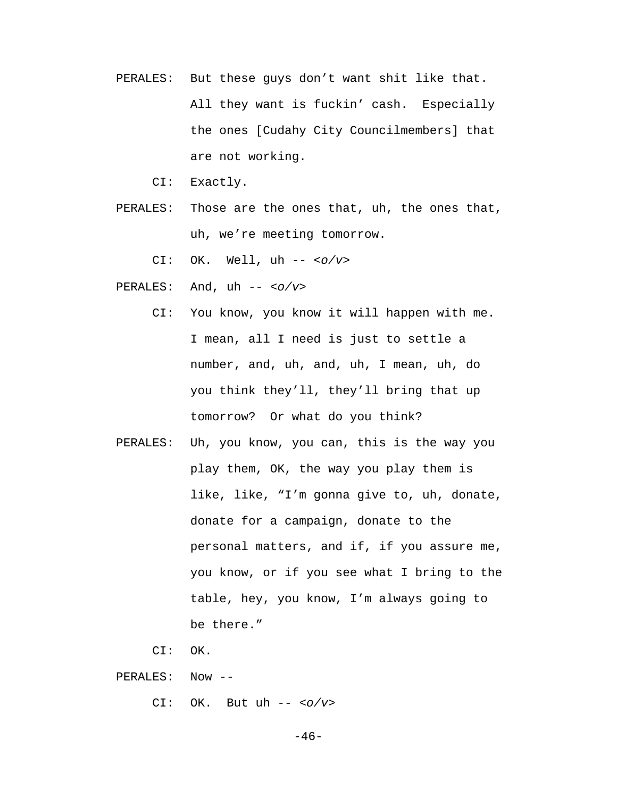PERALES: But these guys don't want shit like that. All they want is fuckin' cash. Especially the ones [Cudahy City Councilmembers] that are not working.

CI: Exactly.

 PERALES: Those are the ones that, uh, the ones that, uh, we're meeting tomorrow.

CI: OK. Well, uh -- *<o/v>*

- PERALES: And, uh -- *<o/v>*
	- CI: You know, you know it will happen with me. I mean, all I need is just to settle a number, and, uh, and, uh, I mean, uh, do you think they'll, they'll bring that up tomorrow? Or what do you think?
- PERALES: Uh, you know, you can, this is the way you play them, OK, the way you play them is like, like, "I'm gonna give to, uh, donate, donate for a campaign, donate to the personal matters, and if, if you assure me, you know, or if you see what I bring to the table, hey, you know, I'm always going to be there."

CI: OK.

PERALES: Now --

CI: OK. But uh -- *<o/v>*

 $-46-$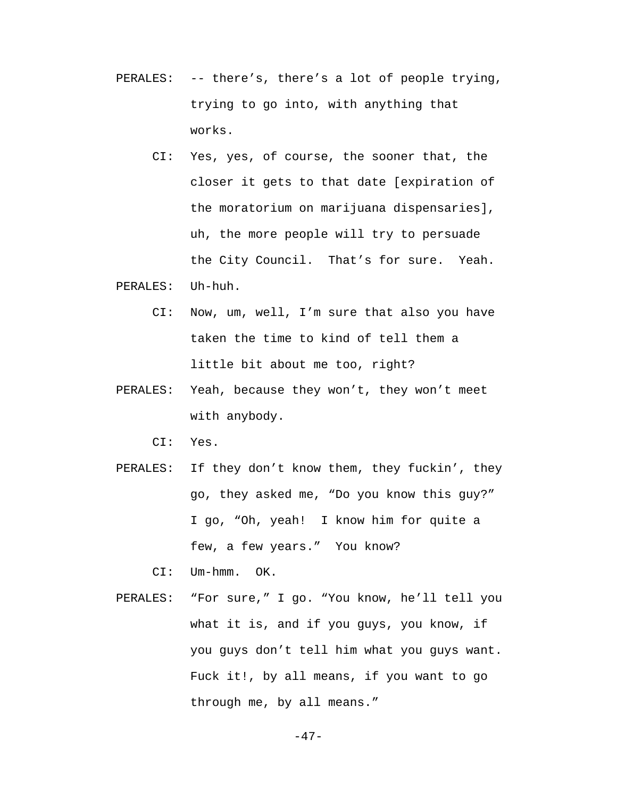- PERALES: -- there's, there's a lot of people trying, trying to go into, with anything that works.
	- CI: Yes, yes, of course, the sooner that, the closer it gets to that date [expiration of the moratorium on marijuana dispensaries], uh, the more people will try to persuade the City Council. That's for sure. Yeah.
- PERALES: Uh-huh.
	- CI: Now, um, well, I'm sure that also you have taken the time to kind of tell them a little bit about me too, right?
- PERALES: Yeah, because they won't, they won't meet with anybody.
	- CI: Yes.
- PERALES: If they don't know them, they fuckin', they go, they asked me, "Do you know this guy?" I go, "Oh, yeah! I know him for quite a few, a few years." You know?
	- CI: Um-hmm. OK.
- PERALES: "For sure," I go. "You know, he'll tell you what it is, and if you guys, you know, if you guys don't tell him what you guys want. Fuck it!, by all means, if you want to go through me, by all means."

$$
-\,4\,7\,-
$$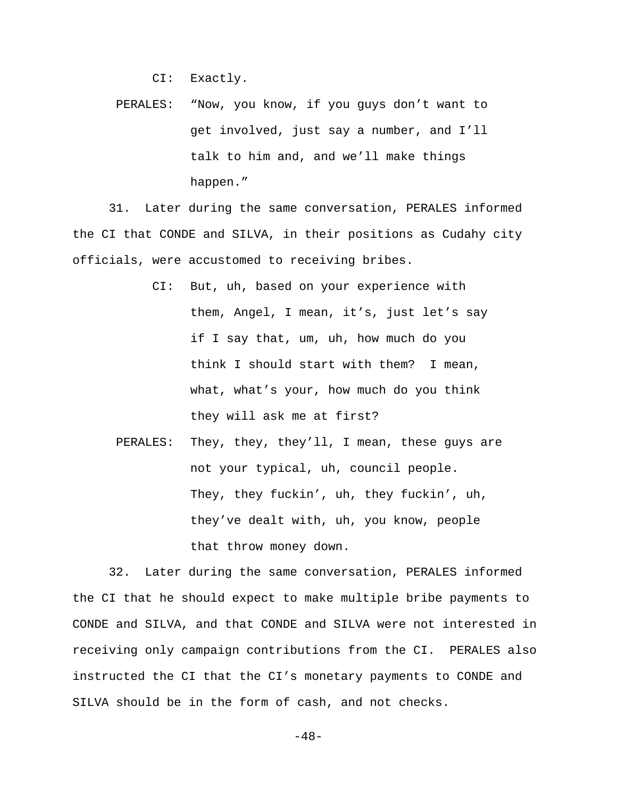CI: Exactly.

 PERALES: "Now, you know, if you guys don't want to get involved, just say a number, and I'll talk to him and, and we'll make things happen."

31. Later during the same conversation, PERALES informed the CI that CONDE and SILVA, in their positions as Cudahy city officials, were accustomed to receiving bribes.

- CI: But, uh, based on your experience with them, Angel, I mean, it's, just let's say if I say that, um, uh, how much do you think I should start with them? I mean, what, what's your, how much do you think they will ask me at first?
- PERALES: They, they, they'll, I mean, these guys are not your typical, uh, council people. They, they fuckin', uh, they fuckin', uh, they've dealt with, uh, you know, people that throw money down.

32. Later during the same conversation, PERALES informed the CI that he should expect to make multiple bribe payments to CONDE and SILVA, and that CONDE and SILVA were not interested in receiving only campaign contributions from the CI. PERALES also instructed the CI that the CI's monetary payments to CONDE and SILVA should be in the form of cash, and not checks.

$$
-\,4\,8\,-\,
$$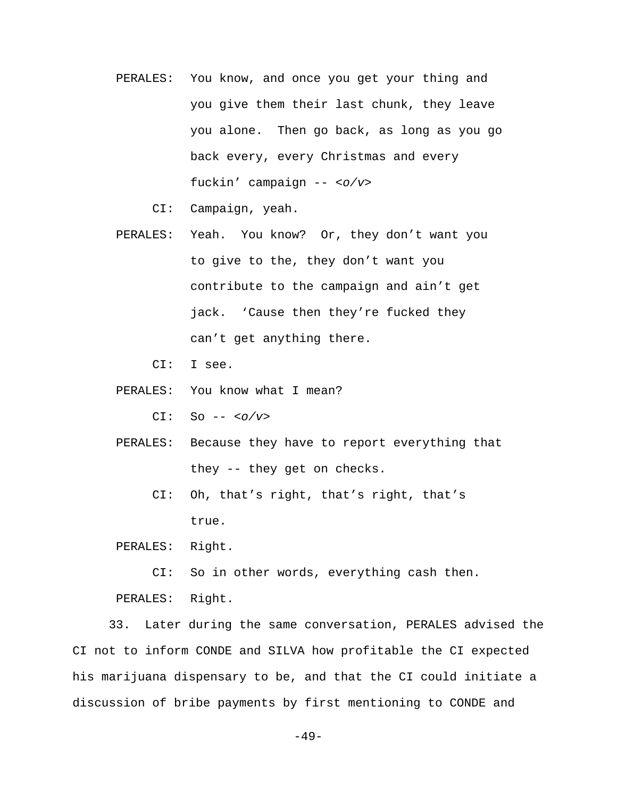- PERALES: You know, and once you get your thing and you give them their last chunk, they leave you alone. Then go back, as long as you go back every, every Christmas and every fuckin' campaign -- *<o/v>*
	- CI: Campaign, yeah.
- PERALES: Yeah. You know? Or, they don't want you to give to the, they don't want you contribute to the campaign and ain't get jack. 'Cause then they're fucked they can't get anything there.

CI: I see.

PERALES: You know what I mean?

CI: So -- *<o/v>*

- PERALES: Because they have to report everything that they -- they get on checks.
	- CI: Oh, that's right, that's right, that's true.

PERALES: Right.

CI: So in other words, everything cash then.

PERALES: Right.

33. Later during the same conversation, PERALES advised the CI not to inform CONDE and SILVA how profitable the CI expected his marijuana dispensary to be, and that the CI could initiate a discussion of bribe payments by first mentioning to CONDE and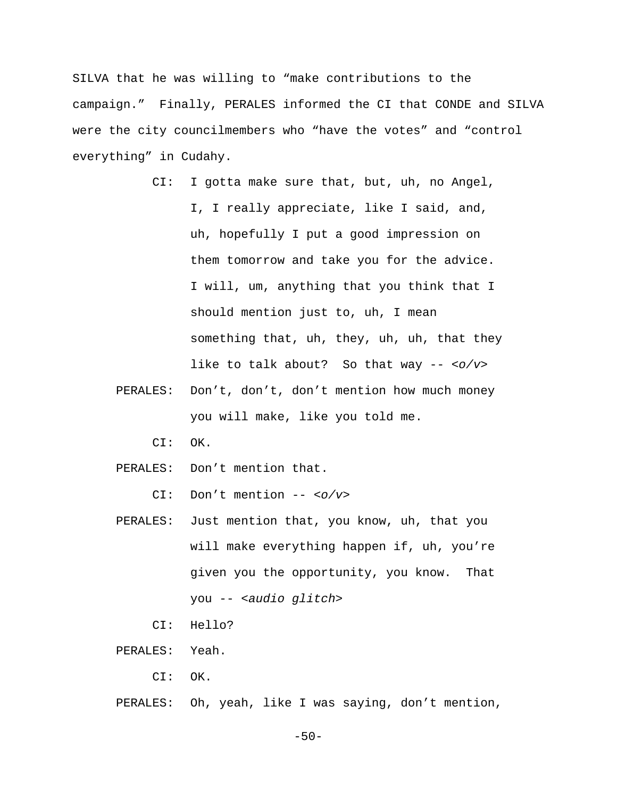SILVA that he was willing to "make contributions to the campaign." Finally, PERALES informed the CI that CONDE and SILVA were the city councilmembers who "have the votes" and "control everything" in Cudahy.

- CI: I gotta make sure that, but, uh, no Angel, I, I really appreciate, like I said, and, uh, hopefully I put a good impression on them tomorrow and take you for the advice. I will, um, anything that you think that I should mention just to, uh, I mean something that, uh, they, uh, uh, that they like to talk about? So that way -- *<o/v>*
- PERALES: Don't, don't, don't mention how much money you will make, like you told me.
	- CI: OK.
- PERALES: Don't mention that.

CI: Don't mention -- *<o/v>*

- PERALES: Just mention that, you know, uh, that you will make everything happen if, uh, you're given you the opportunity, you know. That you -- *<audio glitch>*
	- CI: Hello?
- PERALES: Yeah.
	- CI: OK.
- PERALES: Oh, yeah, like I was saying, don't mention,

-50-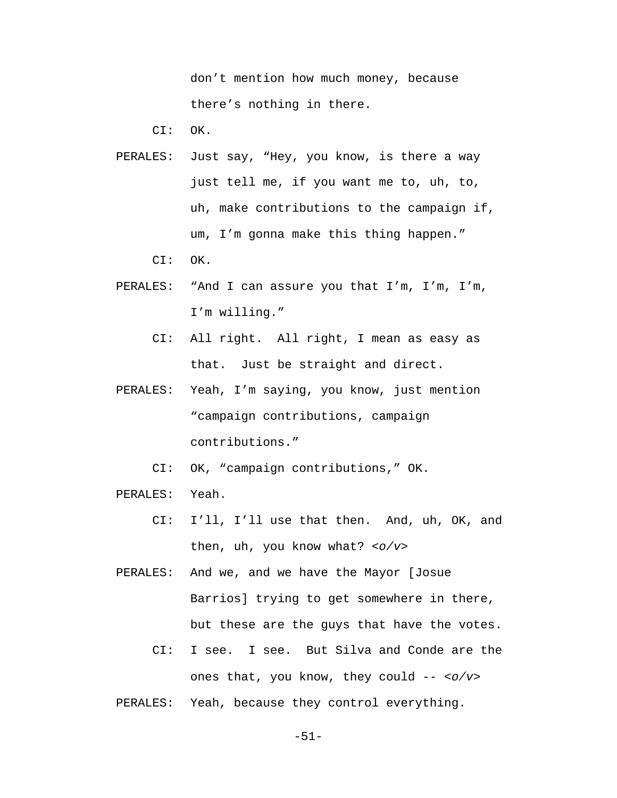don't mention how much money, because there's nothing in there.

CI: OK.

- PERALES: Just say, "Hey, you know, is there a way just tell me, if you want me to, uh, to, uh, make contributions to the campaign if, um, I'm gonna make this thing happen."
	- CI: OK.
- PERALES: "And I can assure you that I'm, I'm, I'm, I'm willing."
	- CI: All right. All right, I mean as easy as that. Just be straight and direct.
- PERALES: Yeah, I'm saying, you know, just mention "campaign contributions, campaign contributions."

CI: OK, "campaign contributions," OK.

- PERALES: Yeah.
	- CI: I'll, I'll use that then. And, uh, OK, and then, uh, you know what? *<o/v>*

 PERALES: And we, and we have the Mayor [Josue Barrios] trying to get somewhere in there, but these are the guys that have the votes.

- CI: I see. I see. But Silva and Conde are the ones that, you know, they could -- *<o/v>*
- PERALES: Yeah, because they control everything.

-51-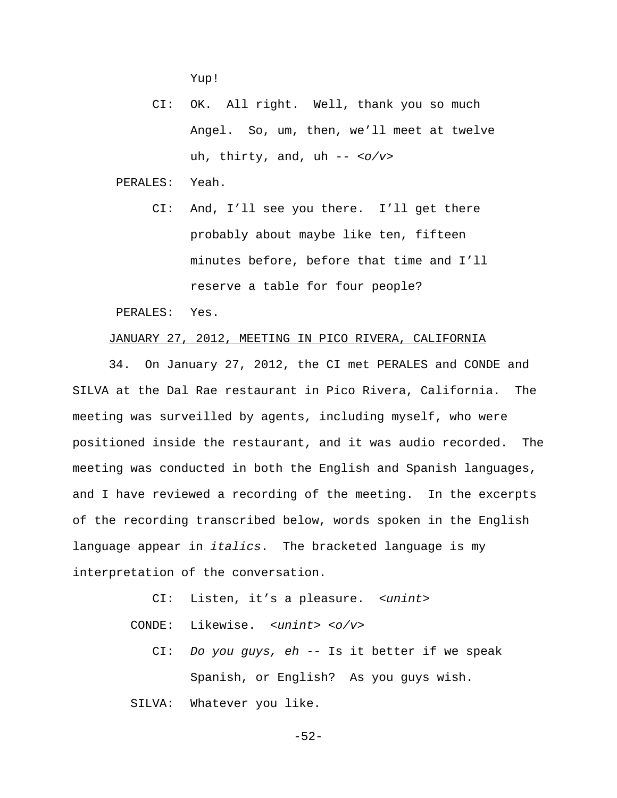Yup!

 CI: OK. All right. Well, thank you so much Angel. So, um, then, we'll meet at twelve uh, thirty, and, uh -- *<o/v>*

PERALES: Yeah.

 CI: And, I'll see you there. I'll get there probably about maybe like ten, fifteen minutes before, before that time and I'll reserve a table for four people?

PERALES: Yes.

## JANUARY 27, 2012, MEETING IN PICO RIVERA, CALIFORNIA

34. On January 27, 2012, the CI met PERALES and CONDE and SILVA at the Dal Rae restaurant in Pico Rivera, California. The meeting was surveilled by agents, including myself, who were positioned inside the restaurant, and it was audio recorded. The meeting was conducted in both the English and Spanish languages, and I have reviewed a recording of the meeting. In the excerpts of the recording transcribed below, words spoken in the English language appear in *italics*. The bracketed language is my interpretation of the conversation.

- CI: Listen, it's a pleasure. *<unint>*
- CONDE: Likewise. *<unint> <o/v>*
	- CI: *Do you guys, eh --* Is it better if we speak Spanish, or English? As you guys wish.

SILVA: Whatever you like.

-52-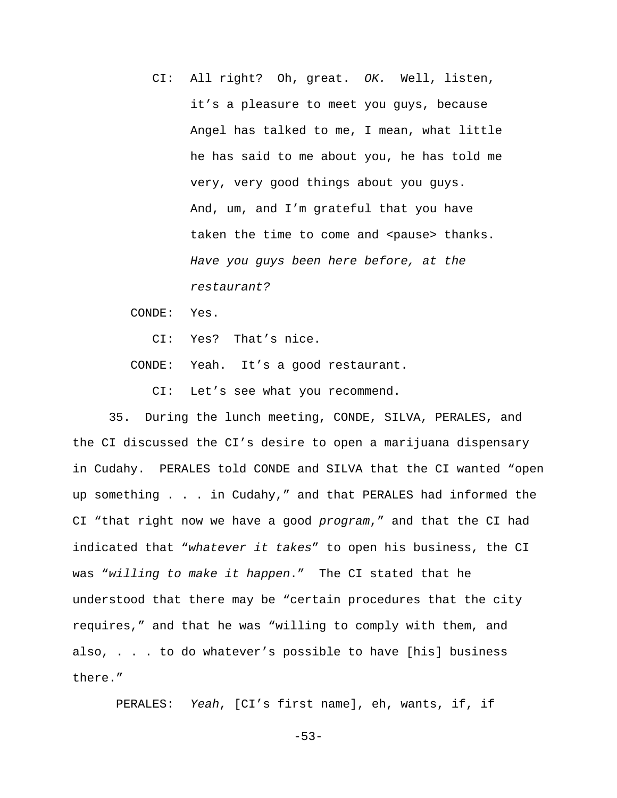CI: All right? Oh, great. *OK.* Well, listen, it's a pleasure to meet you guys, because Angel has talked to me, I mean, what little he has said to me about you, he has told me very, very good things about you guys. And, um, and I'm grateful that you have taken the time to come and <pause> thanks. *Have you guys been here before, at the restaurant?*

CONDE: Yes.

CI: Yes? That's nice.

CONDE: Yeah. It's a good restaurant.

CI: Let's see what you recommend.

35. During the lunch meeting, CONDE, SILVA, PERALES, and the CI discussed the CI's desire to open a marijuana dispensary in Cudahy. PERALES told CONDE and SILVA that the CI wanted "open up something . . . in Cudahy," and that PERALES had informed the CI "that right now we have a good *program*," and that the CI had indicated that "*whatever it takes*" to open his business, the CI was "*willing to make it happen*." The CI stated that he understood that there may be "certain procedures that the city requires," and that he was "willing to comply with them, and also, . . . to do whatever's possible to have [his] business there."

PERALES: *Yeah*, [CI's first name], eh, wants, if, if

-53-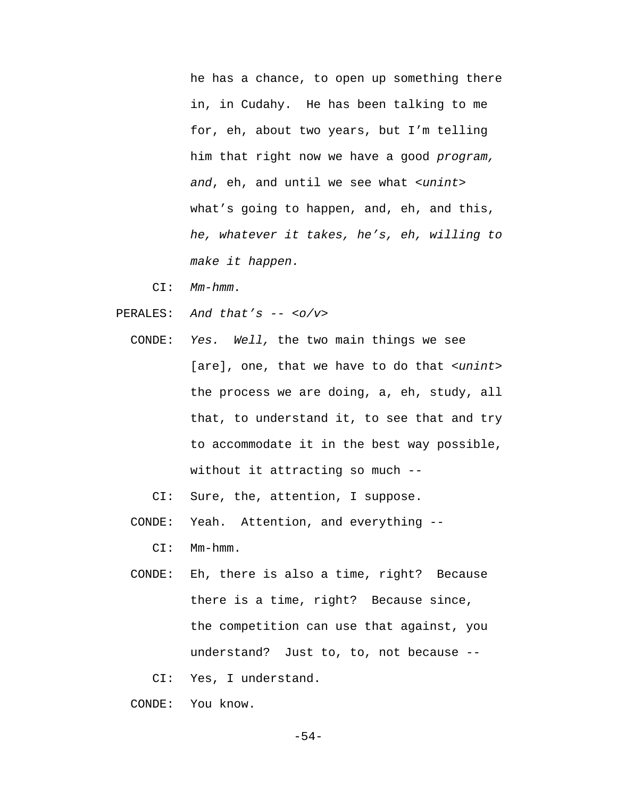he has a chance, to open up something there in, in Cudahy. He has been talking to me for, eh, about two years, but I'm telling him that right now we have a good *program, and*, eh, and until we see what *<unint>* what's going to happen, and, eh, and this, *he, whatever it takes, he's, eh, willing to make it happen.*

- CI: *Mm-hmm.*
- PERALES: *And that's -- <o/v>*
	- CONDE: *Yes. Well,* the two main things we see [are], one, that we have to do that *<unint>* the process we are doing, a, eh, study, all that, to understand it, to see that and try to accommodate it in the best way possible, without it attracting so much --

CI: Sure, the, attention, I suppose.

CONDE: Yeah. Attention, and everything --

CI: Mm-hmm.

- CONDE: Eh, there is also a time, right? Because there is a time, right? Because since, the competition can use that against, you understand? Just to, to, not because --
	- CI: Yes, I understand.
- CONDE: You know.

-54-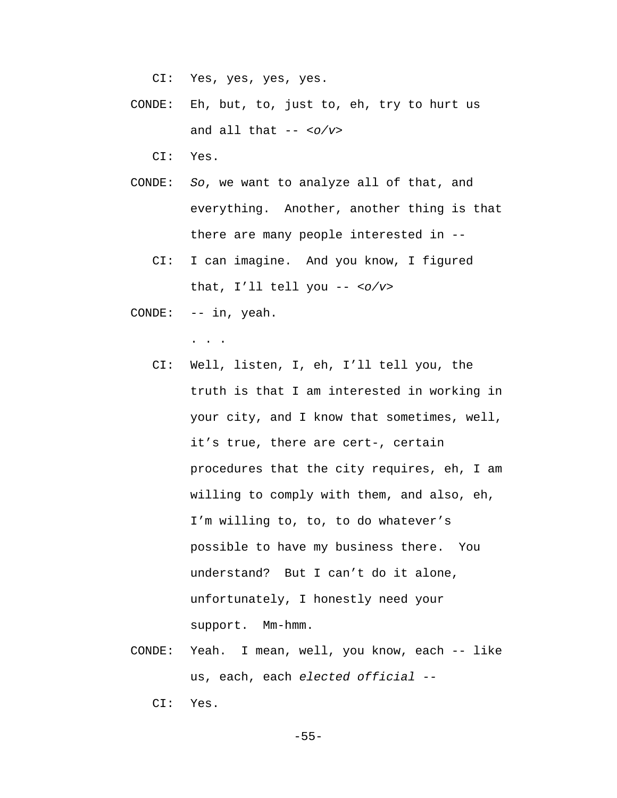CI: Yes, yes, yes, yes.

- CONDE: Eh, but, to, just to, eh, try to hurt us and all that -- *<o/v>*
	- CI: Yes.
- CONDE: *So*, we want to analyze all of that, and everything. Another, another thing is that there are many people interested in --
	- CI: I can imagine. And you know, I figured that, I'll tell you -- *<o/v>*
- CONDE: -- in, yeah.

. . .

- CI: Well, listen, I, eh, I'll tell you, the truth is that I am interested in working in your city, and I know that sometimes, well, it's true, there are cert-, certain procedures that the city requires, eh, I am willing to comply with them, and also, eh, I'm willing to, to, to do whatever's possible to have my business there. You understand? But I can't do it alone, unfortunately, I honestly need your support. Mm-hmm.
- CONDE: Yeah. I mean, well, you know, each -- like us, each, each *elected official --*

CI: Yes.

-55-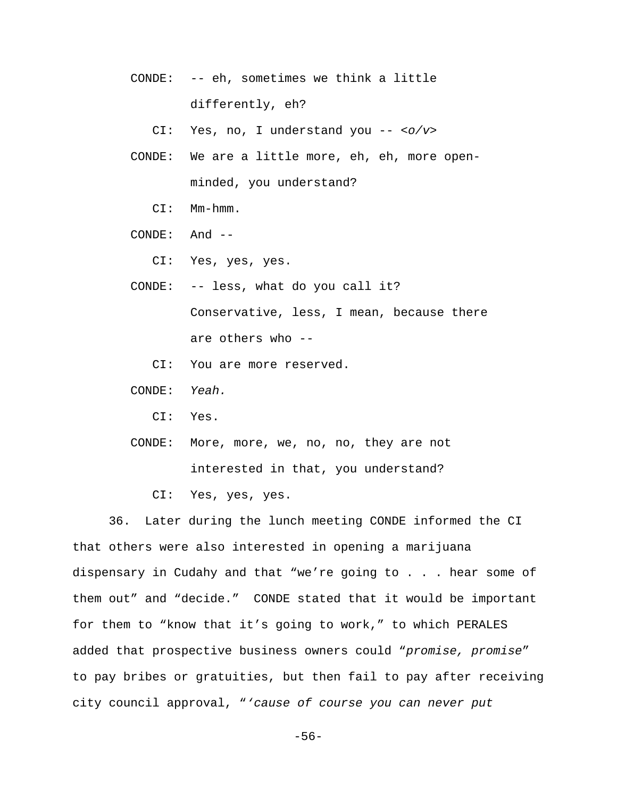CONDE: -- eh, sometimes we think a little differently, eh?

CI: Yes, no, I understand you -- *<o/v>*

- CONDE: We are a little more, eh, eh, more openminded, you understand?
	- CI: Mm-hmm.
- CONDE: And --
	- CI: Yes, yes, yes.
- CONDE: -- less, what do you call it? Conservative, less, I mean, because there are others who --
	- CI: You are more reserved.
- CONDE: *Yeah.*
	- CI: Yes.
- CONDE: More, more, we, no, no, they are not interested in that, you understand?
	- CI: Yes, yes, yes.

36. Later during the lunch meeting CONDE informed the CI that others were also interested in opening a marijuana dispensary in Cudahy and that "we're going to . . . hear some of them out" and "decide." CONDE stated that it would be important for them to "know that it's going to work," to which PERALES added that prospective business owners could "*promise, promise*" to pay bribes or gratuities, but then fail to pay after receiving city council approval, "*'cause of course you can never put*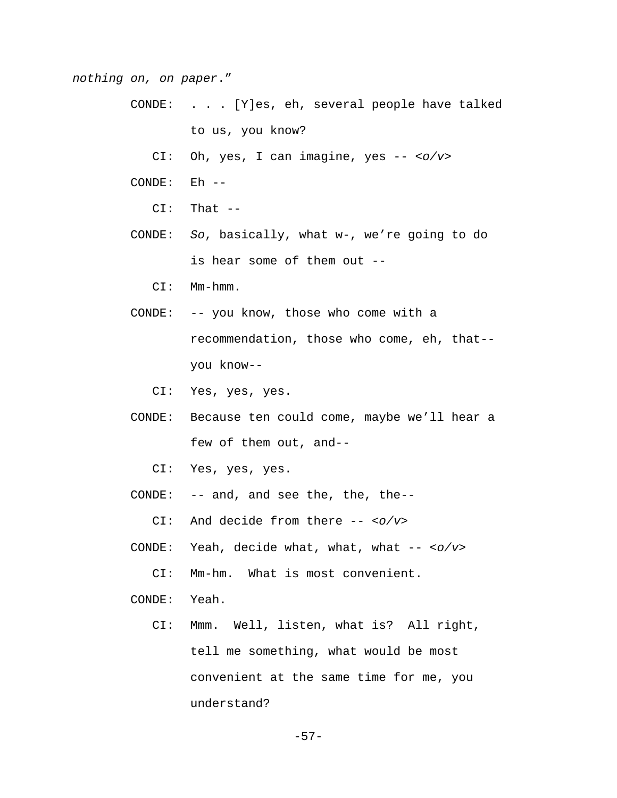*nothing on, on paper*."

- CONDE: . . . [Y]es, eh, several people have talked to us, you know?
	- CI: Oh, yes, I can imagine, yes -- *<o/v>*
- CONDE: Eh --
	- CI: That --
- CONDE: *So*, basically, what w-, we're going to do is hear some of them out --
	- CI: Mm-hmm.
- CONDE: -- you know, those who come with a recommendation, those who come, eh, that- you know--
	- CI: Yes, yes, yes.
- CONDE: Because ten could come, maybe we'll hear a few of them out, and--
	- CI: Yes, yes, yes.
- CONDE: -- and, and see the, the, the--
	- CI: And decide from there -- *<o/v>*
- CONDE: Yeah, decide what, what, what -- *<o/v>*
	- CI: Mm-hm. What is most convenient.
- CONDE: Yeah.
	- CI: Mmm. Well, listen, what is? All right, tell me something, what would be most convenient at the same time for me, you understand?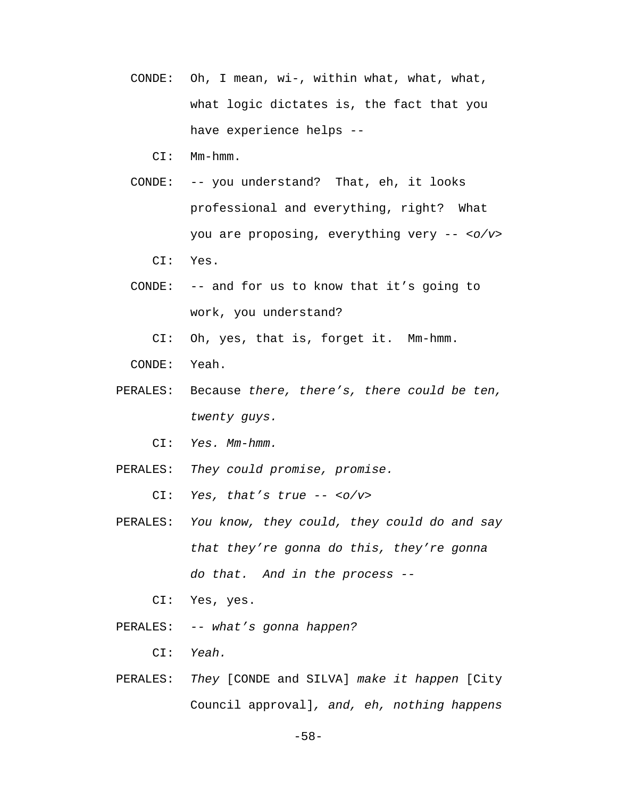- CONDE: Oh, I mean, wi-, within what, what, what, what logic dictates is, the fact that you have experience helps --
	- CI: Mm-hmm.
- CONDE: -- you understand? That, eh, it looks professional and everything, right? What you are proposing, everything very -- *<o/v>* CI: Yes.
- CONDE: -- and for us to know that it's going to work, you understand?
	- CI: Oh, yes, that is, forget it. Mm-hmm.
- CONDE: Yeah.
- PERALES: Because *there, there's, there could be ten, twenty guys.*
	- CI: *Yes. Mm-hmm.*
- PERALES: *They could promise, promise.*

CI: *Yes, that's true -- <o/v>*

- PERALES: *You know, they could, they could do and say that they're gonna do this, they're gonna do that. And in the process --*
	- CI: Yes, yes.
- PERALES: *-- what's gonna happen?*
	- CI: *Yeah.*
- PERALES: *They* [CONDE and SILVA] *make it happen* [City Council approval]*, and, eh, nothing happens*

-58-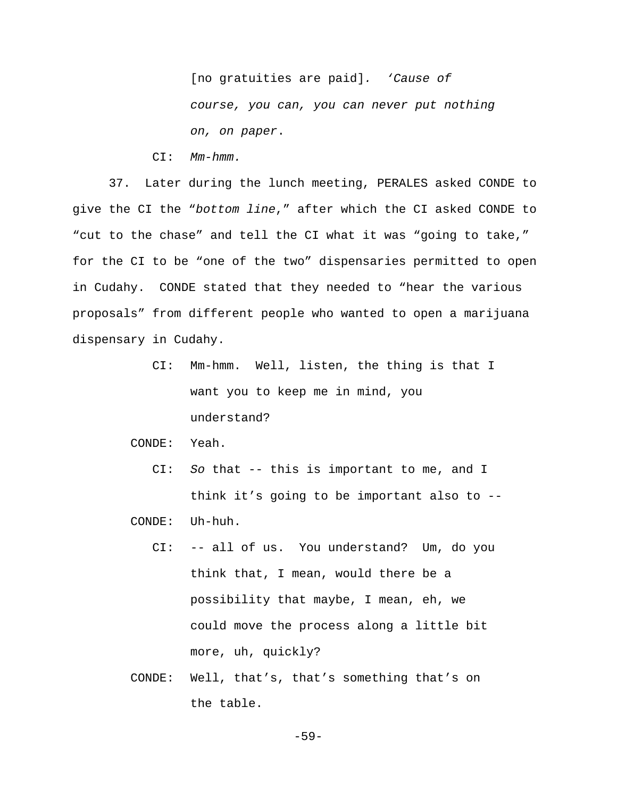[no gratuities are paid]*. 'Cause of course, you can, you can never put nothing on, on paper*.

CI: *Mm-hmm.*

37. Later during the lunch meeting, PERALES asked CONDE to give the CI the "*bottom line*," after which the CI asked CONDE to "cut to the chase" and tell the CI what it was "going to take," for the CI to be "one of the two" dispensaries permitted to open in Cudahy. CONDE stated that they needed to "hear the various proposals" from different people who wanted to open a marijuana dispensary in Cudahy.

> CI: Mm-hmm. Well, listen, the thing is that I want you to keep me in mind, you understand?

CONDE: Yeah.

 CI: *So* that -- this is important to me, and I think it's going to be important also to --

CONDE: Uh-huh.

- CI: -- all of us. You understand? Um, do you think that, I mean, would there be a possibility that maybe, I mean, eh, we could move the process along a little bit more, uh, quickly?
- CONDE: Well, that's, that's something that's on the table.

-59-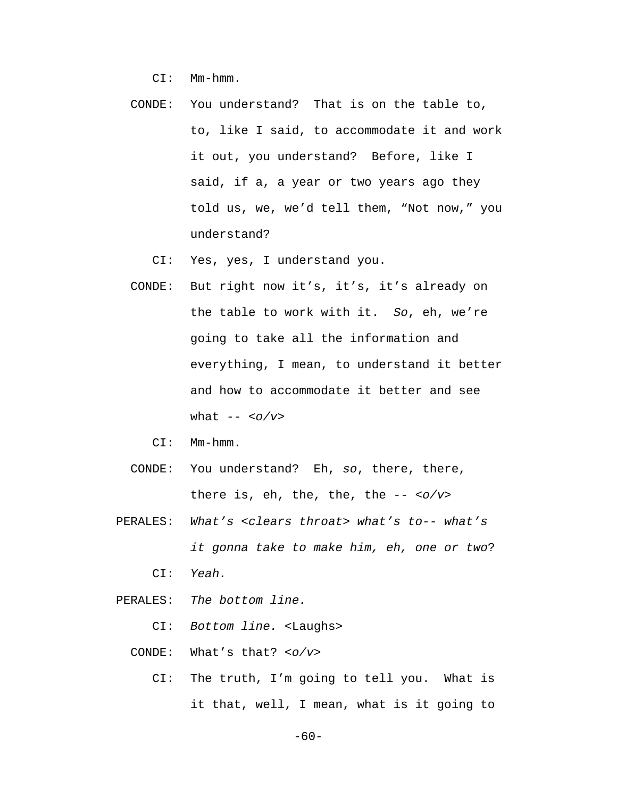CI: Mm-hmm.

 CONDE: You understand? That is on the table to, to, like I said, to accommodate it and work it out, you understand? Before, like I said, if a, a year or two years ago they told us, we, we'd tell them, "Not now," you understand?

CI: Yes, yes, I understand you.

- CONDE: But right now it's, it's, it's already on the table to work with it. *So*, eh, we're going to take all the information and everything, I mean, to understand it better and how to accommodate it better and see what -- *<o/v>*
	- CI: Mm-hmm.
- CONDE: You understand? Eh, *so*, there, there, there is, eh, the, the, the -- *<o/v>*
- PERALES: *What's <clears throat> what's to-- what's it gonna take to make him, eh, one or two*? CI: *Yeah.*
- PERALES: *The bottom line.*

CI: *Bottom line.* <Laughs>

- CONDE: What's that? *<o/v>*
	- CI: The truth, I'm going to tell you. What is it that, well, I mean, what is it going to

-60-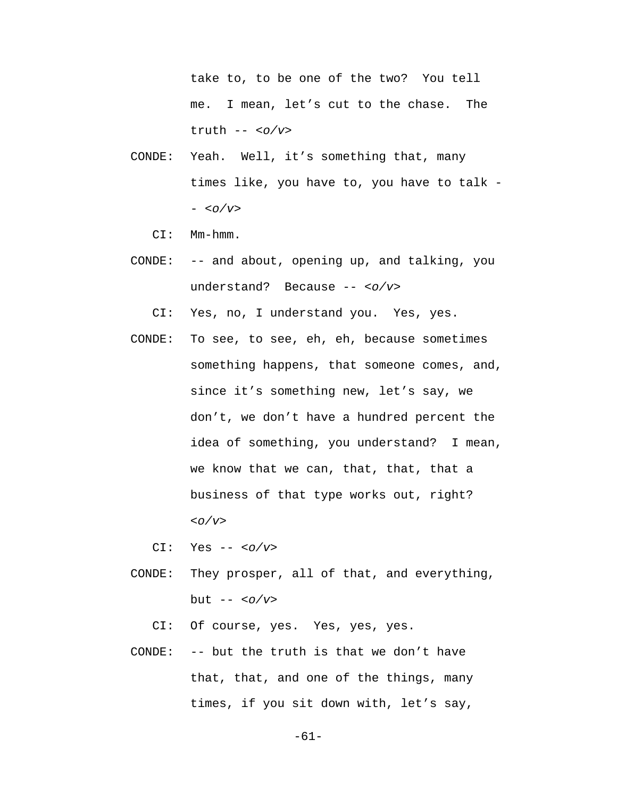take to, to be one of the two? You tell me. I mean, let's cut to the chase. The truth -- *<o/v>*

- CONDE: Yeah. Well, it's something that, many times like, you have to, you have to talk - - *<o/v>*
	- CI: Mm-hmm.
- CONDE: -- and about, opening up, and talking, you understand? Because -- *<o/v>*

CI: Yes, no, I understand you. Yes, yes.

 CONDE: To see, to see, eh, eh, because sometimes something happens, that someone comes, and, since it's something new, let's say, we don't, we don't have a hundred percent the idea of something, you understand? I mean, we know that we can, that, that, that a business of that type works out, right? *<o/v>*

CI: Yes -- *<o/v>*

 CONDE: They prosper, all of that, and everything, but -- *<o/v>*

CI: Of course, yes. Yes, yes, yes.

 CONDE: -- but the truth is that we don't have that, that, and one of the things, many times, if you sit down with, let's say,

-61-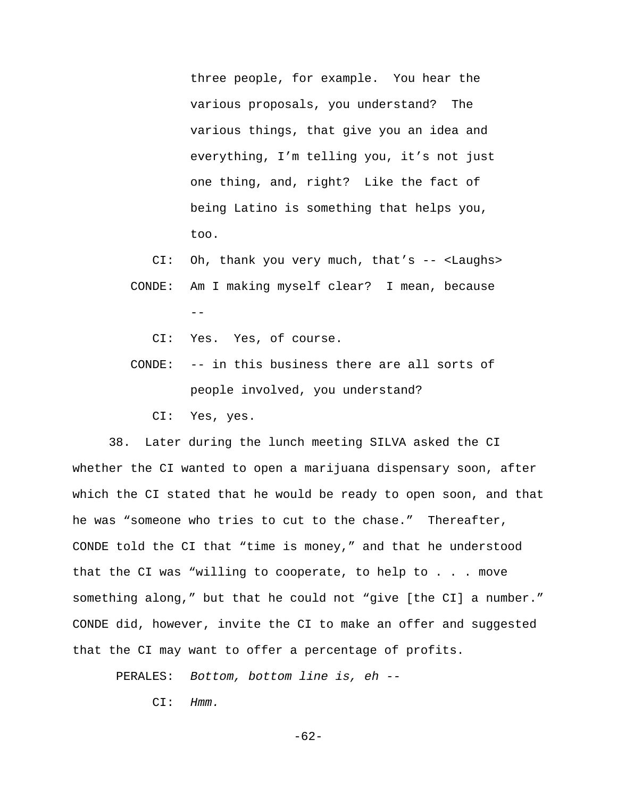three people, for example. You hear the various proposals, you understand? The various things, that give you an idea and everything, I'm telling you, it's not just one thing, and, right? Like the fact of being Latino is something that helps you, too.

 CI: Oh, thank you very much, that's -- <Laughs> CONDE: Am I making myself clear? I mean, because --

CI: Yes. Yes, of course.

 CONDE: -- in this business there are all sorts of people involved, you understand?

CI: Yes, yes.

38. Later during the lunch meeting SILVA asked the CI whether the CI wanted to open a marijuana dispensary soon, after which the CI stated that he would be ready to open soon, and that he was "someone who tries to cut to the chase." Thereafter, CONDE told the CI that "time is money," and that he understood that the CI was "willing to cooperate, to help to . . . move something along," but that he could not "give [the CI] a number." CONDE did, however, invite the CI to make an offer and suggested that the CI may want to offer a percentage of profits.

PERALES: *Bottom, bottom line is, eh --*

CI: *Hmm.*

-62-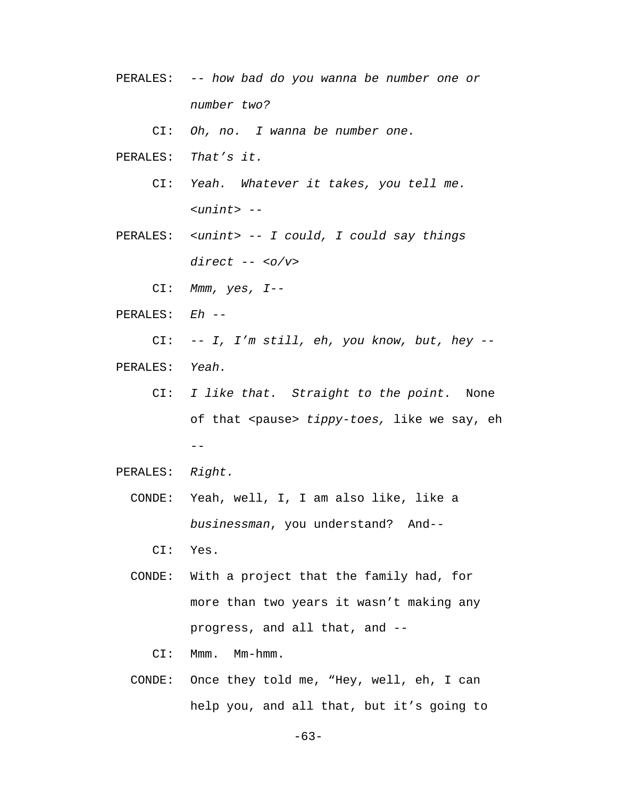PERALES: *-- how bad do you wanna be number one or number two?*

CI: *Oh, no. I wanna be number one.*

- PERALES: *That's it.*
	- CI: *Yeah. Whatever it takes, you tell me. <unint> --*
- PERALES: *<unint> -- I could, I could say things direct -- <o/v>*
	- CI: *Mmm, yes, I--*
- PERALES: *Eh --*

 CI: *-- I, I'm still, eh, you know, but, hey --* PERALES: *Yeah.*

- CI: *I like that. Straight to the point.* None of that <pause> *tippy-toes,* like we say, eh  $- -$
- PERALES: *Right.*
	- CONDE: Yeah, well, I, I am also like, like a *businessman*, you understand? And--
		- CI: Yes.
	- CONDE: With a project that the family had, for more than two years it wasn't making any progress, and all that, and --
		- CI: Mmm. Mm-hmm.
	- CONDE: Once they told me, "Hey, well, eh, I can help you, and all that, but it's going to

-63-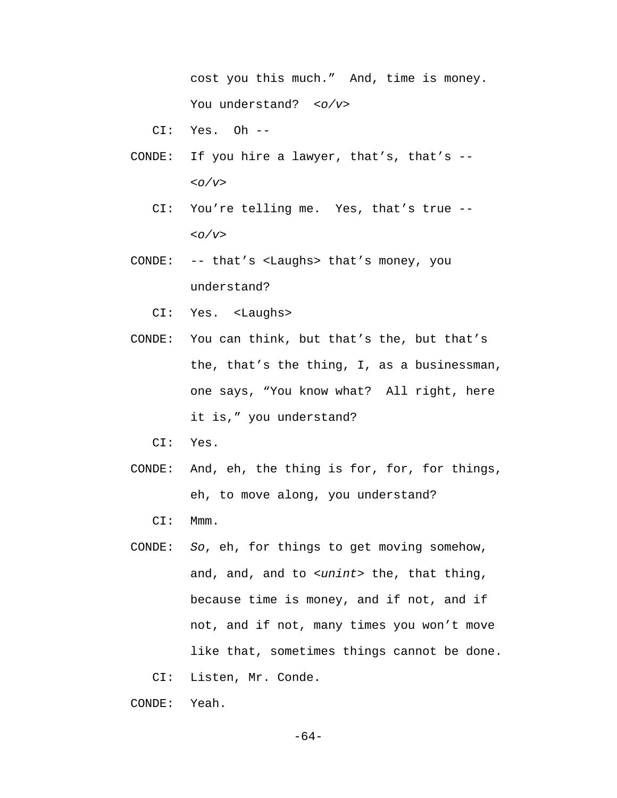cost you this much." And, time is money. You understand? *<o/v>*

CI: Yes. Oh --

- CONDE: If you hire a lawyer, that's, that's -- *<o/v>*
	- CI: You're telling me. Yes, that's true -- *<o/v>*
- CONDE: -- that's <Laughs> that's money, you understand?
	- CI: Yes. <Laughs>
- CONDE: You can think, but that's the, but that's the, that's the thing, I, as a businessman, one says, "You know what? All right, here it is," you understand?
	- CI: Yes.
- CONDE: And, eh, the thing is for, for, for things, eh, to move along, you understand?
	- CI: Mmm.
- CONDE: *So*, eh, for things to get moving somehow, and, and, and to *<unint>* the, that thing, because time is money, and if not, and if not, and if not, many times you won't move like that, sometimes things cannot be done.
	- CI: Listen, Mr. Conde.

CONDE: Yeah.

-64-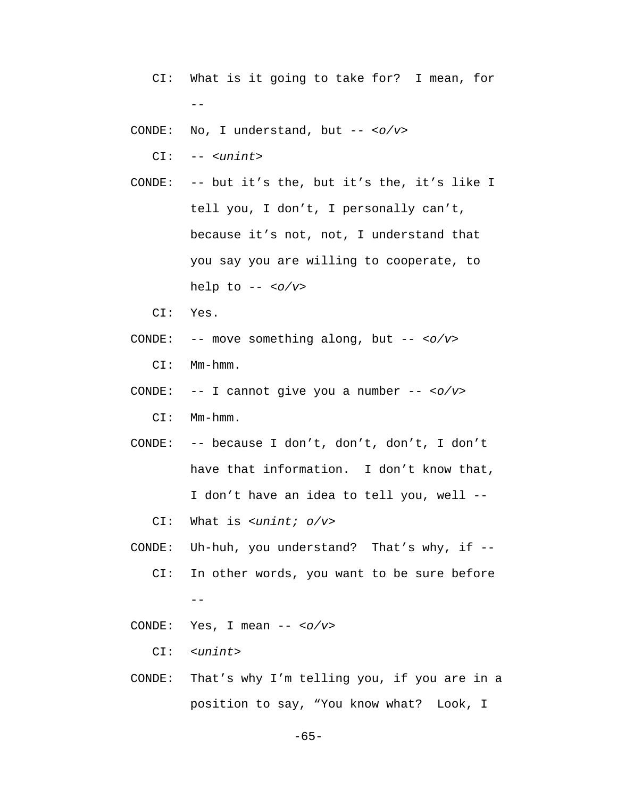- CI: What is it going to take for? I mean, for  $- -$
- CONDE: No, I understand, but -- *<o/v>*

CI: -- *<unint>*

- CONDE: -- but it's the, but it's the, it's like I tell you, I don't, I personally can't, because it's not, not, I understand that you say you are willing to cooperate, to help to -- *<o/v>*
	- CI: Yes.
- CONDE: -- move something along, but -- *<o/v>*

CI: Mm-hmm.

CONDE: -- I cannot give you a number -- *<o/v>*

CI: Mm-hmm.

 CONDE: -- because I don't, don't, don't, I don't have that information. I don't know that, I don't have an idea to tell you, well --

CI: What is *<unint; o/v>*

 CONDE: Uh-huh, you understand? That's why, if -- CI: In other words, you want to be sure before --

CONDE: Yes, I mean -- *<o/v>*

CI: *<unint>*

 CONDE: That's why I'm telling you, if you are in a position to say, "You know what? Look, I

-65-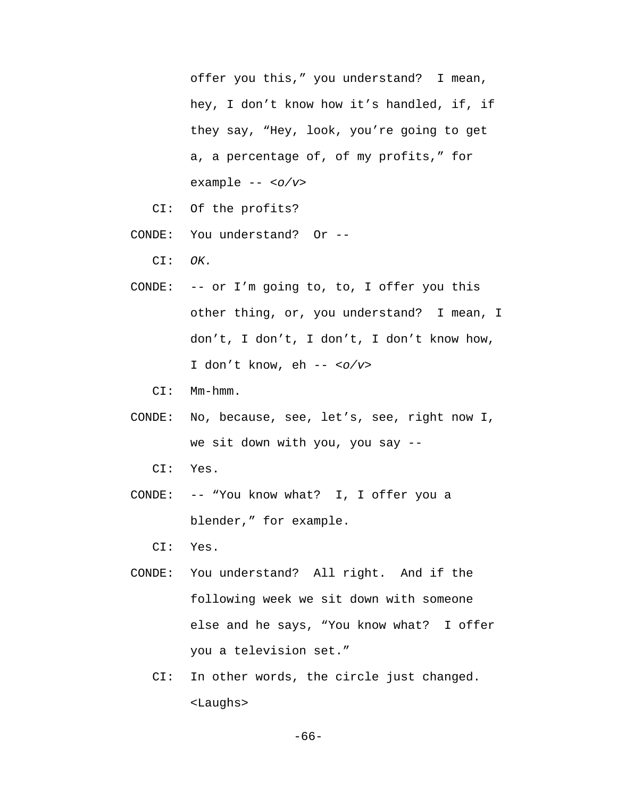offer you this," you understand? I mean, hey, I don't know how it's handled, if, if they say, "Hey, look, you're going to get a, a percentage of, of my profits," for example -- *<o/v>*

- CI: Of the profits?
- CONDE: You understand? Or --

CI: *OK.*

- CONDE: -- or I'm going to, to, I offer you this other thing, or, you understand? I mean, I don't, I don't, I don't, I don't know how, I don't know, eh -- *<o/v>*
	- CI: Mm-hmm.
- CONDE: No, because, see, let's, see, right now I, we sit down with you, you say --
	- CI: Yes.
- CONDE: -- "You know what? I, I offer you a blender," for example.

CI: Yes.

- CONDE: You understand? All right. And if the following week we sit down with someone else and he says, "You know what? I offer you a television set."
	- CI: In other words, the circle just changed. <Laughs>

-66-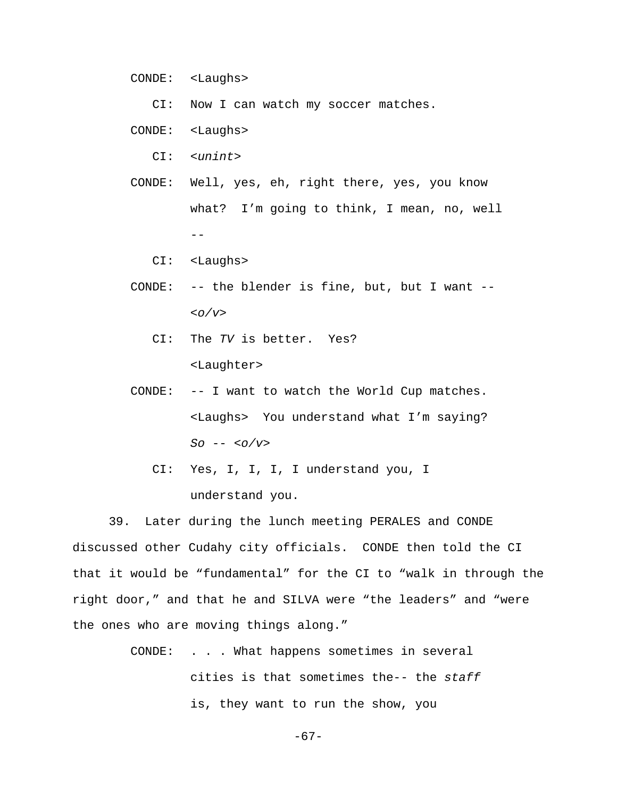CONDE: <Laughs>

CI: Now I can watch my soccer matches.

- CONDE: <Laughs>
	- CI: *<unint>*
- CONDE: Well, yes, eh, right there, yes, you know what? I'm going to think, I mean, no, well  $-$ 
	- CI: <Laughs>
- CONDE: -- the blender is fine, but, but I want *-- <o/v>*
	- CI: The *TV* is better. Yes? <Laughter>
- CONDE: -- I want to watch the World Cup matches. <Laughs> You understand what I'm saying? *So* -- *<o/v>*
	- CI: Yes, I, I, I, I understand you, I understand you.

39. Later during the lunch meeting PERALES and CONDE discussed other Cudahy city officials. CONDE then told the CI that it would be "fundamental" for the CI to "walk in through the right door," and that he and SILVA were "the leaders" and "were the ones who are moving things along."

> CONDE: . . . What happens sometimes in several cities is that sometimes the-- the *staff* is, they want to run the show, you

> > -67-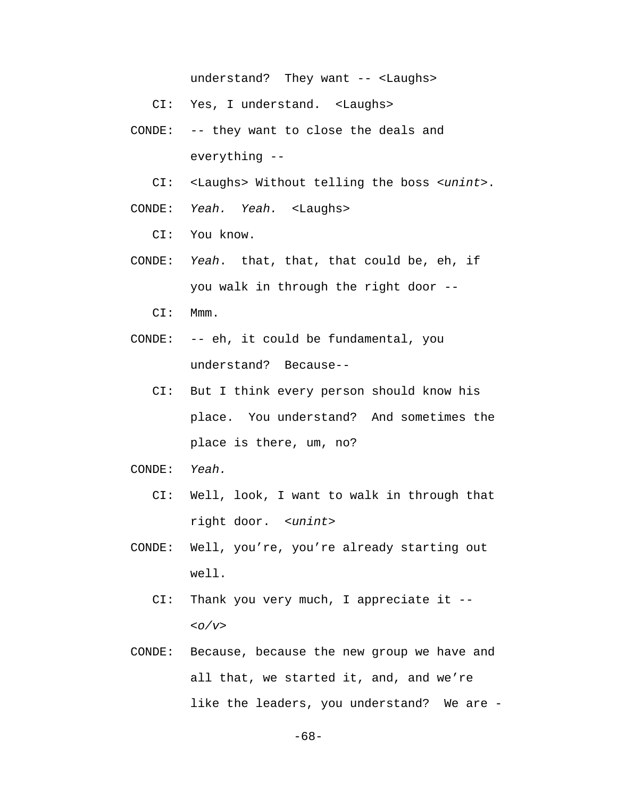understand? They want -- <Laughs>

- CI: Yes, I understand. <Laughs>
- CONDE: -- they want to close the deals and everything --
	- CI: <Laughs> Without telling the boss *<unint>*.

CONDE: *Yeah. Yeah.* <Laughs>

CI: You know.

 CONDE: *Yeah*. that, that, that could be, eh, if you walk in through the right door --

CI: Mmm.

- CONDE: -- eh, it could be fundamental, you understand? Because--
	- CI: But I think every person should know his place. You understand? And sometimes the place is there, um, no?
- CONDE: *Yeah.* 
	- CI: Well, look, I want to walk in through that right door. *<unint>*
- CONDE: Well, you're, you're already starting out well.
	- CI: Thank you very much, I appreciate it -- *<o/v>*
- CONDE: Because, because the new group we have and all that, we started it, and, and we're like the leaders, you understand? We are -

-68-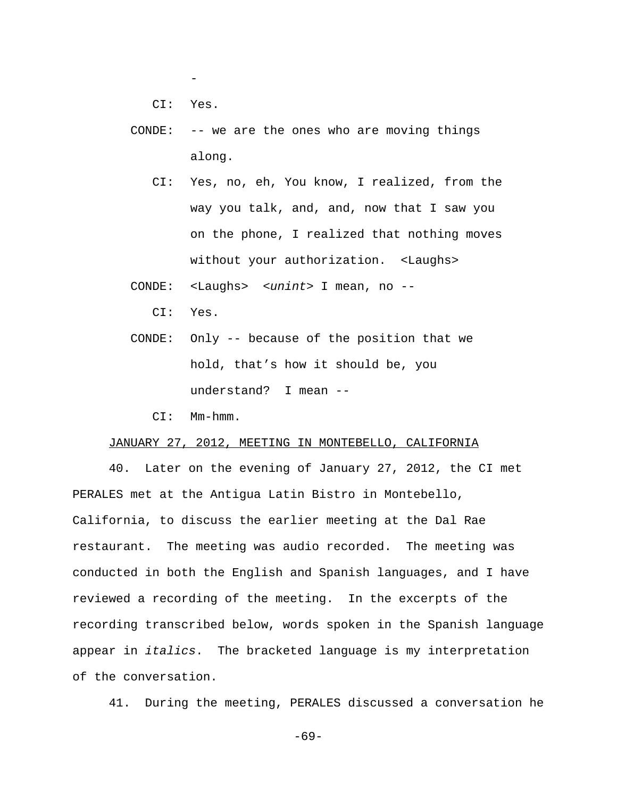-

CI: Yes.

- CONDE: -- we are the ones who are moving things along.
	- CI: Yes, no, eh, You know, I realized, from the way you talk, and, and, now that I saw you on the phone, I realized that nothing moves without your authorization. <Laughs>
- CONDE: <Laughs> *<unint>* I mean, no --
	- CI: Yes.
- CONDE: Only -- because of the position that we hold, that's how it should be, you understand? I mean --
	- CI: Mm-hmm.

## JANUARY 27, 2012, MEETING IN MONTEBELLO, CALIFORNIA

40. Later on the evening of January 27, 2012, the CI met PERALES met at the Antigua Latin Bistro in Montebello, California, to discuss the earlier meeting at the Dal Rae restaurant. The meeting was audio recorded. The meeting was conducted in both the English and Spanish languages, and I have reviewed a recording of the meeting. In the excerpts of the recording transcribed below, words spoken in the Spanish language appear in *italics*. The bracketed language is my interpretation of the conversation.

41. During the meeting, PERALES discussed a conversation he

-69-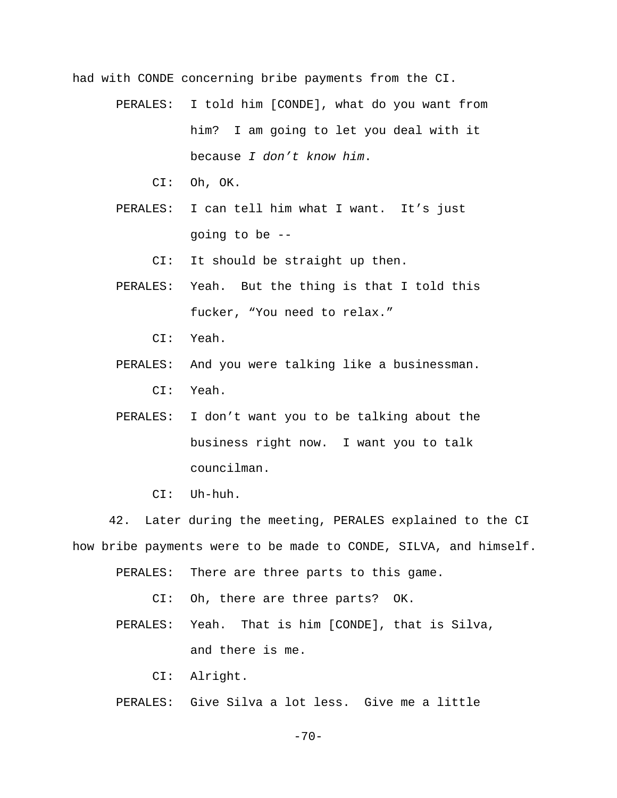had with CONDE concerning bribe payments from the CI.

- PERALES: I told him [CONDE], what do you want from him? I am going to let you deal with it because *I don't know him*.
	- CI: Oh, OK.
- PERALES: I can tell him what I want. It's just going to be --
	- CI: It should be straight up then.
- PERALES: Yeah. But the thing is that I told this fucker, "You need to relax."
	- CI: Yeah.
- PERALES: And you were talking like a businessman. CI: Yeah.
- PERALES: I don't want you to be talking about the business right now. I want you to talk councilman.
	- CI: Uh-huh.

42. Later during the meeting, PERALES explained to the CI how bribe payments were to be made to CONDE, SILVA, and himself.

- PERALES: There are three parts to this game.
	- CI: Oh, there are three parts? OK.
- PERALES: Yeah. That is him [CONDE], that is Silva, and there is me.
	- CI: Alright.
- PERALES: Give Silva a lot less. Give me a little

 $-70-$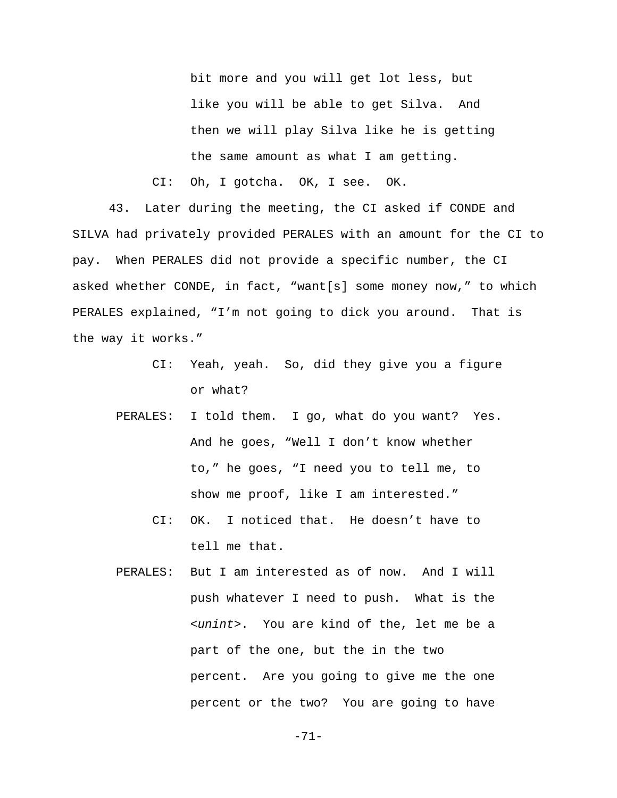bit more and you will get lot less, but like you will be able to get Silva. And then we will play Silva like he is getting the same amount as what I am getting.

CI: Oh, I gotcha. OK, I see. OK.

43. Later during the meeting, the CI asked if CONDE and SILVA had privately provided PERALES with an amount for the CI to pay. When PERALES did not provide a specific number, the CI asked whether CONDE, in fact, "want[s] some money now," to which PERALES explained, "I'm not going to dick you around. That is the way it works."

- CI: Yeah, yeah. So, did they give you a figure or what?
- PERALES: I told them. I go, what do you want? Yes. And he goes, "Well I don't know whether to," he goes, "I need you to tell me, to show me proof, like I am interested."
	- CI: OK. I noticed that. He doesn't have to tell me that.
- PERALES: But I am interested as of now. And I will push whatever I need to push. What is the *<unint>*. You are kind of the, let me be a part of the one, but the in the two percent. Are you going to give me the one percent or the two? You are going to have

-71-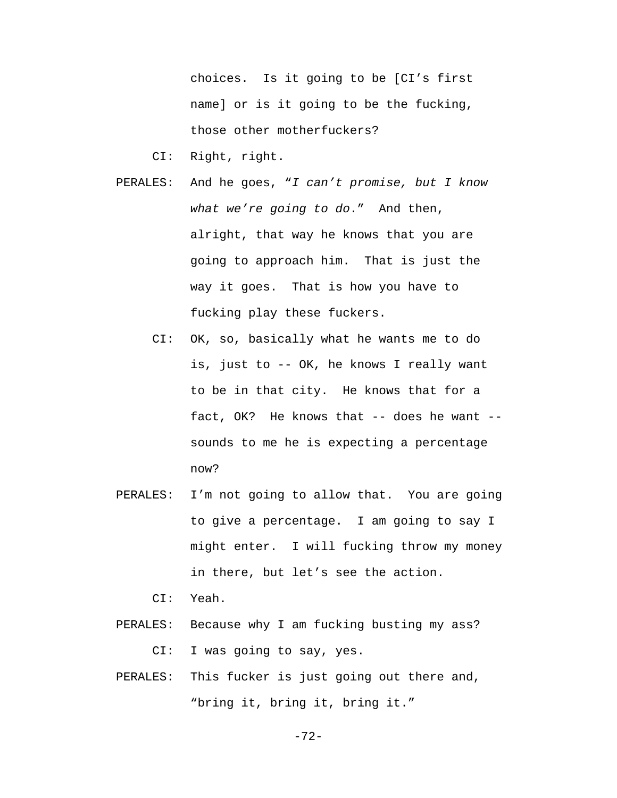choices. Is it going to be [CI's first name] or is it going to be the fucking, those other motherfuckers?

CI: Right, right.

- PERALES: And he goes, "*I can't promise, but I know what we're going to do*." And then, alright, that way he knows that you are going to approach him. That is just the way it goes. That is how you have to fucking play these fuckers.
	- CI: OK, so, basically what he wants me to do is, just to -- OK, he knows I really want to be in that city. He knows that for a fact, OK? He knows that -- does he want - sounds to me he is expecting a percentage now?
- PERALES: I'm not going to allow that. You are going to give a percentage. I am going to say I might enter. I will fucking throw my money in there, but let's see the action.

CI: Yeah.

- PERALES: Because why I am fucking busting my ass? CI: I was going to say, yes.
- PERALES: This fucker is just going out there and, "bring it, bring it, bring it."

-72-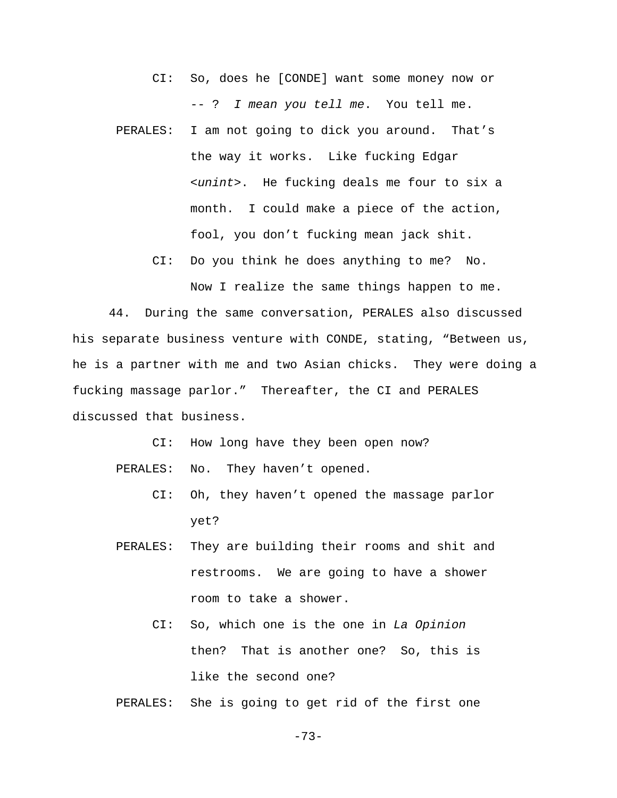- CI: So, does he [CONDE] want some money now or -- ? *I mean you tell me*. You tell me.
- PERALES: I am not going to dick you around. That's the way it works. Like fucking Edgar *<unint>*. He fucking deals me four to six a month. I could make a piece of the action, fool, you don't fucking mean jack shit.
	- CI: Do you think he does anything to me? No.

Now I realize the same things happen to me.

44. During the same conversation, PERALES also discussed his separate business venture with CONDE, stating, "Between us, he is a partner with me and two Asian chicks. They were doing a fucking massage parlor." Thereafter, the CI and PERALES discussed that business.

CI: How long have they been open now?

PERALES: No. They haven't opened.

- CI: Oh, they haven't opened the massage parlor yet?
- PERALES: They are building their rooms and shit and restrooms. We are going to have a shower room to take a shower.
	- CI: So, which one is the one in *La Opinion* then? That is another one? So, this is like the second one?

PERALES: She is going to get rid of the first one

-73-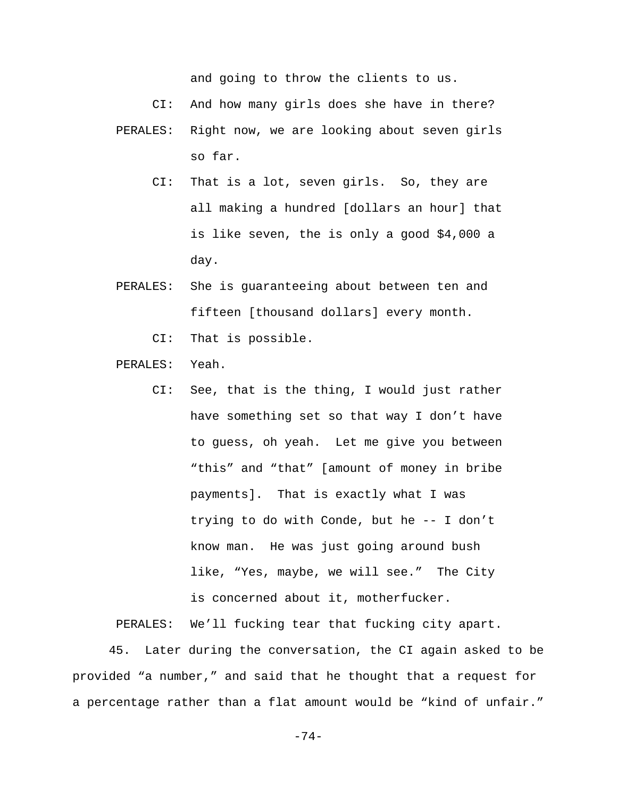and going to throw the clients to us.

CI: And how many girls does she have in there?

- PERALES: Right now, we are looking about seven girls so far.
	- CI: That is a lot, seven girls. So, they are all making a hundred [dollars an hour] that is like seven, the is only a good \$4,000 a day.
- PERALES: She is guaranteeing about between ten and fifteen [thousand dollars] every month.
	- CI: That is possible.
- PERALES: Yeah.
	- CI: See, that is the thing, I would just rather have something set so that way I don't have to guess, oh yeah. Let me give you between "this" and "that" [amount of money in bribe payments]. That is exactly what I was trying to do with Conde, but he -- I don't know man. He was just going around bush like, "Yes, maybe, we will see." The City is concerned about it, motherfucker.

PERALES: We'll fucking tear that fucking city apart.

45. Later during the conversation, the CI again asked to be provided "a number," and said that he thought that a request for a percentage rather than a flat amount would be "kind of unfair."

-74-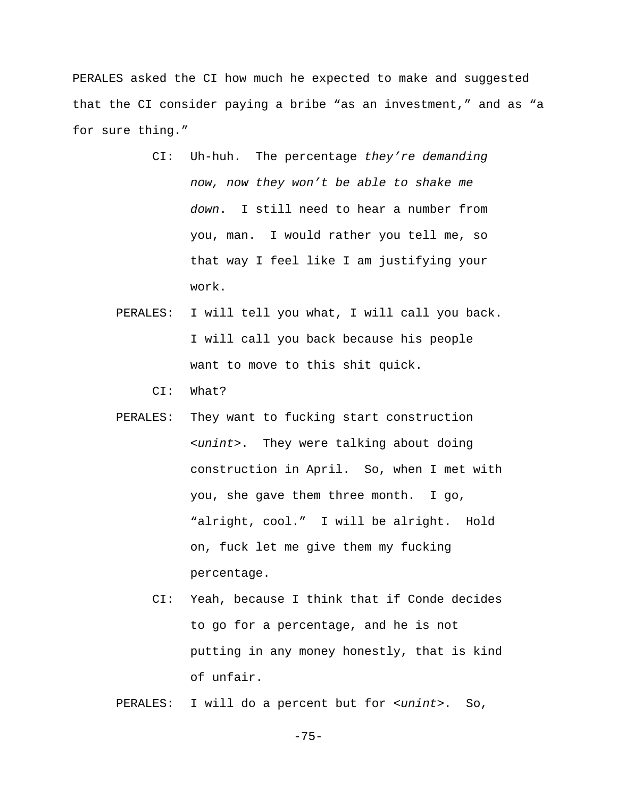PERALES asked the CI how much he expected to make and suggested that the CI consider paying a bribe "as an investment," and as "a for sure thing."

- CI: Uh-huh. The percentage *they're demanding now, now they won't be able to shake me down*. I still need to hear a number from you, man. I would rather you tell me, so that way I feel like I am justifying your work.
- PERALES: I will tell you what, I will call you back. I will call you back because his people want to move to this shit quick.

CI: What?

- PERALES: They want to fucking start construction *<unint>*. They were talking about doing construction in April. So, when I met with you, she gave them three month. I go, "alright, cool." I will be alright. Hold on, fuck let me give them my fucking percentage.
	- CI: Yeah, because I think that if Conde decides to go for a percentage, and he is not putting in any money honestly, that is kind of unfair.

PERALES: I will do a percent but for *<unint>*. So,

-75-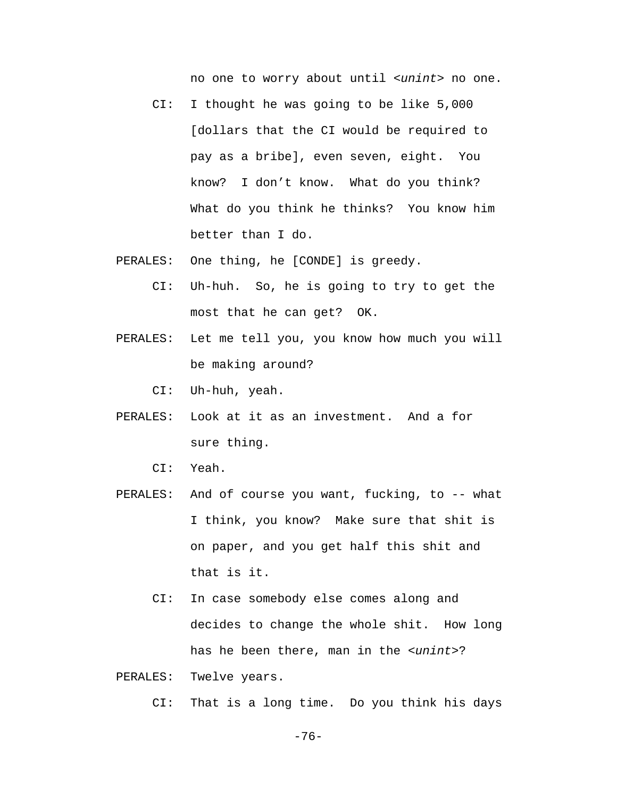no one to worry about until *<unint>* no one.

- CI: I thought he was going to be like 5,000 [dollars that the CI would be required to pay as a bribe], even seven, eight. You know? I don't know. What do you think? What do you think he thinks? You know him better than I do.
- PERALES: One thing, he [CONDE] is greedy.
	- CI: Uh-huh. So, he is going to try to get the most that he can get? OK.
- PERALES: Let me tell you, you know how much you will be making around?
	- CI: Uh-huh, yeah.
- PERALES: Look at it as an investment. And a for sure thing.
	- CI: Yeah.
- PERALES: And of course you want, fucking, to -- what I think, you know? Make sure that shit is on paper, and you get half this shit and that is it.
	- CI: In case somebody else comes along and decides to change the whole shit. How long has he been there, man in the *<unint>*?
- PERALES: Twelve years.

CI: That is a long time. Do you think his days

-76-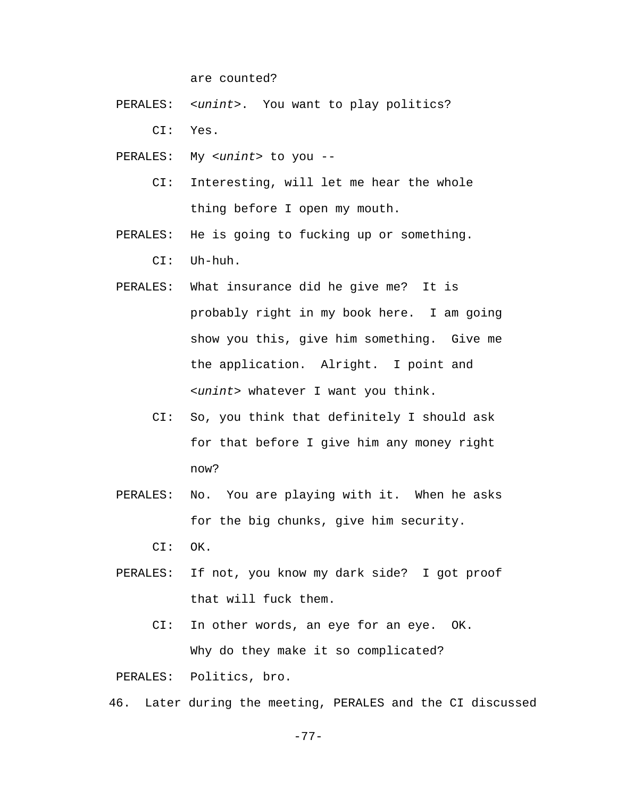are counted?

- PERALES: *<unint>*. You want to play politics? CI: Yes.
- PERALES: My *<unint>* to you --
	- CI: Interesting, will let me hear the whole thing before I open my mouth.
- PERALES: He is going to fucking up or something. CI: Uh-huh.
- PERALES: What insurance did he give me? It is probably right in my book here. I am going show you this, give him something. Give me the application. Alright. I point and *<unint>* whatever I want you think.
	- CI: So, you think that definitely I should ask for that before I give him any money right now?
- PERALES: No. You are playing with it. When he asks for the big chunks, give him security.

CI: OK.

- PERALES: If not, you know my dark side? I got proof that will fuck them.
	- CI: In other words, an eye for an eye. OK. Why do they make it so complicated?

PERALES: Politics, bro.

46. Later during the meeting, PERALES and the CI discussed

-77-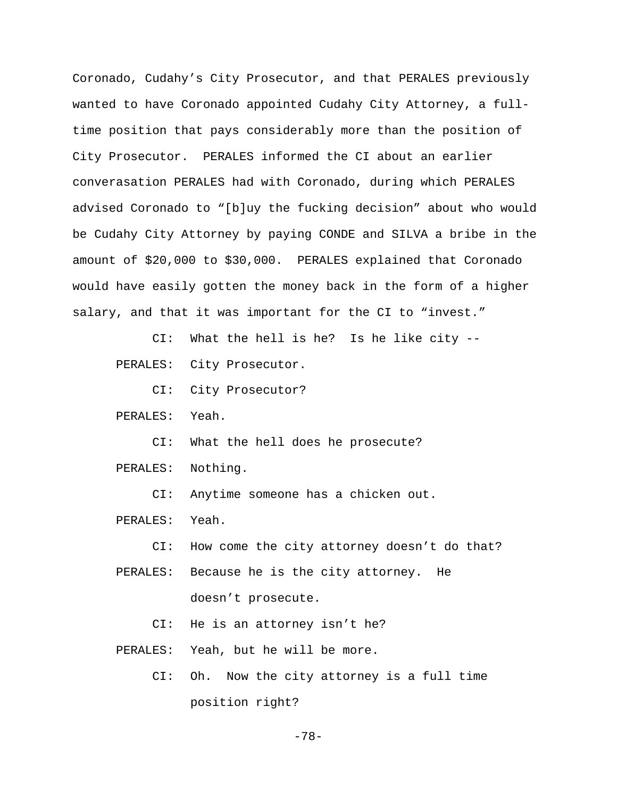Coronado, Cudahy's City Prosecutor, and that PERALES previously wanted to have Coronado appointed Cudahy City Attorney, a fulltime position that pays considerably more than the position of City Prosecutor. PERALES informed the CI about an earlier converasation PERALES had with Coronado, during which PERALES advised Coronado to "[b]uy the fucking decision" about who would be Cudahy City Attorney by paying CONDE and SILVA a bribe in the amount of \$20,000 to \$30,000. PERALES explained that Coronado would have easily gotten the money back in the form of a higher salary, and that it was important for the CI to "invest."

CI: What the hell is he? Is he like city --

PERALES: City Prosecutor.

CI: City Prosecutor?

PERALES: Yeah.

CI: What the hell does he prosecute?

PERALES: Nothing.

CI: Anytime someone has a chicken out.

PERALES: Yeah.

CI: How come the city attorney doesn't do that?

PERALES: Because he is the city attorney. He

doesn't prosecute.

CI: He is an attorney isn't he?

PERALES: Yeah, but he will be more.

 CI: Oh. Now the city attorney is a full time position right?

-78-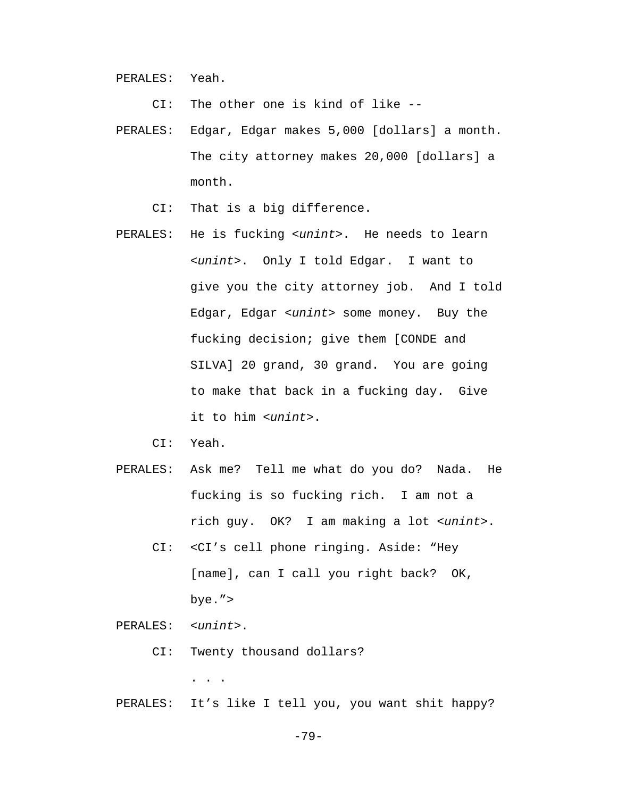PERALES: Yeah.

CI: The other one is kind of like --

- PERALES: Edgar, Edgar makes 5,000 [dollars] a month. The city attorney makes 20,000 [dollars] a month.
	- CI: That is a big difference.
- PERALES: He is fucking *<unint>*. He needs to learn *<unint>*. Only I told Edgar. I want to give you the city attorney job. And I told Edgar, Edgar *<unint>* some money. Buy the fucking decision; give them [CONDE and SILVA] 20 grand, 30 grand. You are going to make that back in a fucking day. Give it to him *<unint>*.

CI: Yeah.

- PERALES: Ask me? Tell me what do you do? Nada. He fucking is so fucking rich. I am not a rich guy. OK? I am making a lot *<unint>*.
	- CI: <CI's cell phone ringing. Aside: "Hey [name], can I call you right back? OK, bye.">

PERALES: *<unint>*.

. . .

CI: Twenty thousand dollars?

PERALES: It's like I tell you, you want shit happy?

-79-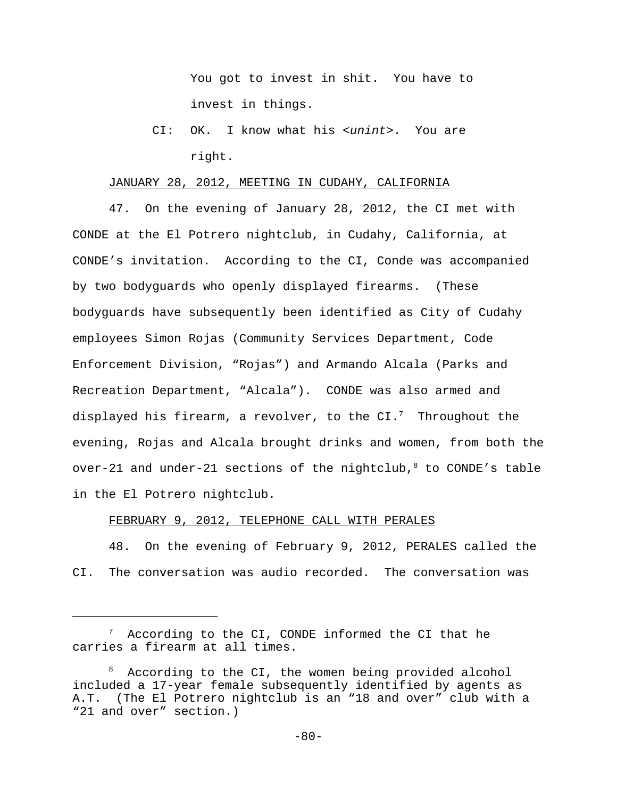You got to invest in shit. You have to invest in things.

 CI: OK. I know what his *<unint>*. You are right.

#### JANUARY 28, 2012, MEETING IN CUDAHY, CALIFORNIA

47. On the evening of January 28, 2012, the CI met with CONDE at the El Potrero nightclub, in Cudahy, California, at CONDE's invitation. According to the CI, Conde was accompanied by two bodyguards who openly displayed firearms. (These bodyguards have subsequently been identified as City of Cudahy employees Simon Rojas (Community Services Department, Code Enforcement Division, "Rojas") and Armando Alcala (Parks and Recreation Department, "Alcala"). CONDE was also armed and displayed his firearm, a revolver, to the  $CI.^7$  Throughout the evening, Rojas and Alcala brought drinks and women, from both the over-21 and under-21 sections of the nightclub, $8$  to CONDE's table in the El Potrero nightclub.

# FEBRUARY 9, 2012, TELEPHONE CALL WITH PERALES

48. On the evening of February 9, 2012, PERALES called the CI. The conversation was audio recorded. The conversation was

 $7$  According to the CI, CONDE informed the CI that he carries a firearm at all times.

<sup>8</sup> According to the CI, the women being provided alcohol included a 17-year female subsequently identified by agents as A.T. (The El Potrero nightclub is an "18 and over" club with a "21 and over" section.)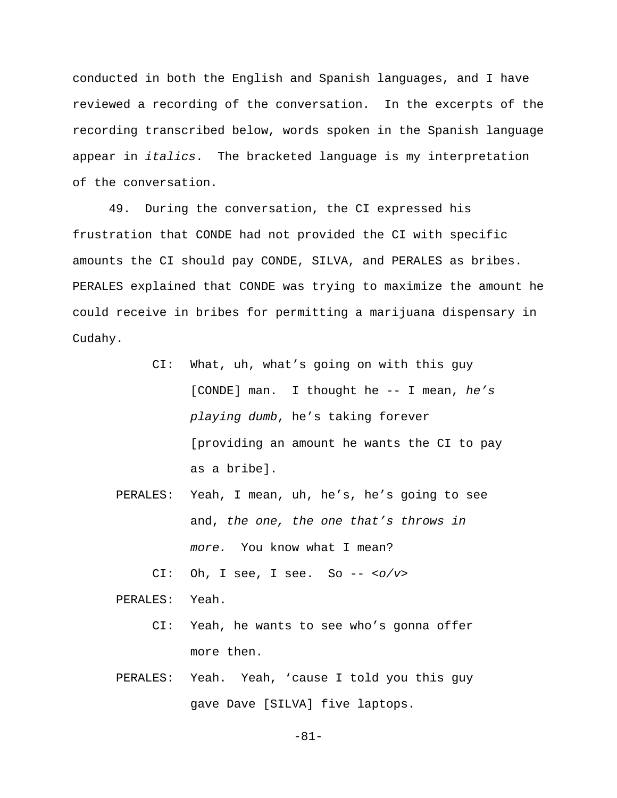conducted in both the English and Spanish languages, and I have reviewed a recording of the conversation. In the excerpts of the recording transcribed below, words spoken in the Spanish language appear in *italics*. The bracketed language is my interpretation of the conversation.

49. During the conversation, the CI expressed his frustration that CONDE had not provided the CI with specific amounts the CI should pay CONDE, SILVA, and PERALES as bribes. PERALES explained that CONDE was trying to maximize the amount he could receive in bribes for permitting a marijuana dispensary in Cudahy.

- CI: What, uh, what's going on with this guy [CONDE] man. I thought he -- I mean, *he's playing dumb*, he's taking forever [providing an amount he wants the CI to pay as a bribe].
- PERALES: Yeah, I mean, uh, he's, he's going to see and, *the one, the one that's throws in more.* You know what I mean?

CI: Oh, I see, I see. So -- *<o/v>*

PERALES: Yeah.

- CI: Yeah, he wants to see who's gonna offer more then.
- PERALES: Yeah. Yeah, 'cause I told you this guy gave Dave [SILVA] five laptops.

-81-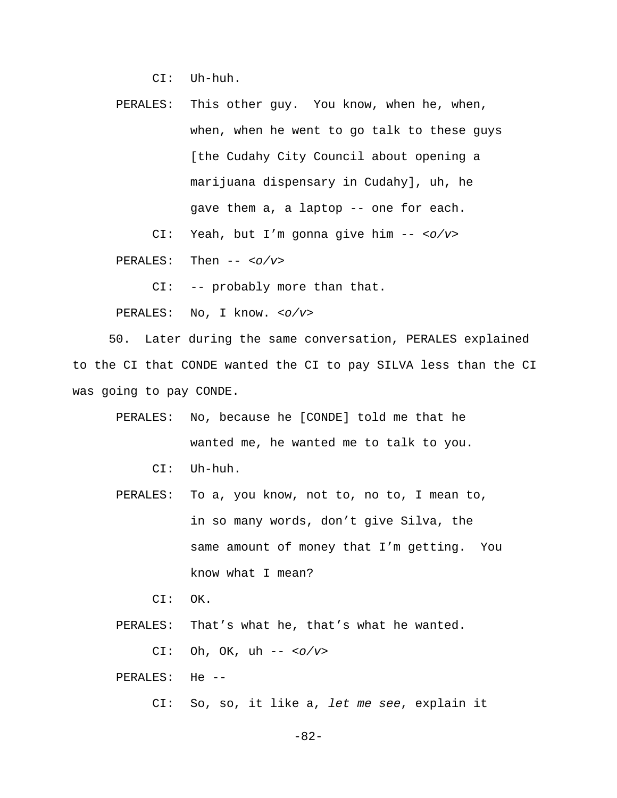CI: Uh-huh.

 PERALES: This other guy. You know, when he, when, when, when he went to go talk to these guys [the Cudahy City Council about opening a marijuana dispensary in Cudahy], uh, he gave them a, a laptop -- one for each.

CI: Yeah, but I'm gonna give him -- *<o/v>*

PERALES: Then -- *<o/v>*

CI: -- probably more than that.

PERALES: No, I know. *<o/v>*

50. Later during the same conversation, PERALES explained to the CI that CONDE wanted the CI to pay SILVA less than the CI was going to pay CONDE.

- PERALES: No, because he [CONDE] told me that he wanted me, he wanted me to talk to you.
	- CI: Uh-huh.
- PERALES: To a, you know, not to, no to, I mean to, in so many words, don't give Silva, the same amount of money that I'm getting. You know what I mean?
	- CI: OK.

PERALES: That's what he, that's what he wanted.

CI: Oh, OK, uh -- *<o/v>*

PERALES: He --

CI: So, so, it like a, *let me see*, explain it

-82-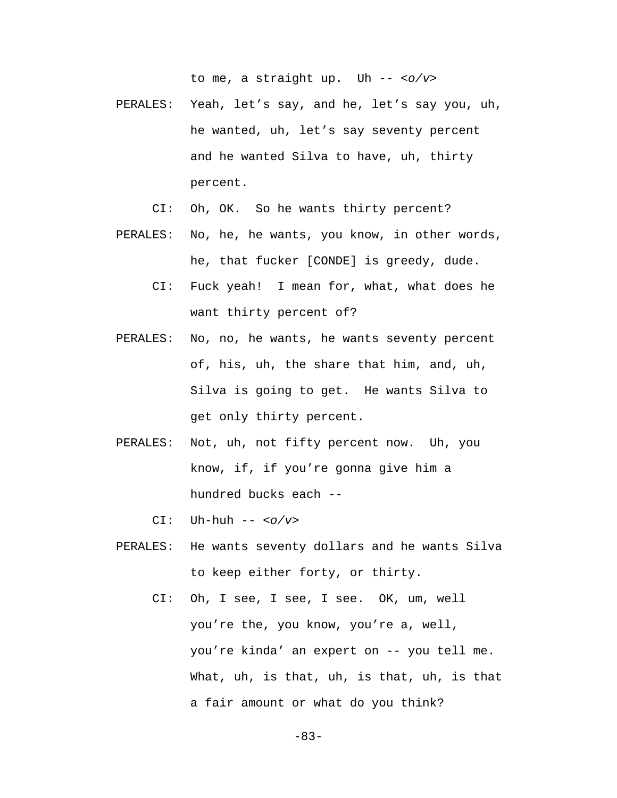to me, a straight up. Uh -- *<o/v>*

- PERALES: Yeah, let's say, and he, let's say you, uh, he wanted, uh, let's say seventy percent and he wanted Silva to have, uh, thirty percent.
	- CI: Oh, OK. So he wants thirty percent?
- PERALES: No, he, he wants, you know, in other words, he, that fucker [CONDE] is greedy, dude.
	- CI: Fuck yeah! I mean for, what, what does he want thirty percent of?
- PERALES: No, no, he wants, he wants seventy percent of, his, uh, the share that him, and, uh, Silva is going to get. He wants Silva to get only thirty percent.
- PERALES: Not, uh, not fifty percent now. Uh, you know, if, if you're gonna give him a hundred bucks each --
	- CI: Uh-huh -- *<o/v>*
- PERALES: He wants seventy dollars and he wants Silva to keep either forty, or thirty.
	- CI: Oh, I see, I see, I see. OK, um, well you're the, you know, you're a, well, you're kinda' an expert on -- you tell me. What, uh, is that, uh, is that, uh, is that a fair amount or what do you think?

-83-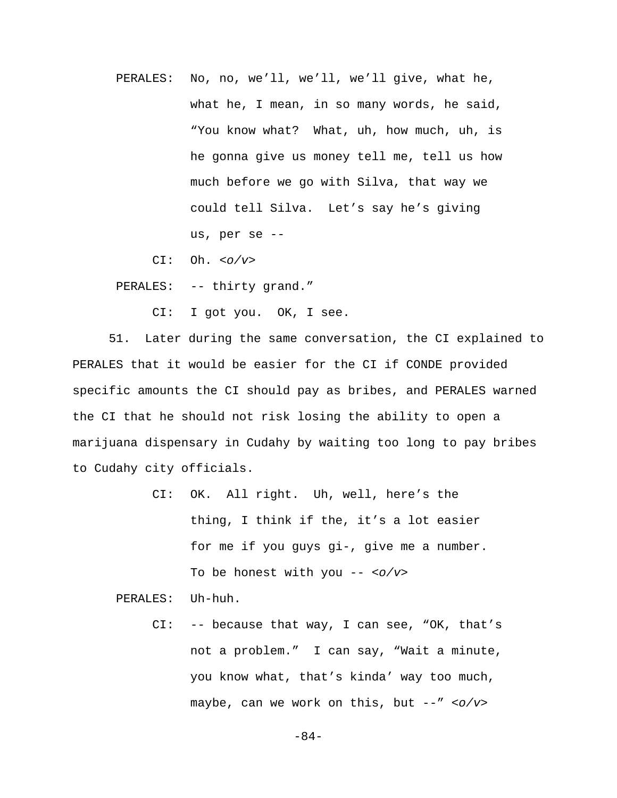PERALES: No, no, we'll, we'll, we'll give, what he, what he, I mean, in so many words, he said, "You know what? What, uh, how much, uh, is he gonna give us money tell me, tell us how much before we go with Silva, that way we could tell Silva. Let's say he's giving us, per se --

CI: Oh. *<o/v>*

PERALES: -- thirty grand."

CI: I got you. OK, I see.

51. Later during the same conversation, the CI explained to PERALES that it would be easier for the CI if CONDE provided specific amounts the CI should pay as bribes, and PERALES warned the CI that he should not risk losing the ability to open a marijuana dispensary in Cudahy by waiting too long to pay bribes to Cudahy city officials.

> CI: OK. All right. Uh, well, here's the thing, I think if the, it's a lot easier for me if you guys gi-, give me a number. To be honest with you -- *<o/v>*

PERALES: Uh-huh.

 CI: -- because that way, I can see, "OK, that's not a problem." I can say, "Wait a minute, you know what, that's kinda' way too much, maybe, can we work on this, but --" *<o/v>*

-84-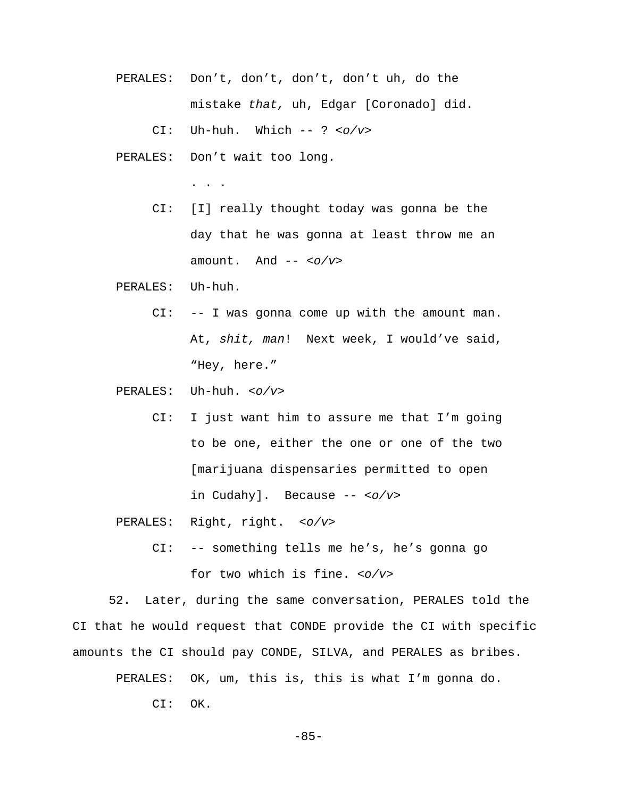- PERALES: Don't, don't, don't, don't uh, do the mistake *that,* uh, Edgar [Coronado] did.
	- CI: Uh-huh. Which -- ? *<o/v>*
- PERALES: Don't wait too long.

. . .

- CI: [I] really thought today was gonna be the day that he was gonna at least throw me an amount. And -- *<o/v>*
- PERALES: Uh-huh.
	- CI: -- I was gonna come up with the amount man. At, *shit, man*! Next week, I would've said, "Hey, here."
- PERALES: Uh-huh. *<o/v>*
	- CI: I just want him to assure me that I'm going to be one, either the one or one of the two [marijuana dispensaries permitted to open in Cudahy]. Because -- *<o/v>*
- PERALES: Right, right. *<o/v>*
	- CI: -- something tells me he's, he's gonna go for two which is fine. *<o/v>*

52. Later, during the same conversation, PERALES told the CI that he would request that CONDE provide the CI with specific amounts the CI should pay CONDE, SILVA, and PERALES as bribes.

PERALES: OK, um, this is, this is what I'm gonna do.

CI: OK.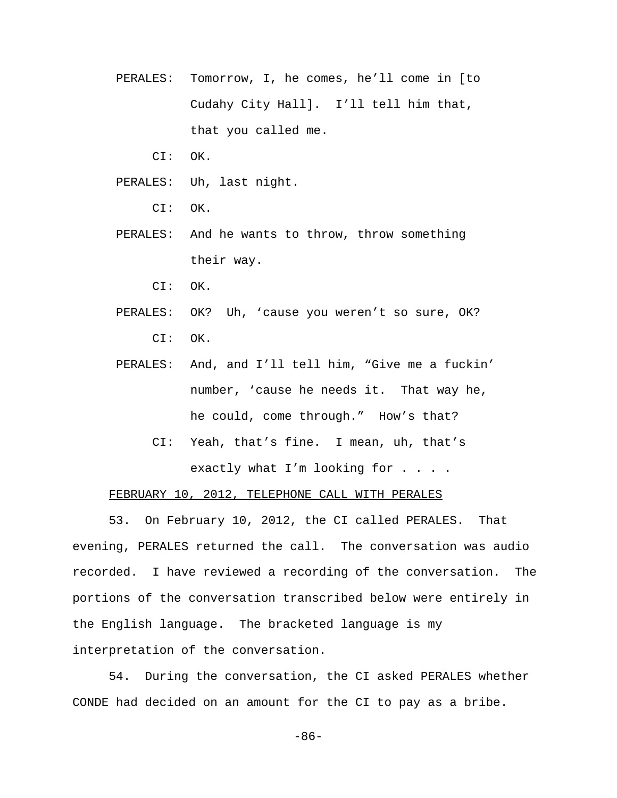- PERALES: Tomorrow, I, he comes, he'll come in [to Cudahy City Hall]. I'll tell him that, that you called me.
	- CI: OK.
- PERALES: Uh, last night.
	- CI: OK.
- PERALES: And he wants to throw, throw something their way.
	- CI: OK.
- PERALES: OK? Uh, 'cause you weren't so sure, OK? CI: OK.
- PERALES: And, and I'll tell him, "Give me a fuckin' number, 'cause he needs it. That way he, he could, come through." How's that?
	- CI: Yeah, that's fine. I mean, uh, that's exactly what I'm looking for . . . .

# FEBRUARY 10, 2012, TELEPHONE CALL WITH PERALES

53. On February 10, 2012, the CI called PERALES. That evening, PERALES returned the call. The conversation was audio recorded. I have reviewed a recording of the conversation. The portions of the conversation transcribed below were entirely in the English language. The bracketed language is my interpretation of the conversation.

54. During the conversation, the CI asked PERALES whether CONDE had decided on an amount for the CI to pay as a bribe.

-86-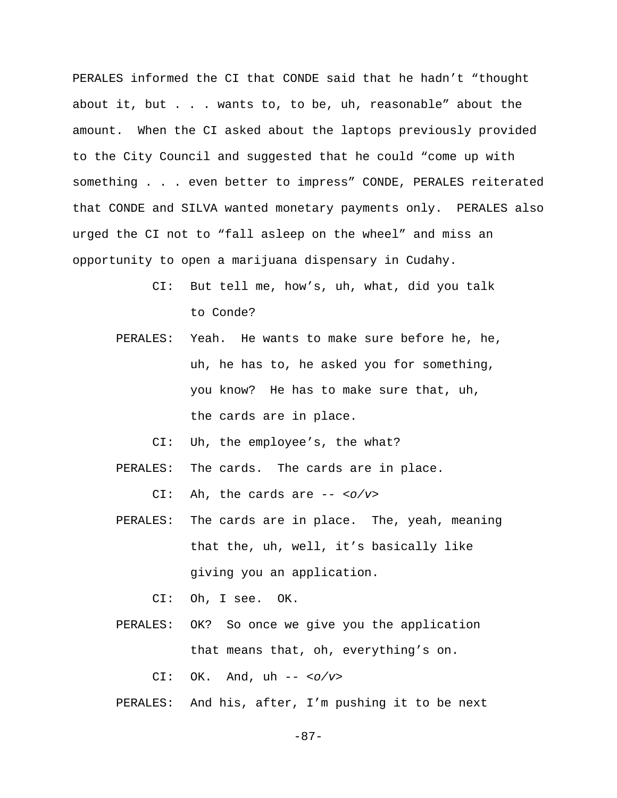PERALES informed the CI that CONDE said that he hadn't "thought about it, but . . . wants to, to be, uh, reasonable" about the amount. When the CI asked about the laptops previously provided to the City Council and suggested that he could "come up with something . . . even better to impress" CONDE, PERALES reiterated that CONDE and SILVA wanted monetary payments only. PERALES also urged the CI not to "fall asleep on the wheel" and miss an opportunity to open a marijuana dispensary in Cudahy.

- CI: But tell me, how's, uh, what, did you talk to Conde?
- PERALES: Yeah. He wants to make sure before he, he, uh, he has to, he asked you for something, you know? He has to make sure that, uh, the cards are in place.
	- CI: Uh, the employee's, the what?
- PERALES: The cards. The cards are in place.

CI: Ah, the cards are -- *<o/v>*

- PERALES: The cards are in place. The, yeah, meaning that the, uh, well, it's basically like giving you an application.
	- CI: Oh, I see. OK.
- PERALES: OK? So once we give you the application that means that, oh, everything's on.

CI: OK. And, uh -- *<o/v>*

PERALES: And his, after, I'm pushing it to be next

-87-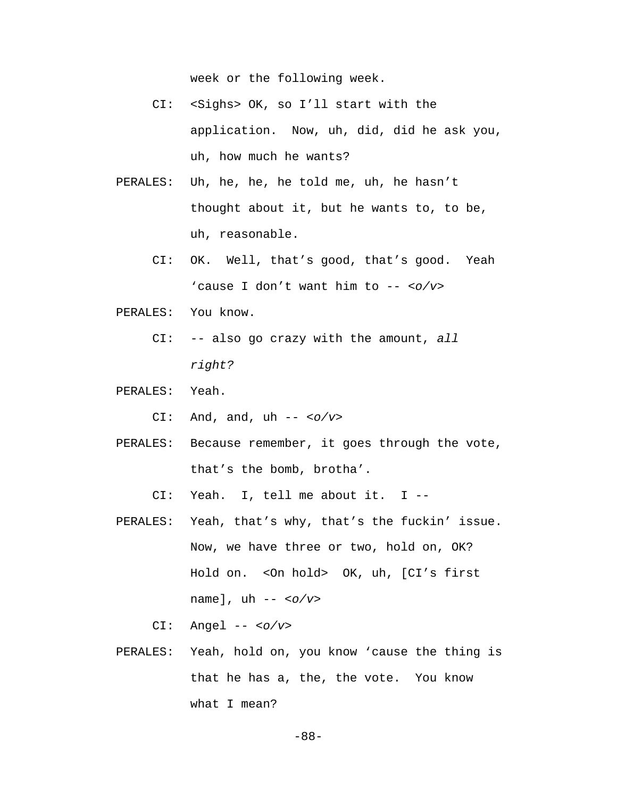week or the following week.

- CI: <Sighs> OK, so I'll start with the application. Now, uh, did, did he ask you, uh, how much he wants?
- PERALES: Uh, he, he, he told me, uh, he hasn't thought about it, but he wants to, to be, uh, reasonable.
	- CI: OK. Well, that's good, that's good. Yeah 'cause I don't want him to -- *<o/v>*
- PERALES: You know.
	- CI: -- also go crazy with the amount, *all right?*
- PERALES: Yeah.
	- CI: And, and, uh -- *<o/v>*
- PERALES: Because remember, it goes through the vote, that's the bomb, brotha'.

CI: Yeah. I, tell me about it. I --

- PERALES: Yeah, that's why, that's the fuckin' issue. Now, we have three or two, hold on, OK? Hold on. <On hold> OK, uh, [CI's first name], uh -- *<o/v>*
	- CI: Angel -- *<o/v>*
- PERALES: Yeah, hold on, you know 'cause the thing is that he has a, the, the vote. You know what I mean?

-88-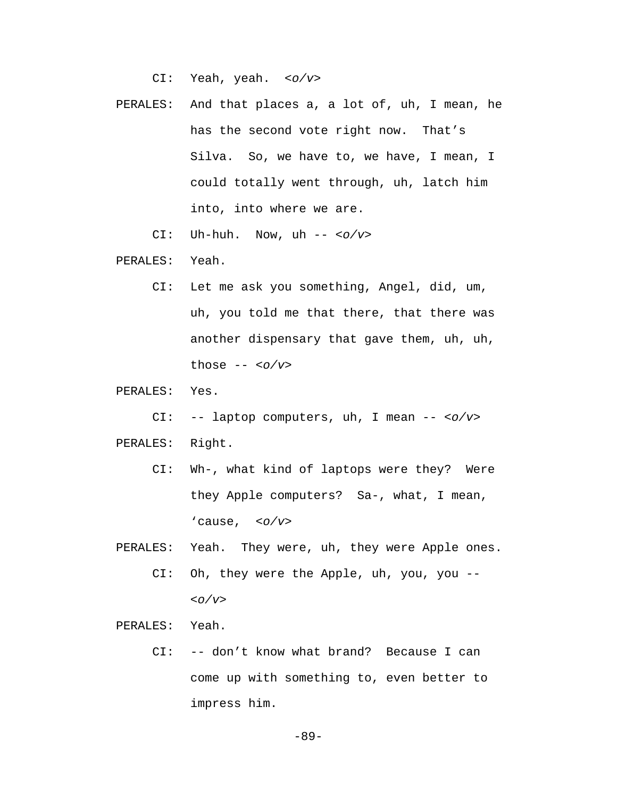CI: Yeah, yeah. *<o/v>*

 PERALES: And that places a, a lot of, uh, I mean, he has the second vote right now. That's Silva. So, we have to, we have, I mean, I could totally went through, uh, latch him into, into where we are.

CI: Uh-huh. Now, uh -- *<o/v>*

PERALES: Yeah.

 CI: Let me ask you something, Angel, did, um, uh, you told me that there, that there was another dispensary that gave them, uh, uh, those -- *<o/v>*

PERALES: Yes.

CI: -- laptop computers, uh, I mean -- *<o/v>*

PERALES: Right.

- CI: Wh-, what kind of laptops were they? Were they Apple computers? Sa-, what, I mean, 'cause, *<o/v>*
- PERALES: Yeah. They were, uh, they were Apple ones. CI: Oh, they were the Apple, uh, you, you -- *<o/v>*

PERALES: Yeah.

 CI: -- don't know what brand? Because I can come up with something to, even better to impress him.

-89-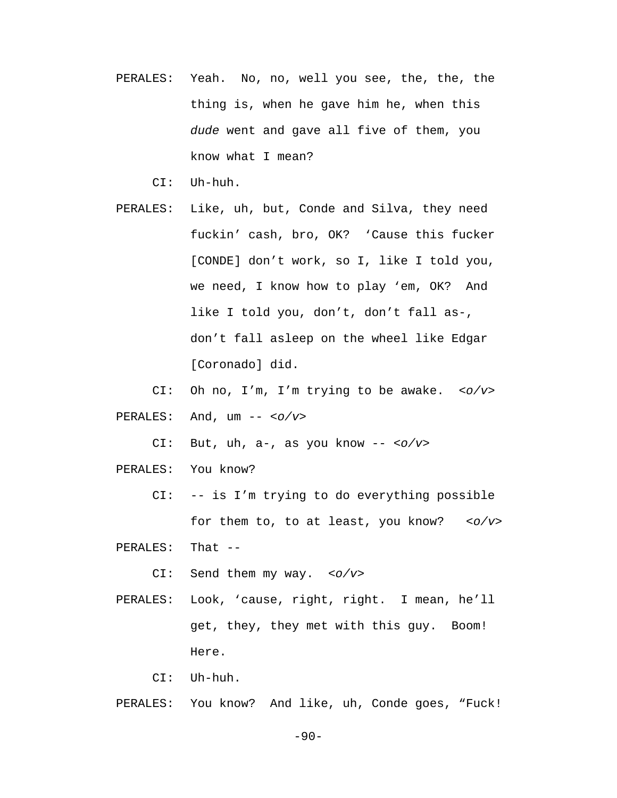PERALES: Yeah. No, no, well you see, the, the, the thing is, when he gave him he, when this *dude* went and gave all five of them, you know what I mean?

CI: Uh-huh.

- PERALES: Like, uh, but, Conde and Silva, they need fuckin' cash, bro, OK? 'Cause this fucker [CONDE] don't work, so I, like I told you, we need, I know how to play 'em, OK? And like I told you, don't, don't fall as-, don't fall asleep on the wheel like Edgar [Coronado] did.
	- CI: Oh no, I'm, I'm trying to be awake. *<o/v>*
- PERALES: And, um -- *<o/v>*

CI: But, uh, a-, as you know -- *<o/v>*

- PERALES: You know?
	- CI: -- is I'm trying to do everything possible for them to, to at least, you know? *<o/v>*

PERALES: That --

CI: Send them my way. *<o/v>*

 PERALES: Look, 'cause, right, right. I mean, he'll get, they, they met with this guy. Boom! Here.

CI: Uh-huh.

PERALES: You know? And like, uh, Conde goes, "Fuck!

-90-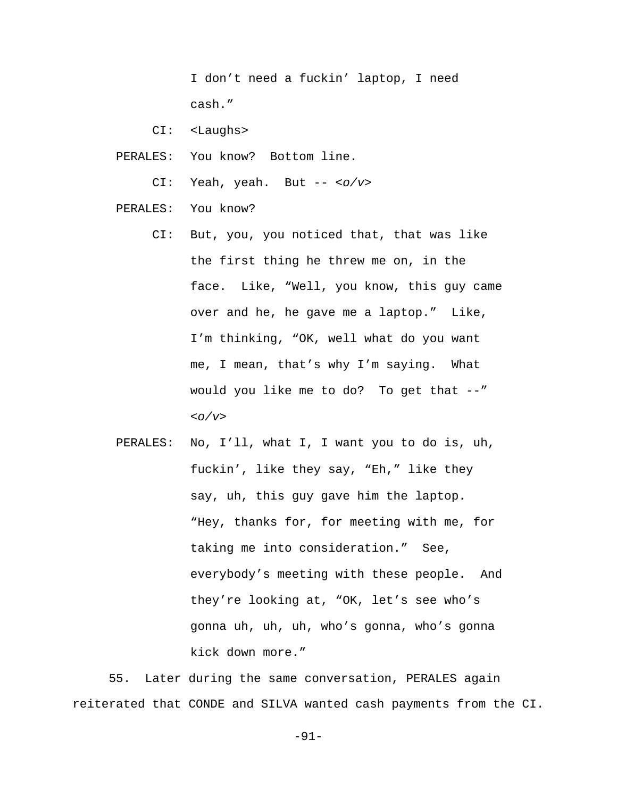I don't need a fuckin' laptop, I need cash."

CI: <Laughs>

- PERALES: You know? Bottom line.
	- CI: Yeah, yeah. But -- *<o/v>*
- PERALES: You know?
	- CI: But, you, you noticed that, that was like the first thing he threw me on, in the face. Like, "Well, you know, this guy came over and he, he gave me a laptop." Like, I'm thinking, "OK, well what do you want me, I mean, that's why I'm saying. What would you like me to do? To get that --" *<o/v>*
- PERALES: No, I'll, what I, I want you to do is, uh, fuckin', like they say, "Eh," like they say, uh, this guy gave him the laptop. "Hey, thanks for, for meeting with me, for taking me into consideration." See, everybody's meeting with these people. And they're looking at, "OK, let's see who's gonna uh, uh, uh, who's gonna, who's gonna kick down more."

55. Later during the same conversation, PERALES again reiterated that CONDE and SILVA wanted cash payments from the CI.

-91-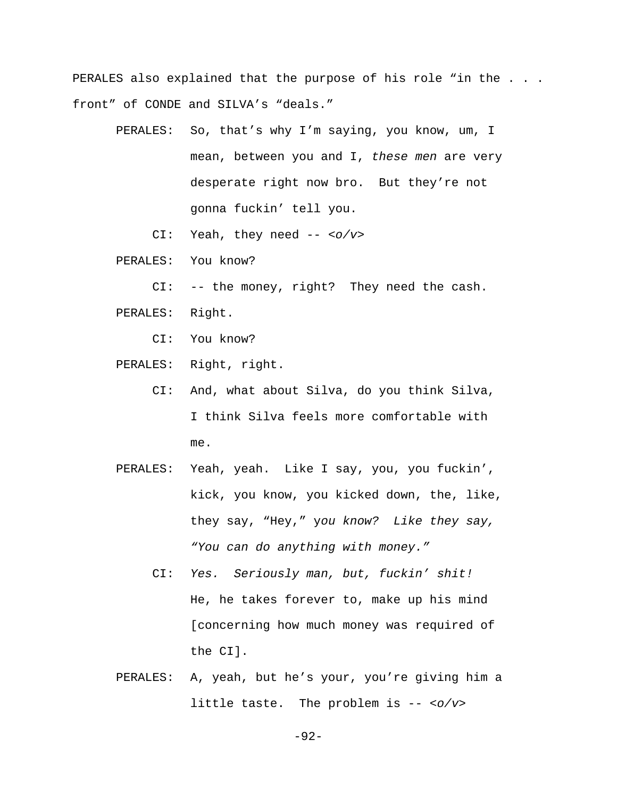PERALES also explained that the purpose of his role "in the . . . front" of CONDE and SILVA's "deals."

- PERALES: So, that's why I'm saying, you know, um, I mean, between you and I, *these men* are very desperate right now bro. But they're not gonna fuckin' tell you.
	- CI: Yeah, they need -- *<o/v>*
- PERALES: You know?
	- CI: -- the money, right? They need the cash.
- PERALES: Right.
	- CI: You know?
- PERALES: Right, right.
	- CI: And, what about Silva, do you think Silva, I think Silva feels more comfortable with me.
- PERALES: Yeah, yeah. Like I say, you, you fuckin', kick, you know, you kicked down, the, like, they say, "Hey," y*ou know? Like they say, "You can do anything with money."*
	- CI: *Yes. Seriously man, but, fuckin' shit!* He, he takes forever to, make up his mind [concerning how much money was required of the CI].
- PERALES: A, yeah, but he's your, you're giving him a little taste. The problem is -- *<o/v>*

-92-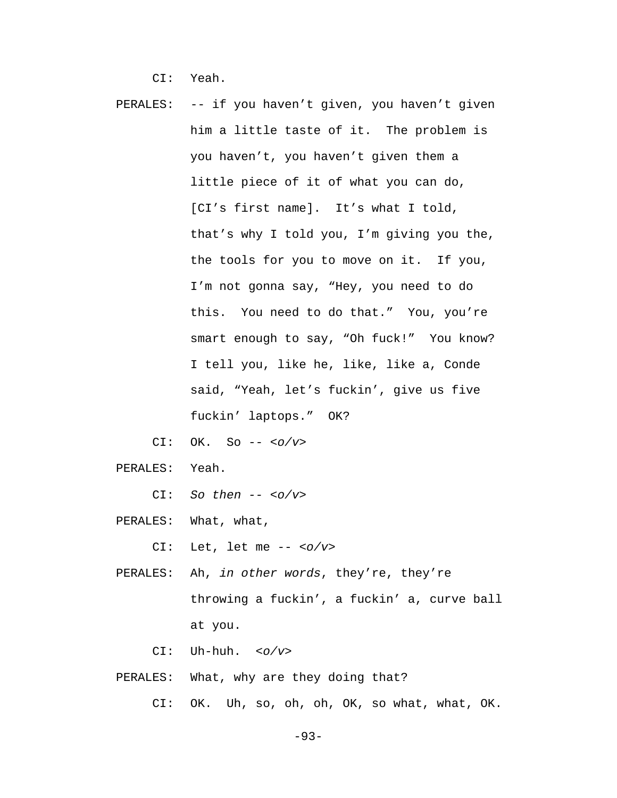CI: Yeah.

- PERALES: -- if you haven't given, you haven't given him a little taste of it. The problem is you haven't, you haven't given them a little piece of it of what you can do, [CI's first name]. It's what I told, that's why I told you, I'm giving you the, the tools for you to move on it. If you, I'm not gonna say, "Hey, you need to do this. You need to do that." You, you're smart enough to say, "Oh fuck!" You know? I tell you, like he, like, like a, Conde said, "Yeah, let's fuckin', give us five fuckin' laptops." OK?
	- CI: OK. So -- *<o/v>*
- PERALES: Yeah.
	- CI: *So then -- <o/v>*
- PERALES: What, what,

CI: Let, let me -- *<o/v>*

 PERALES: Ah, *in other words*, they're, they're throwing a fuckin', a fuckin' a, curve ball at you.

CI: Uh-huh. *<o/v>*

- PERALES: What, why are they doing that?
	- CI: OK. Uh, so, oh, oh, OK, so what, what, OK.

-93-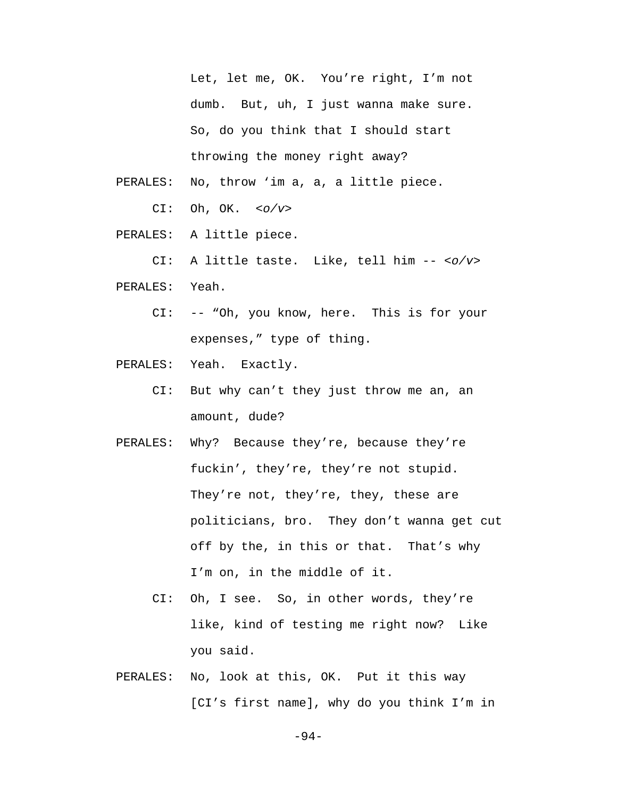Let, let me, OK. You're right, I'm not dumb. But, uh, I just wanna make sure. So, do you think that I should start throwing the money right away?

- PERALES: No, throw 'im a, a, a little piece.
	- CI: Oh, OK. *<o/v>*
- PERALES: A little piece.

CI: A little taste. Like, tell him -- *<o/v>*

- PERALES: Yeah.
	- CI: -- "Oh, you know, here. This is for your expenses," type of thing.
- PERALES: Yeah. Exactly.
	- CI: But why can't they just throw me an, an amount, dude?
- PERALES: Why? Because they're, because they're fuckin', they're, they're not stupid. They're not, they're, they, these are politicians, bro. They don't wanna get cut off by the, in this or that. That's why I'm on, in the middle of it.
	- CI: Oh, I see. So, in other words, they're like, kind of testing me right now? Like you said.
- PERALES: No, look at this, OK. Put it this way [CI's first name], why do you think I'm in

-94-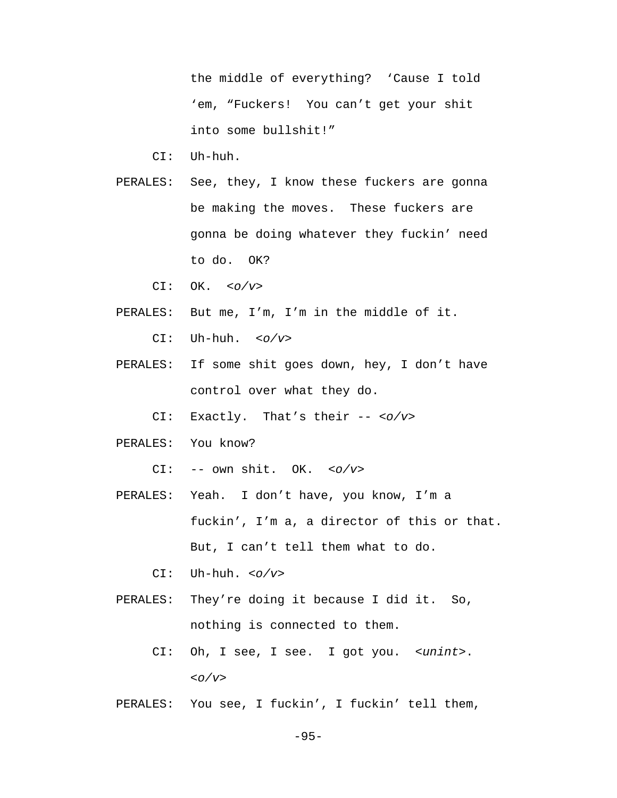the middle of everything? 'Cause I told 'em, "Fuckers! You can't get your shit into some bullshit!"

- CI: Uh-huh.
- PERALES: See, they, I know these fuckers are gonna be making the moves. These fuckers are gonna be doing whatever they fuckin' need to do. OK?
	- CI: OK. *<o/v>*
- PERALES: But me, I'm, I'm in the middle of it.
	- CI: Uh-huh. *<o/v>*
- PERALES: If some shit goes down, hey, I don't have control over what they do.
	- CI: Exactly. That's their -- *<o/v>*
- PERALES: You know?

CI: -- own shit. OK. *<o/v>*

- PERALES: Yeah. I don't have, you know, I'm a fuckin', I'm a, a director of this or that. But, I can't tell them what to do.
	- CI: Uh-huh. *<o/v>*
- PERALES: They're doing it because I did it. So, nothing is connected to them.
	- CI: Oh, I see, I see. I got you. *<unint>*. *<o/v>*
- PERALES: You see, I fuckin', I fuckin' tell them,

-95-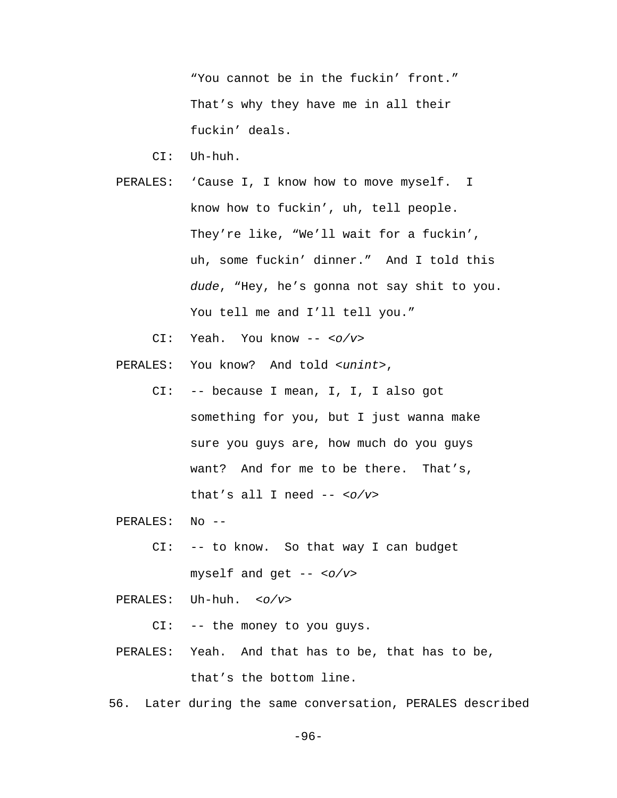"You cannot be in the fuckin' front." That's why they have me in all their fuckin' deals.

CI: Uh-huh.

- PERALES: 'Cause I, I know how to move myself. I know how to fuckin', uh, tell people. They're like, "We'll wait for a fuckin', uh, some fuckin' dinner." And I told this *dude*, "Hey, he's gonna not say shit to you. You tell me and I'll tell you."
	- CI: Yeah. You know -- *<o/v>*

PERALES: You know? And told *<unint>*,

 CI: -- because I mean, I, I, I also got something for you, but I just wanna make sure you guys are, how much do you guys want? And for me to be there. That's, that's all I need -- *<o/v>*

PERALES: No --

 CI: -- to know. So that way I can budget myself and get -- *<o/v>*

PERALES: Uh-huh. *<o/v>*

CI: -- the money to you guys.

- PERALES: Yeah. And that has to be, that has to be, that's the bottom line.
- 56. Later during the same conversation, PERALES described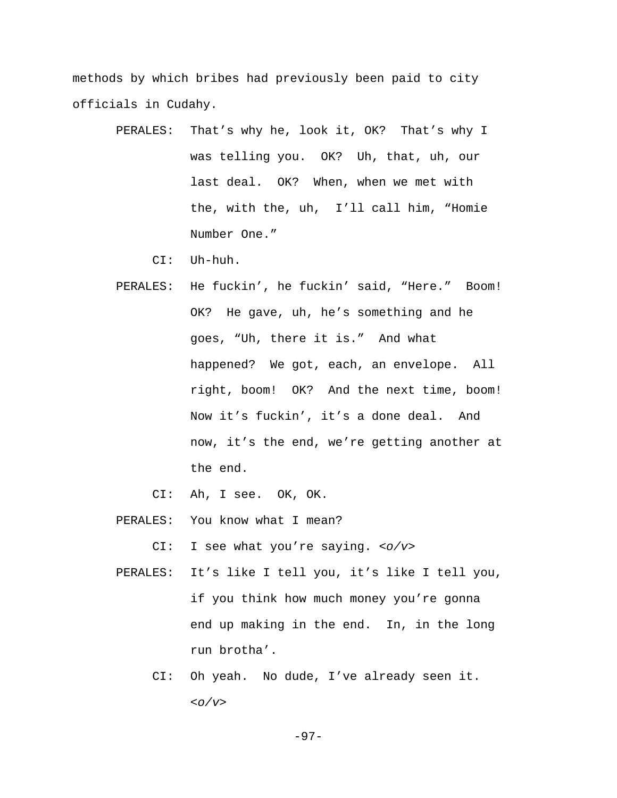methods by which bribes had previously been paid to city officials in Cudahy.

> PERALES: That's why he, look it, OK? That's why I was telling you. OK? Uh, that, uh, our last deal. OK? When, when we met with the, with the, uh, I'll call him, "Homie Number One."

CI: Uh-huh.

 PERALES: He fuckin', he fuckin' said, "Here." Boom! OK? He gave, uh, he's something and he goes, "Uh, there it is." And what happened? We got, each, an envelope. All right, boom! OK? And the next time, boom! Now it's fuckin', it's a done deal. And now, it's the end, we're getting another at the end.

CI: Ah, I see. OK, OK.

PERALES: You know what I mean?

CI: I see what you're saying. *<o/v>*

- PERALES: It's like I tell you, it's like I tell you, if you think how much money you're gonna end up making in the end. In, in the long run brotha'.
	- CI: Oh yeah. No dude, I've already seen it. *<o/v>*

-97-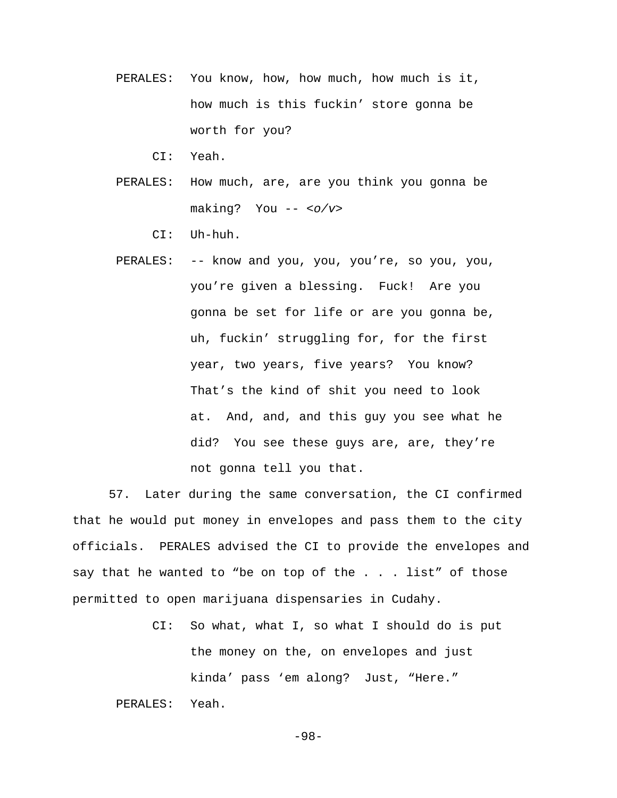- PERALES: You know, how, how much, how much is it, how much is this fuckin' store gonna be worth for you?
	- CI: Yeah.
- PERALES: How much, are, are you think you gonna be making? You -- *<o/v>*
	- CI: Uh-huh.
- PERALES: -- know and you, you, you're, so you, you, you're given a blessing. Fuck! Are you gonna be set for life or are you gonna be, uh, fuckin' struggling for, for the first year, two years, five years? You know? That's the kind of shit you need to look at. And, and, and this guy you see what he did? You see these guys are, are, they're not gonna tell you that.

57. Later during the same conversation, the CI confirmed that he would put money in envelopes and pass them to the city officials. PERALES advised the CI to provide the envelopes and say that he wanted to "be on top of the . . . list" of those permitted to open marijuana dispensaries in Cudahy.

> CI: So what, what I, so what I should do is put the money on the, on envelopes and just kinda' pass 'em along? Just, "Here."

PERALES: Yeah.

-98-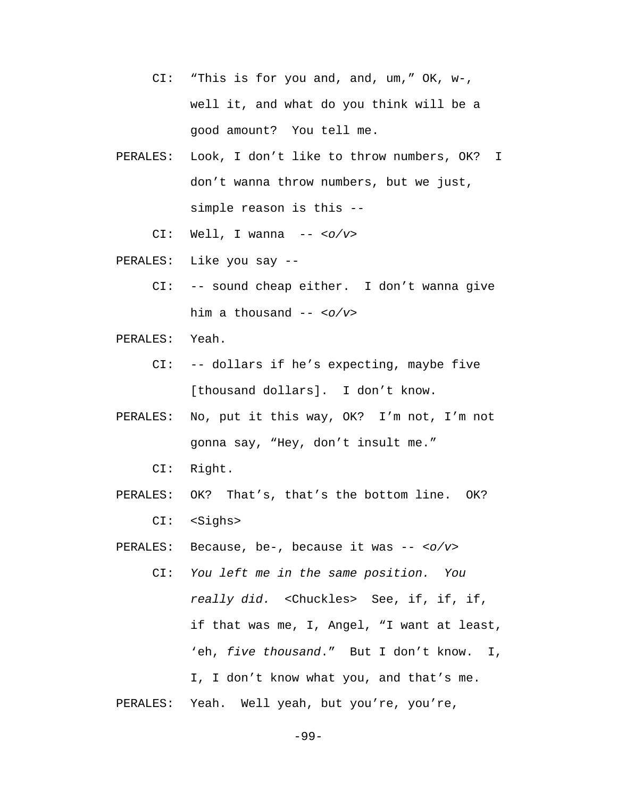- CI: "This is for you and, and, um," OK, w-, well it, and what do you think will be a good amount? You tell me.
- PERALES: Look, I don't like to throw numbers, OK? I don't wanna throw numbers, but we just, simple reason is this --
	- CI: Well, I wanna -- *<o/v>*
- PERALES: Like you say --
	- CI: -- sound cheap either. I don't wanna give him a thousand -- *<o/v>*
- PERALES: Yeah.
	- CI: -- dollars if he's expecting, maybe five [thousand dollars]. I don't know.
- PERALES: No, put it this way, OK? I'm not, I'm not gonna say, "Hey, don't insult me."

CI: Right.

 PERALES: OK? That's, that's the bottom line. OK? CI: <Sighs>

PERALES: Because, be-, because it was -- *<o/v>*

 CI: *You left me in the same position. You really did.* <Chuckles>See, if, if, if, if that was me, I, Angel, "I want at least, 'eh, *five thousand*." But I don't know. I, I, I don't know what you, and that's me. PERALES: Yeah. Well yeah, but you're, you're,

-99-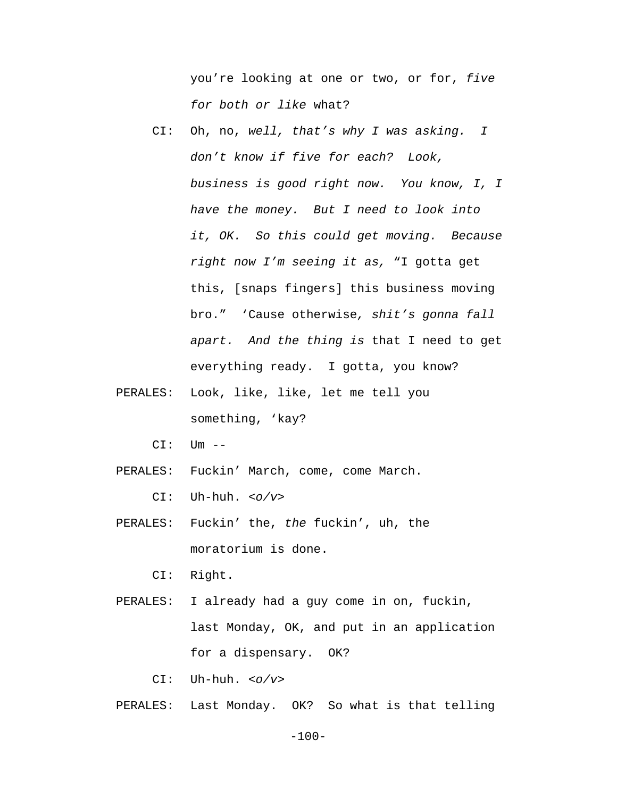you're looking at one or two, or for, *five for both or like* what?

- CI: Oh, no, *well, that's why I was asking. I don't know if five for each? Look, business is good right now. You know, I, I have the money. But I need to look into it, OK. So this could get moving. Because right now I'm seeing it as,* "I gotta get this, [snaps fingers] this business moving bro." 'Cause otherwise*, shit's gonna fall apart. And the thing is* that I need to get everything ready. I gotta, you know?
- PERALES: Look, like, like, let me tell you something, 'kay?

 $CI:$   $Um$   $--$ 

PERALES: Fuckin' March, come, come March.

CI: Uh-huh. *<o/v>*

 PERALES: Fuckin' the, *the* fuckin', uh, the moratorium is done.

CI: Right.

 PERALES: I already had a guy come in on, fuckin, last Monday, OK, and put in an application for a dispensary. OK?

CI: Uh-huh. *<o/v>*

PERALES: Last Monday. OK? So what is that telling

-100-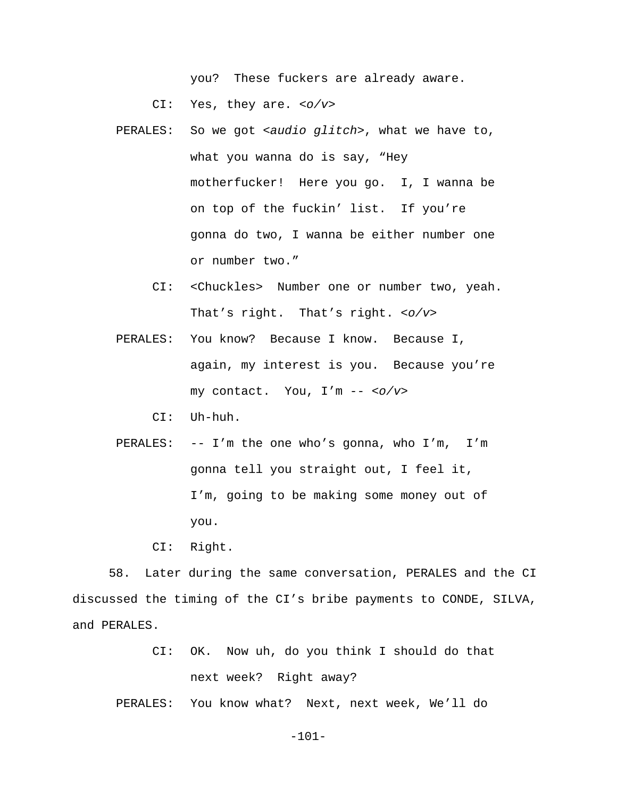you? These fuckers are already aware.

CI: Yes, they are. *<o/v>*

- PERALES: So we got *<audio glitch>*, what we have to, what you wanna do is say, "Hey motherfucker! Here you go. I, I wanna be on top of the fuckin' list. If you're gonna do two, I wanna be either number one or number two."
	- CI: <Chuckles> Number one or number two, yeah. That's right. That's right. *<o/v>*
- PERALES: You know? Because I know. Because I, again, my interest is you. Because you're my contact. You, I'm -- *<o/v>*
	- CI: Uh-huh.
- PERALES: -- I'm the one who's gonna, who I'm, I'm gonna tell you straight out, I feel it, I'm, going to be making some money out of you.

CI: Right.

58. Later during the same conversation, PERALES and the CI discussed the timing of the CI's bribe payments to CONDE, SILVA, and PERALES.

> CI: OK. Now uh, do you think I should do that next week? Right away?

PERALES: You know what? Next, next week, We'll do

-101-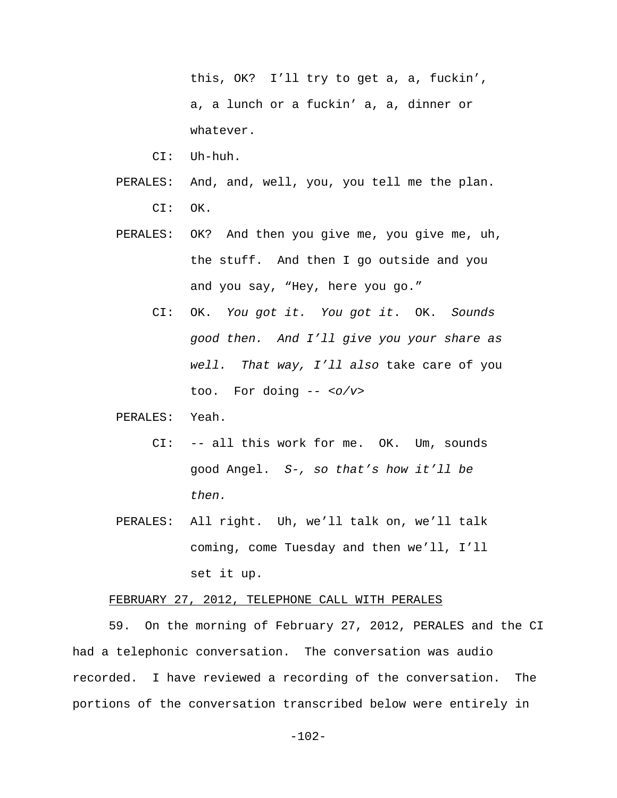this, OK? I'll try to get a, a, fuckin', a, a lunch or a fuckin' a, a, dinner or whatever.

- CI: Uh-huh.
- PERALES: And, and, well, you, you tell me the plan. CI: OK.
- PERALES: OK? And then you give me, you give me, uh, the stuff. And then I go outside and you and you say, "Hey, here you go."
	- CI: OK. *You got it. You got it*. OK. *Sounds good then. And I'll give you your share as well. That way, I'll also* take care of you too. For doing -- *<o/v>*

#### PERALES: Yeah.

- CI: -- all this work for me. OK. Um, sounds good Angel. *S-, so that's how it'll be then.*
- PERALES: All right. Uh, we'll talk on, we'll talk coming, come Tuesday and then we'll, I'll set it up.

### FEBRUARY 27, 2012, TELEPHONE CALL WITH PERALES

59. On the morning of February 27, 2012, PERALES and the CI had a telephonic conversation. The conversation was audio recorded. I have reviewed a recording of the conversation. The portions of the conversation transcribed below were entirely in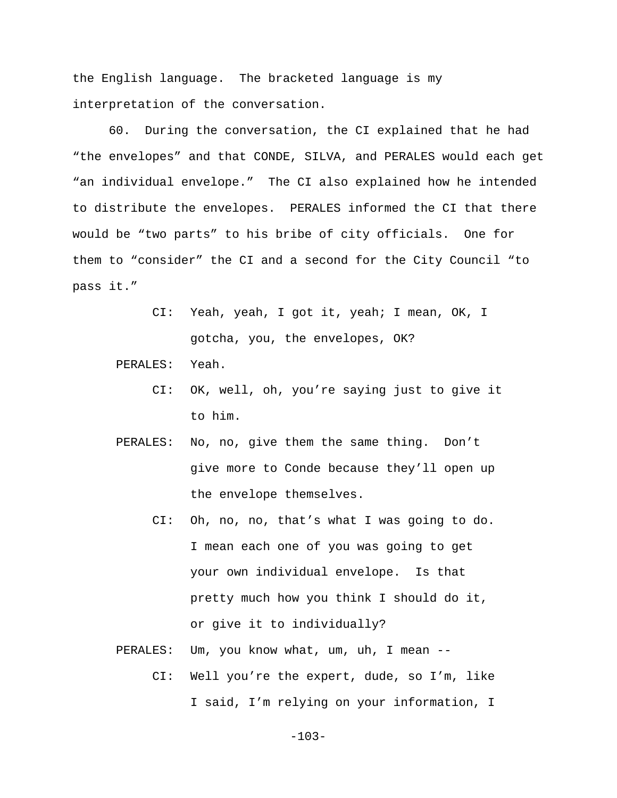the English language. The bracketed language is my interpretation of the conversation.

60. During the conversation, the CI explained that he had "the envelopes" and that CONDE, SILVA, and PERALES would each get "an individual envelope." The CI also explained how he intended to distribute the envelopes. PERALES informed the CI that there would be "two parts" to his bribe of city officials. One for them to "consider" the CI and a second for the City Council "to pass it."

> CI: Yeah, yeah, I got it, yeah; I mean, OK, I gotcha, you, the envelopes, OK?

PERALES: Yeah.

- CI: OK, well, oh, you're saying just to give it to him.
- PERALES: No, no, give them the same thing. Don't give more to Conde because they'll open up the envelope themselves.
	- CI: Oh, no, no, that's what I was going to do. I mean each one of you was going to get your own individual envelope. Is that pretty much how you think I should do it, or give it to individually?
- PERALES: Um, you know what, um, uh, I mean --
	- CI: Well you're the expert, dude, so I'm, like I said, I'm relying on your information, I

-103-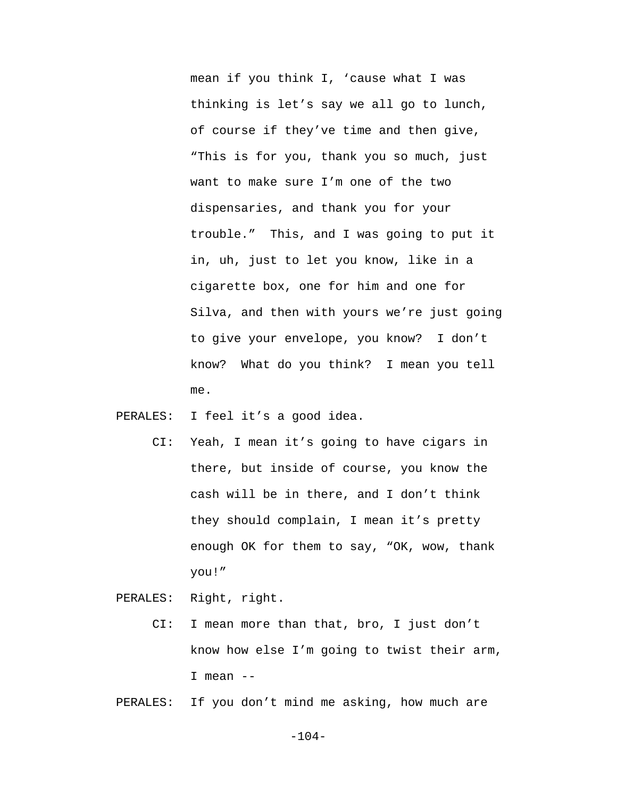mean if you think I, 'cause what I was thinking is let's say we all go to lunch, of course if they've time and then give, "This is for you, thank you so much, just want to make sure I'm one of the two dispensaries, and thank you for your trouble." This, and I was going to put it in, uh, just to let you know, like in a cigarette box, one for him and one for Silva, and then with yours we're just going to give your envelope, you know? I don't know? What do you think? I mean you tell me.

PERALES: I feel it's a good idea.

 CI: Yeah, I mean it's going to have cigars in there, but inside of course, you know the cash will be in there, and I don't think they should complain, I mean it's pretty enough OK for them to say, "OK, wow, thank you!"

PERALES: Right, right.

 CI: I mean more than that, bro, I just don't know how else I'm going to twist their arm, I mean --

PERALES: If you don't mind me asking, how much are

-104-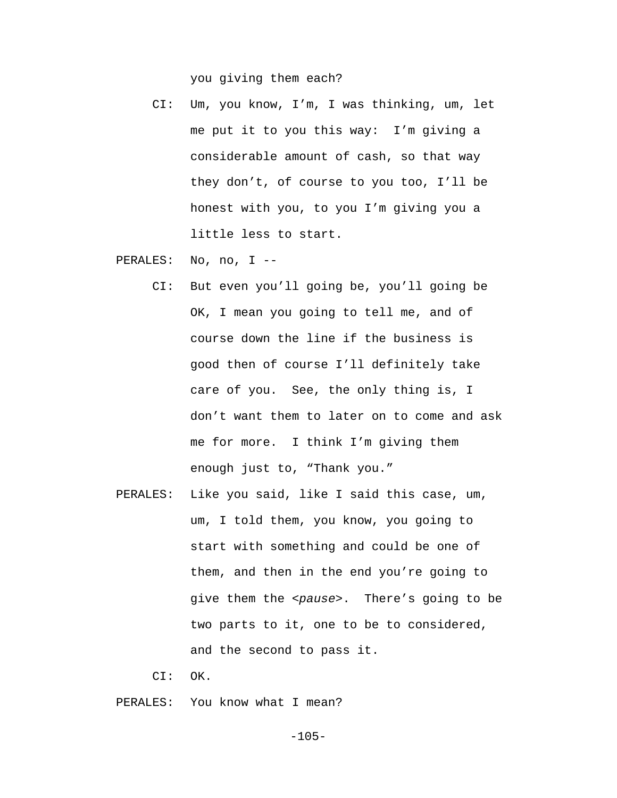you giving them each?

 CI: Um, you know, I'm, I was thinking, um, let me put it to you this way: I'm giving a considerable amount of cash, so that way they don't, of course to you too, I'll be honest with you, to you I'm giving you a little less to start.

PERALES: No, no, I --

- CI: But even you'll going be, you'll going be OK, I mean you going to tell me, and of course down the line if the business is good then of course I'll definitely take care of you. See, the only thing is, I don't want them to later on to come and ask me for more. I think I'm giving them enough just to, "Thank you."
- PERALES: Like you said, like I said this case, um, um, I told them, you know, you going to start with something and could be one of them, and then in the end you're going to give them the *<pause>*. There's going to be two parts to it, one to be to considered, and the second to pass it.
	- CI: OK.

PERALES: You know what I mean?

-105-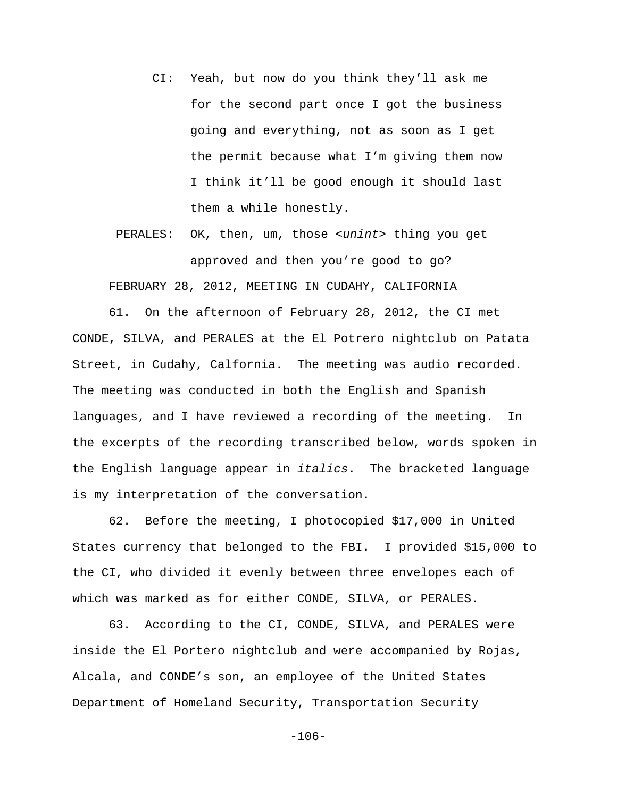- CI: Yeah, but now do you think they'll ask me for the second part once I got the business going and everything, not as soon as I get the permit because what I'm giving them now I think it'll be good enough it should last them a while honestly.
- PERALES: OK, then, um, those *<unint>* thing you get approved and then you're good to go?

## FEBRUARY 28, 2012, MEETING IN CUDAHY, CALIFORNIA

61. On the afternoon of February 28, 2012, the CI met CONDE, SILVA, and PERALES at the El Potrero nightclub on Patata Street, in Cudahy, Calfornia. The meeting was audio recorded. The meeting was conducted in both the English and Spanish languages, and I have reviewed a recording of the meeting. In the excerpts of the recording transcribed below, words spoken in the English language appear in *italics*. The bracketed language is my interpretation of the conversation.

62. Before the meeting, I photocopied \$17,000 in United States currency that belonged to the FBI. I provided \$15,000 to the CI, who divided it evenly between three envelopes each of which was marked as for either CONDE, SILVA, or PERALES.

63. According to the CI, CONDE, SILVA, and PERALES were inside the El Portero nightclub and were accompanied by Rojas, Alcala, and CONDE's son, an employee of the United States Department of Homeland Security, Transportation Security

-106-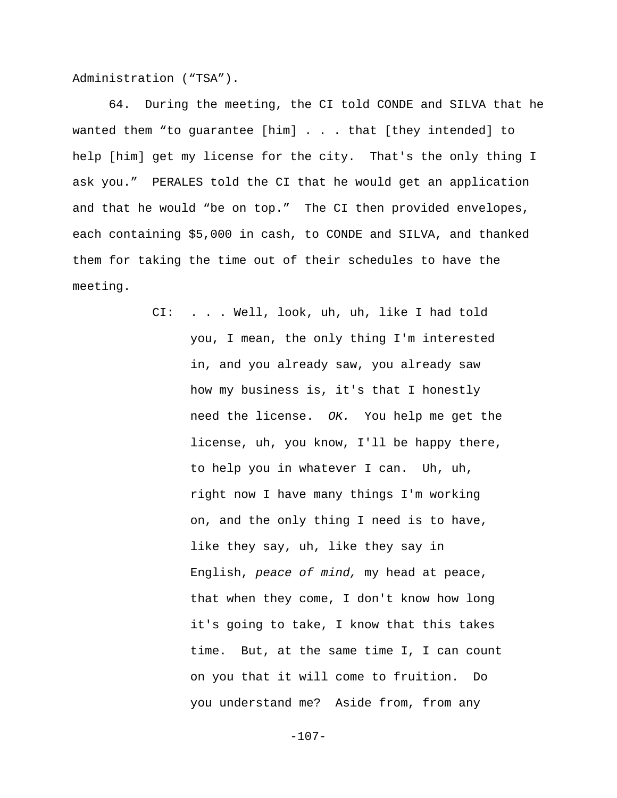Administration ("TSA").

64. During the meeting, the CI told CONDE and SILVA that he wanted them "to guarantee [him] . . . that [they intended] to help [him] get my license for the city. That's the only thing I ask you." PERALES told the CI that he would get an application and that he would "be on top." The CI then provided envelopes, each containing \$5,000 in cash, to CONDE and SILVA, and thanked them for taking the time out of their schedules to have the meeting.

> CI: . . . Well, look, uh, uh, like I had told you, I mean, the only thing I'm interested in, and you already saw, you already saw how my business is, it's that I honestly need the license. *OK.* You help me get the license, uh, you know, I'll be happy there, to help you in whatever I can. Uh, uh, right now I have many things I'm working on, and the only thing I need is to have, like they say, uh, like they say in English, *peace of mind,* my head at peace, that when they come, I don't know how long it's going to take, I know that this takes time. But, at the same time I, I can count on you that it will come to fruition. Do you understand me? Aside from, from any

> > -107-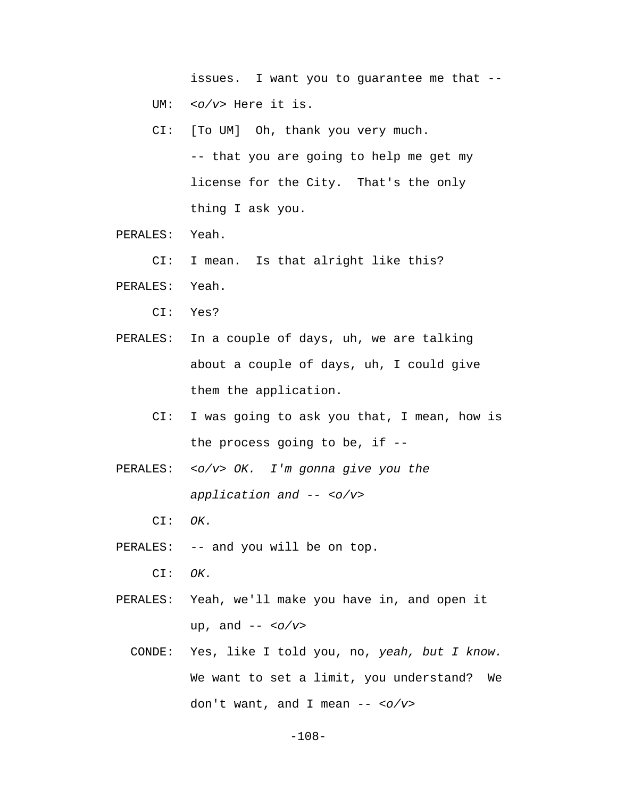issues. I want you to guarantee me that -- UM: *<o/v>* Here it is.

- CI: [To UM] Oh, thank you very much. -- that you are going to help me get my license for the City. That's the only thing I ask you.
- PERALES: Yeah.
	- CI: I mean. Is that alright like this?
- PERALES: Yeah.
	- CI: Yes?
- PERALES: In a couple of days, uh, we are talking about a couple of days, uh, I could give them the application.
	- CI: I was going to ask you that, I mean, how is the process going to be, if --
- PERALES: *<o/v> OK. I'm gonna give you the application and -- <o/v>*
	- CI: *OK.*
- PERALES: -- and you will be on top.
	- CI: *OK.*
- PERALES: Yeah, we'll make you have in, and open it up, and *-- <o/v>*
	- CONDE: Yes, like I told you, no, *yeah, but I know.*  We want to set a limit, you understand? We don't want, and I mean *-- <o/v>*

-108-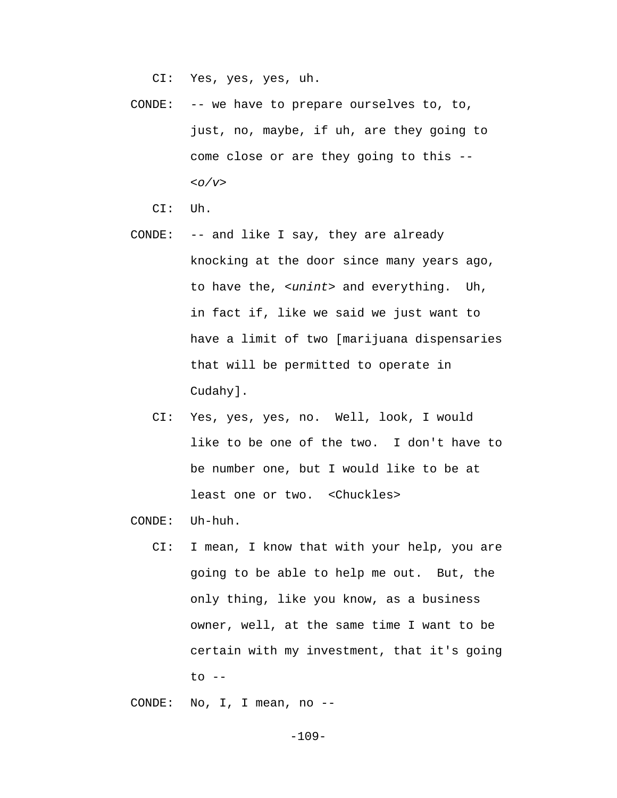CI: Yes, yes, yes, uh.

 CONDE: -- we have to prepare ourselves to, to, just, no, maybe, if uh, are they going to come close or are they going to this *-- <o/v>*

CI: Uh.

- CONDE: -- and like I say, they are already knocking at the door since many years ago, to have the, *<unint>* and everything. Uh, in fact if, like we said we just want to have a limit of two [marijuana dispensaries that will be permitted to operate in Cudahy].
	- CI: Yes, yes, yes, no. Well, look, I would like to be one of the two. I don't have to be number one, but I would like to be at least one or two. <Chuckles>

CONDE: Uh-huh.

 CI: I mean, I know that with your help, you are going to be able to help me out. But, the only thing, like you know, as a business owner, well, at the same time I want to be certain with my investment, that it's going to --

CONDE: No, I, I mean, no --

-109-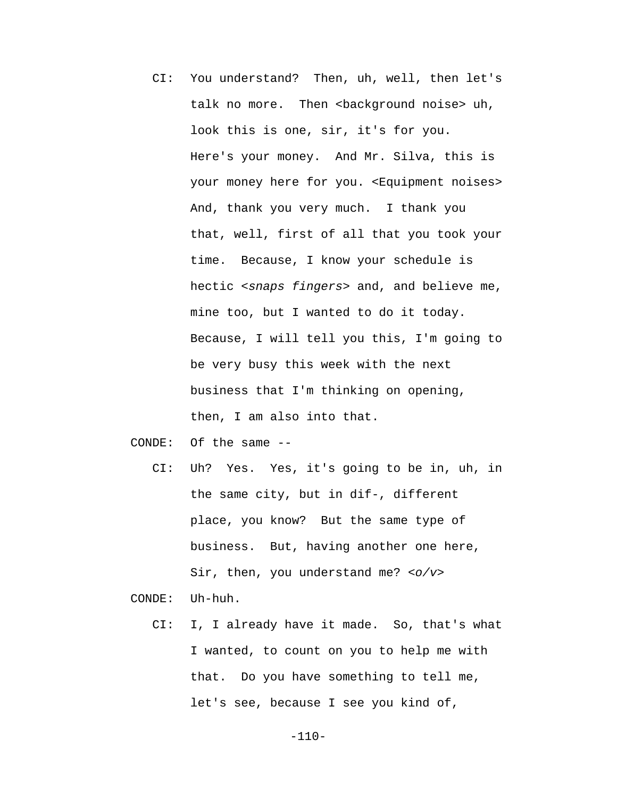CI: You understand? Then, uh, well, then let's talk no more. Then <br/>background noise> uh, look this is one, sir, it's for you. Here's your money. And Mr. Silva, this is your money here for you. <Equipment noises> And, thank you very much. I thank you that, well, first of all that you took your time. Because, I know your schedule is hectic *<snaps fingers>* and, and believe me, mine too, but I wanted to do it today. Because, I will tell you this, I'm going to be very busy this week with the next business that I'm thinking on opening, then, I am also into that.

CONDE: Of the same --

 CI: Uh? Yes. Yes, it's going to be in, uh, in the same city, but in dif-, different place, you know? But the same type of business. But, having another one here, Sir, then, you understand me? *<o/v>*

CONDE: Uh-huh.

 CI: I, I already have it made. So, that's what I wanted, to count on you to help me with that. Do you have something to tell me, let's see, because I see you kind of,

-110-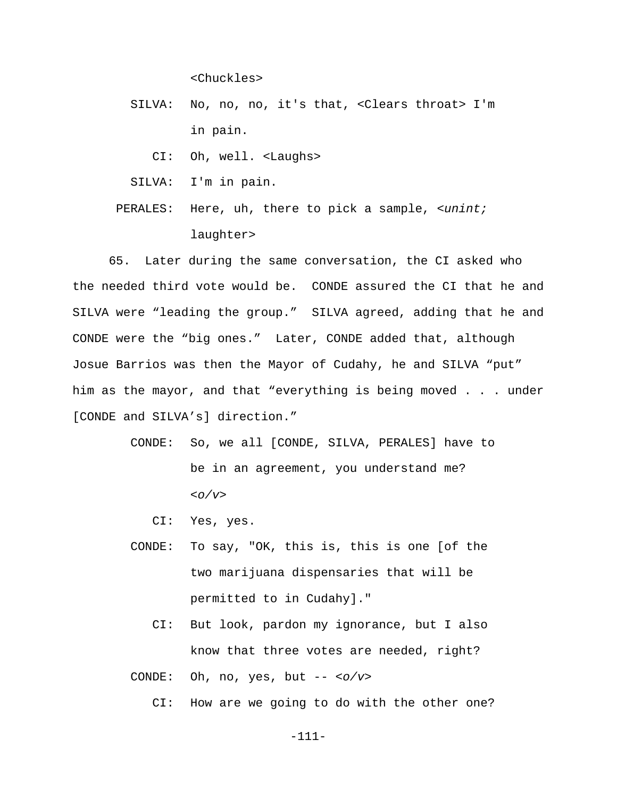<Chuckles>

 SILVA: No, no, no, it's that, <Clears throat> I'm in pain.

CI: Oh, well. <Laughs>

SILVA: I'm in pain.

 PERALES: Here, uh, there to pick a sample, *<unint;* laughter>

65. Later during the same conversation, the CI asked who the needed third vote would be. CONDE assured the CI that he and SILVA were "leading the group." SILVA agreed, adding that he and CONDE were the "big ones." Later, CONDE added that, although Josue Barrios was then the Mayor of Cudahy, he and SILVA "put" him as the mayor, and that "everything is being moved . . . under [CONDE and SILVA's] direction."

- CONDE: So, we all [CONDE, SILVA, PERALES] have to be in an agreement, you understand me? *<o/v>*
	- CI: Yes, yes.
- CONDE: To say, "OK, this is, this is one [of the two marijuana dispensaries that will be permitted to in Cudahy]."
	- CI: But look, pardon my ignorance, but I also know that three votes are needed, right?

CONDE: Oh, no, yes, but -- *<o/v>*

CI: How are we going to do with the other one?

-111-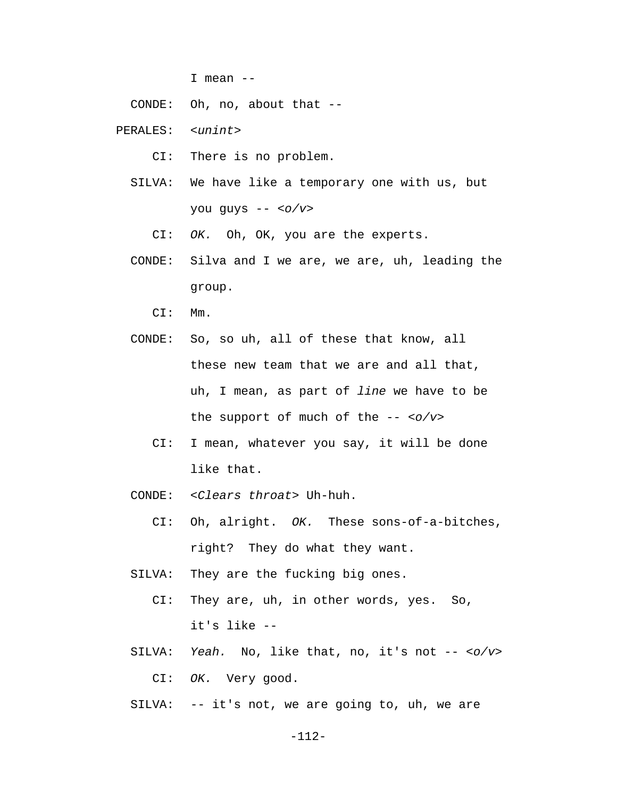I mean --

CONDE: Oh, no, about that --

PERALES: *<unint>*

CI: There is no problem.

- SILVA: We have like a temporary one with us, but you guys -- *<o/v>*
	- CI: *OK.* Oh, OK, you are the experts.
- CONDE: Silva and I we are, we are, uh, leading the group.

CI: Mm.

- CONDE: So, so uh, all of these that know, all these new team that we are and all that, uh, I mean, as part of *line* we have to be the support of much of the -- *<o/v>*
	- CI: I mean, whatever you say, it will be done like that.
- CONDE: *<Clears throat>* Uh-huh.
	- CI: Oh, alright. *OK.* These sons-of-a-bitches, right? They do what they want.
- SILVA: They are the fucking big ones.
	- CI: They are, uh, in other words, yes. So, it's like --
- SILVA: *Yeah.* No, like that, no, it's not -- *<o/v>* CI: *OK.* Very good.
- SILVA: -- it's not, we are going to, uh, we are

-112-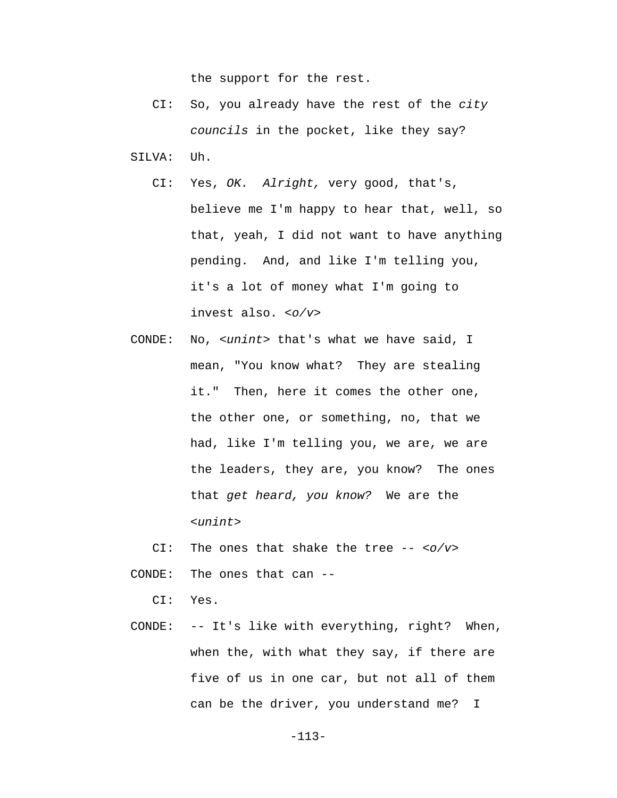the support for the rest.

- CI: So, you already have the rest of the *city councils* in the pocket, like they say? SILVA: Uh.
	- CI: Yes, *OK. Alright,* very good, that's, believe me I'm happy to hear that, well, so that, yeah, I did not want to have anything pending. And, and like I'm telling you, it's a lot of money what I'm going to invest also. *<o/v>*
- CONDE: No, *<unint>* that's what we have said, I mean, "You know what? They are stealing it." Then, here it comes the other one, the other one, or something, no, that we had, like I'm telling you, we are, we are the leaders, they are, you know? The ones that *get heard, you know?* We are the *<unint>*

CI: The ones that shake the tree -- *<o/v>*

CONDE: The ones that can --

CI: Yes.

 CONDE: -- It's like with everything, right? When, when the, with what they say, if there are five of us in one car, but not all of them can be the driver, you understand me? I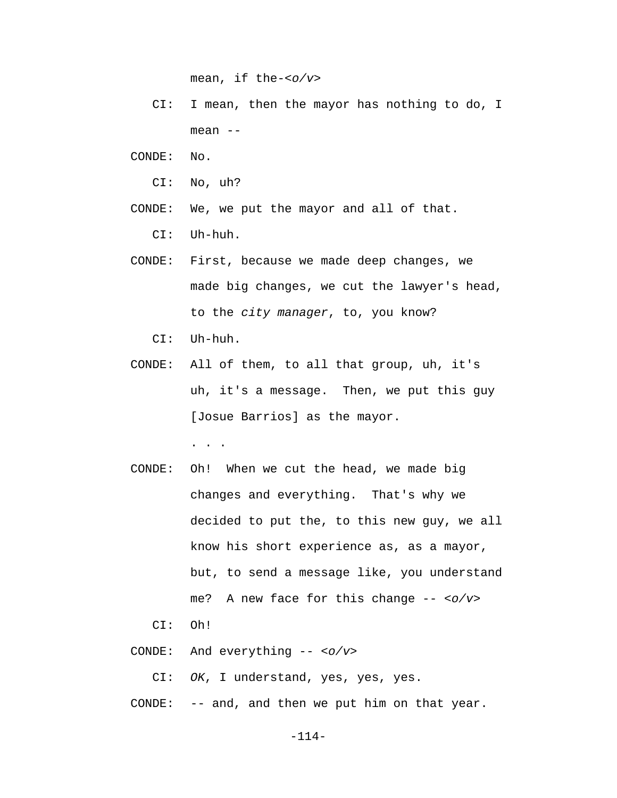mean, if the-*<o/v>*

- CI: I mean, then the mayor has nothing to do, I mean --
- CONDE: No.
	- CI: No, uh?
- CONDE: We, we put the mayor and all of that.

CI: Uh-huh.

- CONDE: First, because we made deep changes, we made big changes, we cut the lawyer's head, to the *city manager*, to, you know?
	- CI: Uh-huh.
- CONDE: All of them, to all that group, uh, it's uh, it's a message. Then, we put this guy [Josue Barrios] as the mayor. . . .
- CONDE: Oh! When we cut the head, we made big changes and everything. That's why we decided to put the, to this new guy, we all know his short experience as, as a mayor, but, to send a message like, you understand me? A new face for this change -- *<o/v>*

CI: Oh!

CONDE: And everything -- *<o/v>*

CI: *OK*, I understand, yes, yes, yes.

CONDE: -- and, and then we put him on that year.

-114-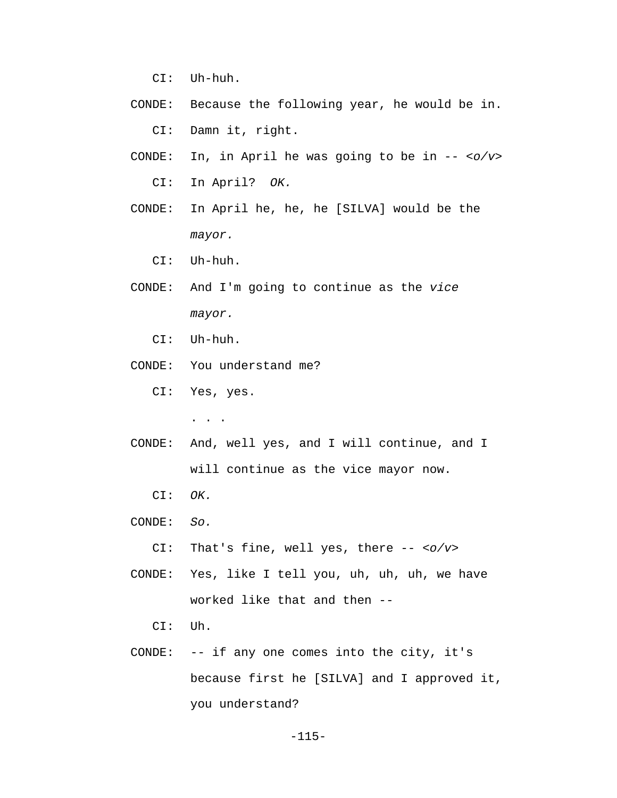CI: Uh-huh.

- CONDE: Because the following year, he would be in. CI: Damn it, right.
- CONDE: In, in April he was going to be in -- *<o/v>* CI: In April? *OK.*
- CONDE: In April he, he, he [SILVA] would be the *mayor.*
	- CI: Uh-huh.
- CONDE: And I'm going to continue as the *vice mayor.* 
	- CI: Uh-huh.
- CONDE: You understand me?
	- CI: Yes, yes.

. . .

- CONDE: And, well yes, and I will continue, and I will continue as the vice mayor now.
	- CI: *OK.*
- CONDE: *So.*

CI: That's fine, well yes, there -- *<o/v>*

- CONDE: Yes, like I tell you, uh, uh, uh, we have worked like that and then --
	- CI: Uh.
- CONDE: -- if any one comes into the city, it's because first he [SILVA] and I approved it, you understand?

-115-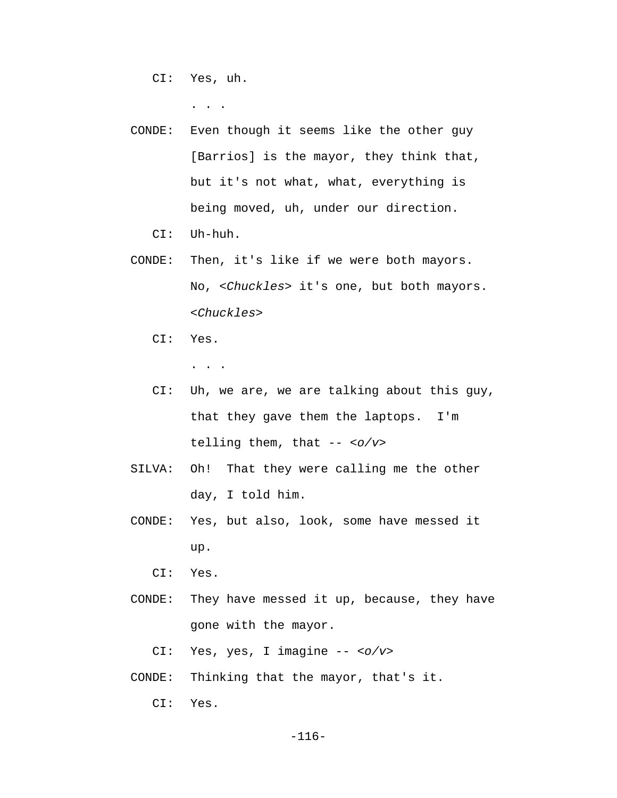CI: Yes, uh.

. . .

 CONDE: Even though it seems like the other guy [Barrios] is the mayor, they think that, but it's not what, what, everything is being moved, uh, under our direction.

CI: Uh-huh.

- CONDE: Then, it's like if we were both mayors. No, *<Chuckles>* it's one, but both mayors. *<Chuckles>*
	- CI: Yes.

. . .

- CI: Uh, we are, we are talking about this guy, that they gave them the laptops. I'm telling them, that -- *<o/v>*
- SILVA: Oh! That they were calling me the other day, I told him.
- CONDE: Yes, but also, look, some have messed it up.

CI: Yes.

 CONDE: They have messed it up, because, they have gone with the mayor.

CI: Yes, yes, I imagine -- *<o/v>*

CONDE: Thinking that the mayor, that's it.

CI: Yes.

-116-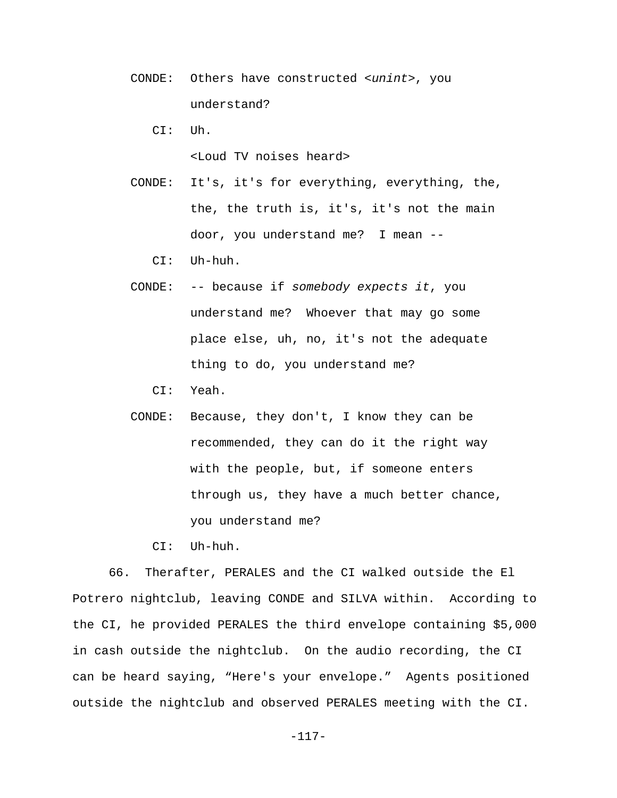CONDE: Others have constructed *<unint>*, you understand?

CI: Uh.

<Loud TV noises heard>

 CONDE: It's, it's for everything, everything, the, the, the truth is, it's, it's not the main door, you understand me? I mean --

CI: Uh-huh.

 CONDE: -- because if *somebody expects it*, you understand me? Whoever that may go some place else, uh, no, it's not the adequate thing to do, you understand me?

CI: Yeah.

 CONDE: Because, they don't, I know they can be recommended, they can do it the right way with the people, but, if someone enters through us, they have a much better chance, you understand me?

CI: Uh-huh.

66. Therafter, PERALES and the CI walked outside the El Potrero nightclub, leaving CONDE and SILVA within. According to the CI, he provided PERALES the third envelope containing \$5,000 in cash outside the nightclub. On the audio recording, the CI can be heard saying, "Here's your envelope." Agents positioned outside the nightclub and observed PERALES meeting with the CI.

-117-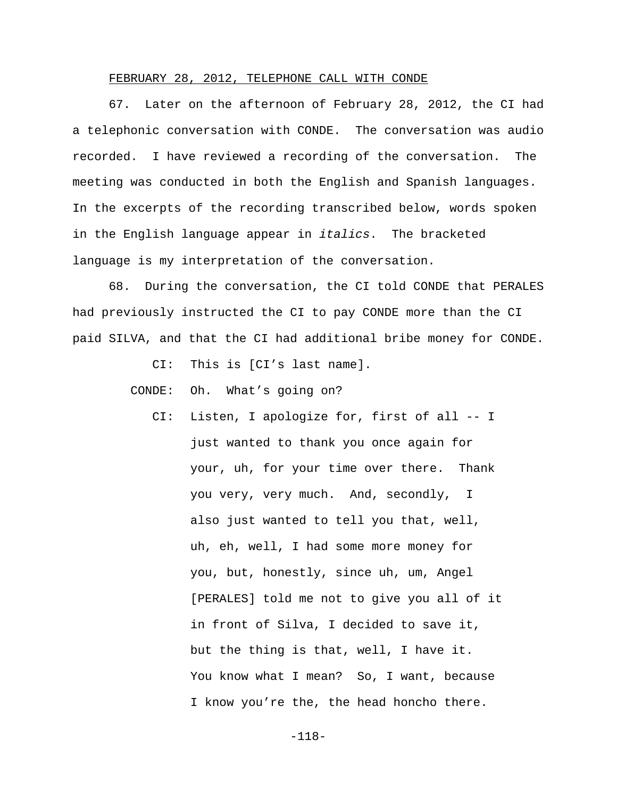## FEBRUARY 28, 2012, TELEPHONE CALL WITH CONDE

67. Later on the afternoon of February 28, 2012, the CI had a telephonic conversation with CONDE. The conversation was audio recorded. I have reviewed a recording of the conversation. The meeting was conducted in both the English and Spanish languages. In the excerpts of the recording transcribed below, words spoken in the English language appear in *italics*. The bracketed language is my interpretation of the conversation.

68. During the conversation, the CI told CONDE that PERALES had previously instructed the CI to pay CONDE more than the CI paid SILVA, and that the CI had additional bribe money for CONDE.

CI: This is [CI's last name].

CONDE: Oh. What's going on?

 CI: Listen, I apologize for, first of all -- I just wanted to thank you once again for your, uh, for your time over there. Thank you very, very much. And, secondly, I also just wanted to tell you that, well, uh, eh, well, I had some more money for you, but, honestly, since uh, um, Angel [PERALES] told me not to give you all of it in front of Silva, I decided to save it, but the thing is that, well, I have it. You know what I mean? So, I want, because I know you're the, the head honcho there.

-118-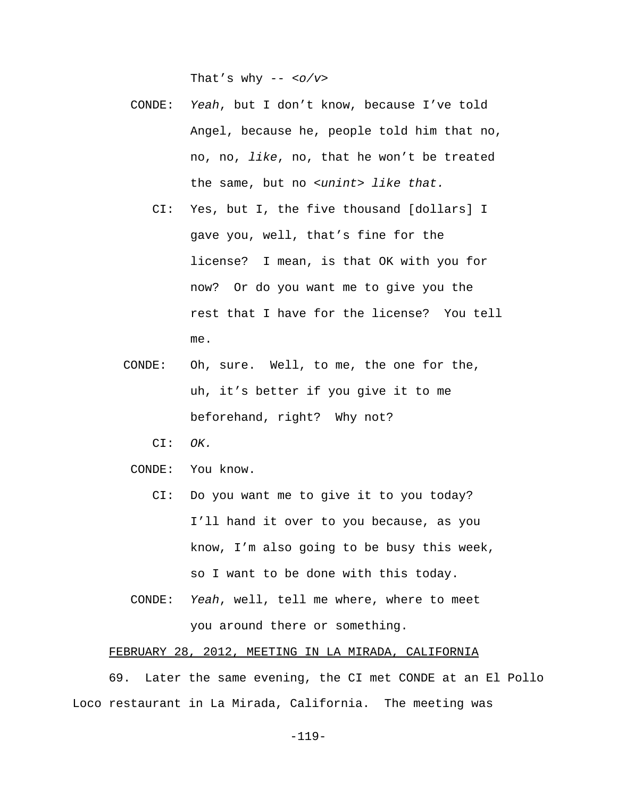That's why -- *<o/v>*

- CONDE: *Yeah*, but I don't know, because I've told Angel, because he, people told him that no, no, no, *like*, no, that he won't be treated the same, but no *<unint> like that.*
	- CI: Yes, but I, the five thousand [dollars] I gave you, well, that's fine for the license? I mean, is that OK with you for now? Or do you want me to give you the rest that I have for the license? You tell me.
- CONDE: Oh, sure. Well, to me, the one for the, uh, it's better if you give it to me beforehand, right? Why not?
	- CI: *OK.*
- CONDE: You know.
	- CI: Do you want me to give it to you today? I'll hand it over to you because, as you know, I'm also going to be busy this week, so I want to be done with this today.
- CONDE: *Yeah*, well, tell me where, where to meet you around there or something.

## FEBRUARY 28, 2012, MEETING IN LA MIRADA, CALIFORNIA

69. Later the same evening, the CI met CONDE at an El Pollo Loco restaurant in La Mirada, California. The meeting was

-119-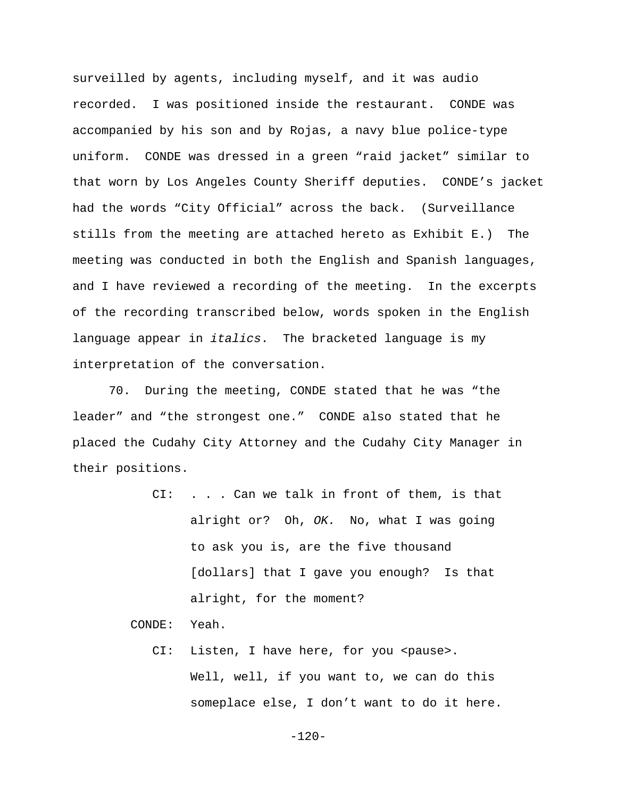surveilled by agents, including myself, and it was audio recorded. I was positioned inside the restaurant. CONDE was accompanied by his son and by Rojas, a navy blue police-type uniform. CONDE was dressed in a green "raid jacket" similar to that worn by Los Angeles County Sheriff deputies. CONDE's jacket had the words "City Official" across the back. (Surveillance stills from the meeting are attached hereto as Exhibit E.) The meeting was conducted in both the English and Spanish languages, and I have reviewed a recording of the meeting. In the excerpts of the recording transcribed below, words spoken in the English language appear in *italics*. The bracketed language is my interpretation of the conversation.

70. During the meeting, CONDE stated that he was "the leader" and "the strongest one." CONDE also stated that he placed the Cudahy City Attorney and the Cudahy City Manager in their positions.

> $CI:$  . . . Can we talk in front of them, is that alright or? Oh, *OK.* No, what I was going to ask you is, are the five thousand [dollars] that I gave you enough? Is that alright, for the moment?

CONDE: Yeah.

CI: Listen, I have here, for you <pause>. Well, well, if you want to, we can do this someplace else, I don't want to do it here.

-120-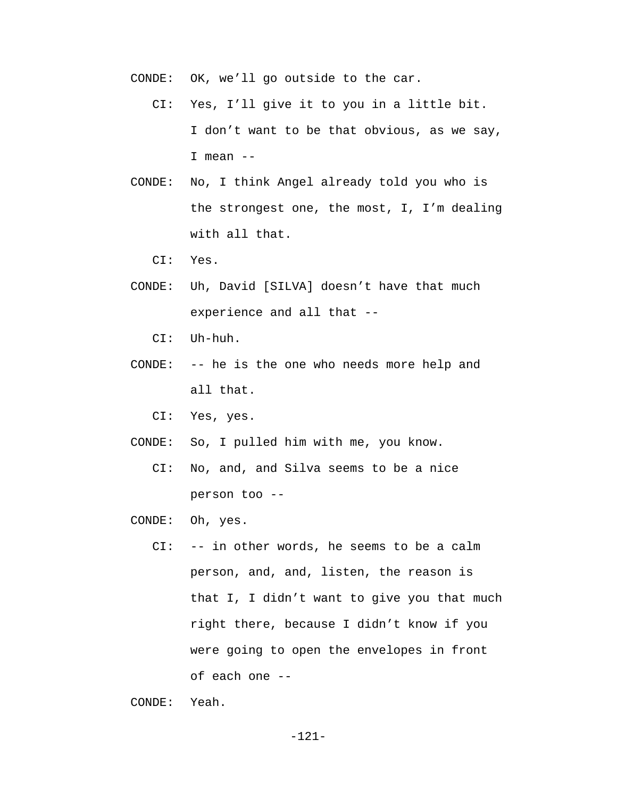CONDE: OK, we'll go outside to the car.

- CI: Yes, I'll give it to you in a little bit. I don't want to be that obvious, as we say, I mean  $--$
- CONDE: No, I think Angel already told you who is the strongest one, the most, I, I'm dealing with all that.

CI: Yes.

- CONDE: Uh, David [SILVA] doesn't have that much experience and all that --
	- CI: Uh-huh.
- CONDE: -- he is the one who needs more help and all that.

CI: Yes, yes.

- CONDE: So, I pulled him with me, you know.
	- CI: No, and, and Silva seems to be a nice person too --
- CONDE: Oh, yes.
	- CI: -- in other words, he seems to be a calm person, and, and, listen, the reason is that I, I didn't want to give you that much right there, because I didn't know if you were going to open the envelopes in front of each one --

CONDE: Yeah.

-121-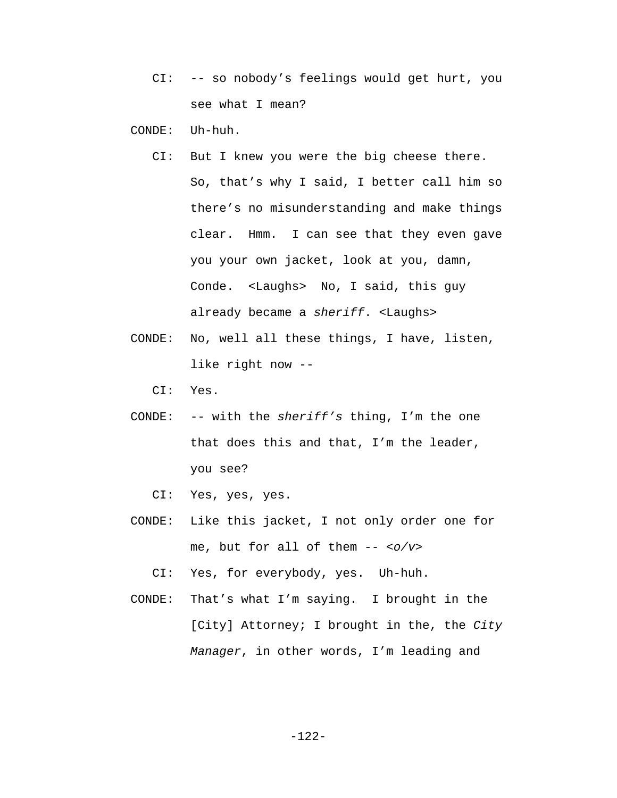CI: -- so nobody's feelings would get hurt, you see what I mean?

CONDE: Uh-huh.

- CI: But I knew you were the big cheese there. So, that's why I said, I better call him so there's no misunderstanding and make things clear. Hmm. I can see that they even gave you your own jacket, look at you, damn, Conde. <Laughs> No, I said, this guy already became a *sheriff*. <Laughs>
- CONDE: No, well all these things, I have, listen, like right now --
	- CI: Yes.
- CONDE: -- with the *sheriff's* thing, I'm the one that does this and that, I'm the leader, you see?
	- CI: Yes, yes, yes.
- CONDE: Like this jacket, I not only order one for me, but for all of them -- *<o/v>*
	- CI: Yes, for everybody, yes. Uh-huh.
- CONDE: That's what I'm saying. I brought in the [City] Attorney; I brought in the, the *City Manager*, in other words, I'm leading and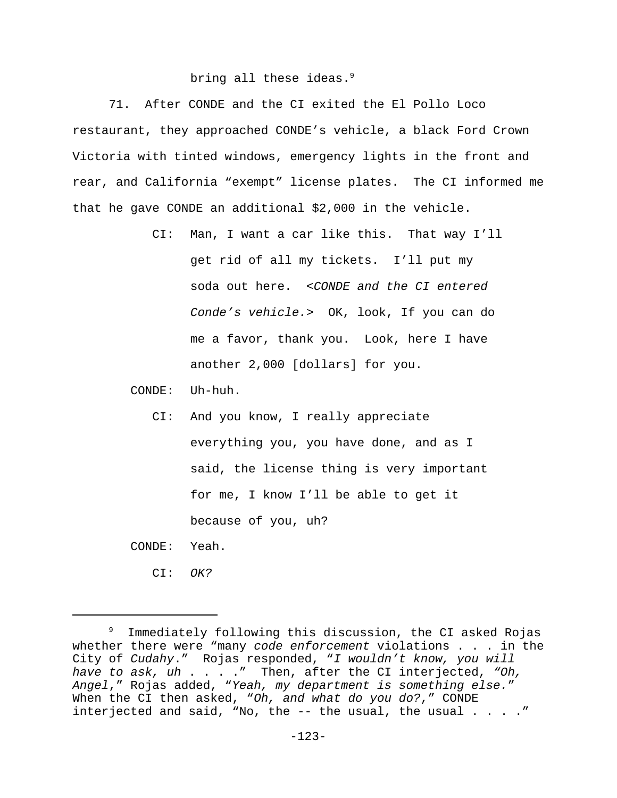# bring all these ideas.<sup>9</sup>

71. After CONDE and the CI exited the El Pollo Loco restaurant, they approached CONDE's vehicle, a black Ford Crown Victoria with tinted windows, emergency lights in the front and rear, and California "exempt" license plates. The CI informed me that he gave CONDE an additional \$2,000 in the vehicle.

> CI: Man, I want a car like this. That way I'll get rid of all my tickets. I'll put my soda out here. *<CONDE and the CI entered Conde's vehicle.>* OK, look, If you can do me a favor, thank you. Look, here I have another 2,000 [dollars] for you.

CONDE: Uh-huh.

 CI: And you know, I really appreciate everything you, you have done, and as I said, the license thing is very important for me, I know I'll be able to get it because of you, uh?

CONDE: Yeah.

CI: *OK?*

<sup>9</sup> Immediately following this discussion, the CI asked Rojas whether there were "many *code enforcement* violations . . . in the City of *Cudahy*." Rojas responded, "*I wouldn't know, you will have to ask, uh* . . . ." Then, after the CI interjected, *"Oh, Angel*," Rojas added, "*Yeah, my department is something else.*" When the CI then asked, "*Oh, and what do you do?*," CONDE interjected and said, "No, the  $-$ - the usual, the usual  $\ldots$ ...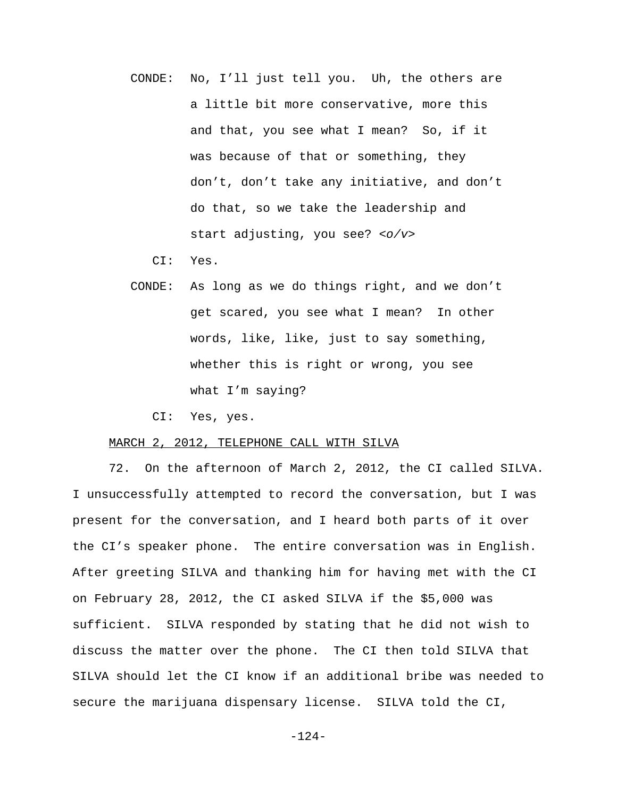CONDE: No, I'll just tell you. Uh, the others are a little bit more conservative, more this and that, you see what I mean? So, if it was because of that or something, they don't, don't take any initiative, and don't do that, so we take the leadership and start adjusting, you see? *<o/v>*

CI: Yes.

- CONDE: As long as we do things right, and we don't get scared, you see what I mean? In other words, like, like, just to say something, whether this is right or wrong, you see what I'm saying?
	- CI: Yes, yes.

## MARCH 2, 2012, TELEPHONE CALL WITH SILVA

72. On the afternoon of March 2, 2012, the CI called SILVA. I unsuccessfully attempted to record the conversation, but I was present for the conversation, and I heard both parts of it over the CI's speaker phone. The entire conversation was in English. After greeting SILVA and thanking him for having met with the CI on February 28, 2012, the CI asked SILVA if the \$5,000 was sufficient. SILVA responded by stating that he did not wish to discuss the matter over the phone. The CI then told SILVA that SILVA should let the CI know if an additional bribe was needed to secure the marijuana dispensary license. SILVA told the CI,

-124-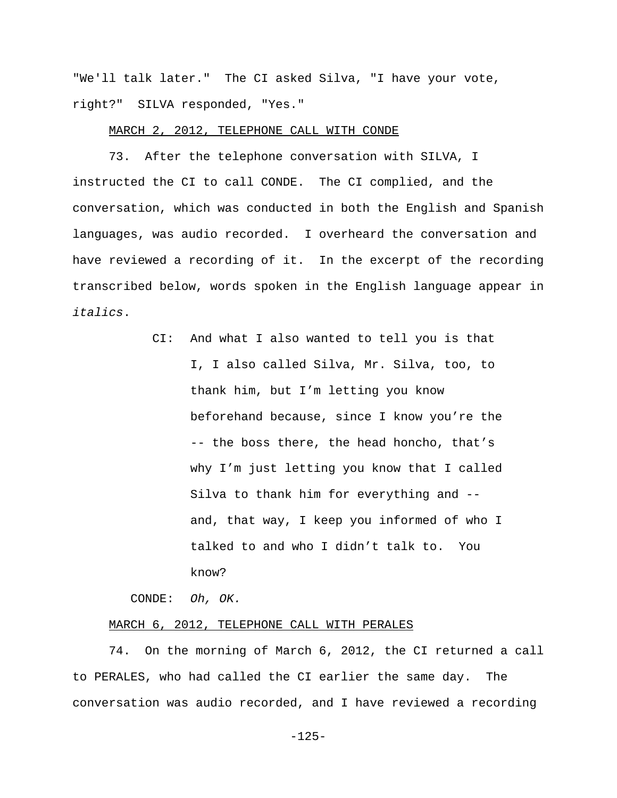"We'll talk later." The CI asked Silva, "I have your vote, right?" SILVA responded, "Yes."

### MARCH 2, 2012, TELEPHONE CALL WITH CONDE

73. After the telephone conversation with SILVA, I instructed the CI to call CONDE. The CI complied, and the conversation, which was conducted in both the English and Spanish languages, was audio recorded. I overheard the conversation and have reviewed a recording of it. In the excerpt of the recording transcribed below, words spoken in the English language appear in *italics*.

> CI: And what I also wanted to tell you is that I, I also called Silva, Mr. Silva, too, to thank him, but I'm letting you know beforehand because, since I know you're the -- the boss there, the head honcho, that's why I'm just letting you know that I called Silva to thank him for everything and - and, that way, I keep you informed of who I talked to and who I didn't talk to. You know?

CONDE: *Oh, OK.* 

### MARCH 6, 2012, TELEPHONE CALL WITH PERALES

74. On the morning of March 6, 2012, the CI returned a call to PERALES, who had called the CI earlier the same day. The conversation was audio recorded, and I have reviewed a recording

-125-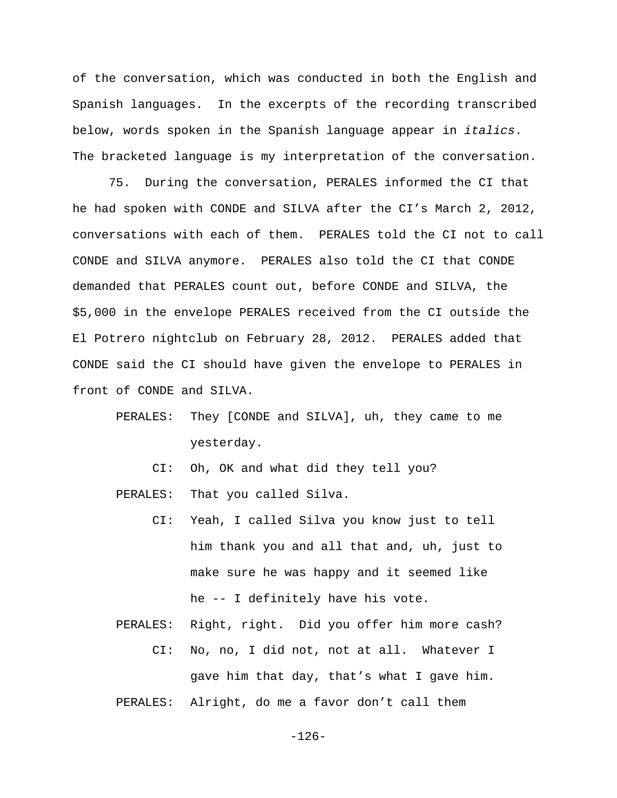of the conversation, which was conducted in both the English and Spanish languages. In the excerpts of the recording transcribed below, words spoken in the Spanish language appear in *italics*. The bracketed language is my interpretation of the conversation.

75. During the conversation, PERALES informed the CI that he had spoken with CONDE and SILVA after the CI's March 2, 2012, conversations with each of them. PERALES told the CI not to call CONDE and SILVA anymore. PERALES also told the CI that CONDE demanded that PERALES count out, before CONDE and SILVA, the \$5,000 in the envelope PERALES received from the CI outside the El Potrero nightclub on February 28, 2012. PERALES added that CONDE said the CI should have given the envelope to PERALES in front of CONDE and SILVA.

- PERALES: They [CONDE and SILVA], uh, they came to me yesterday.
	- CI: Oh, OK and what did they tell you?

PERALES: That you called Silva.

- CI: Yeah, I called Silva you know just to tell him thank you and all that and, uh, just to make sure he was happy and it seemed like he -- I definitely have his vote.
- PERALES: Right, right. Did you offer him more cash? CI: No, no, I did not, not at all. Whatever I gave him that day, that's what I gave him. PERALES: Alright, do me a favor don't call them

-126-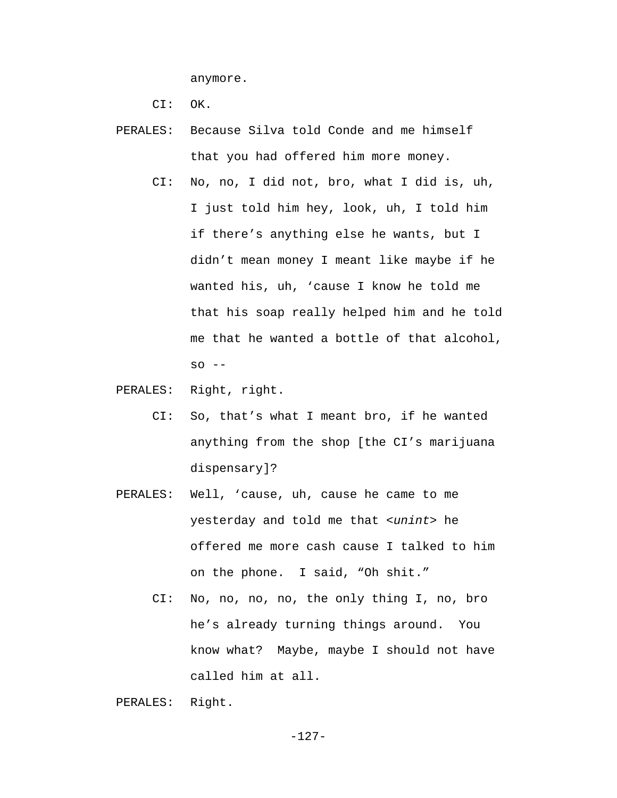anymore.

CI: OK.

- PERALES: Because Silva told Conde and me himself that you had offered him more money.
	- CI: No, no, I did not, bro, what I did is, uh, I just told him hey, look, uh, I told him if there's anything else he wants, but I didn't mean money I meant like maybe if he wanted his, uh, 'cause I know he told me that his soap really helped him and he told me that he wanted a bottle of that alcohol,  $SO - -$
- PERALES: Right, right.
	- CI: So, that's what I meant bro, if he wanted anything from the shop [the CI's marijuana dispensary]?
- PERALES: Well, 'cause, uh, cause he came to me yesterday and told me that *<unint>* he offered me more cash cause I talked to him on the phone. I said, "Oh shit."
	- CI: No, no, no, no, the only thing I, no, bro he's already turning things around. You know what? Maybe, maybe I should not have called him at all.

```
 PERALES: Right.
```
-127-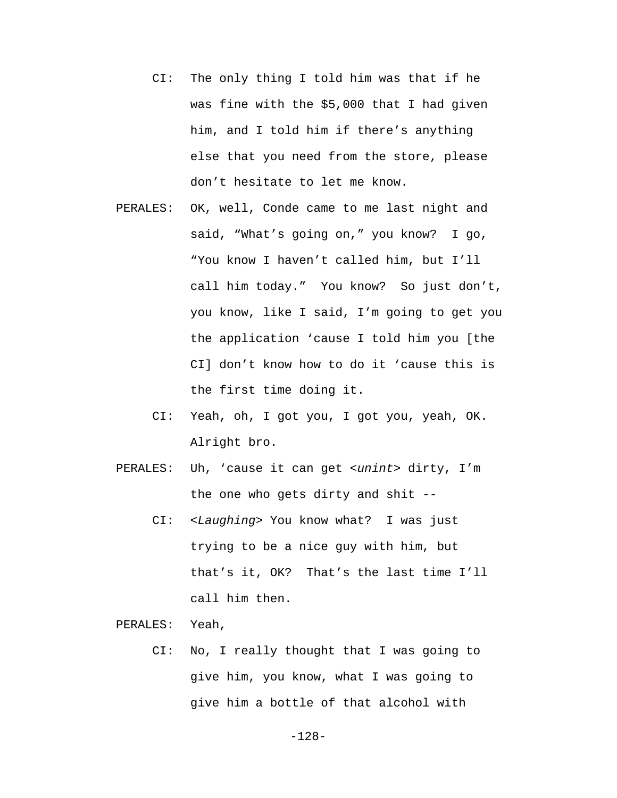- CI: The only thing I told him was that if he was fine with the \$5,000 that I had given him, and I told him if there's anything else that you need from the store, please don't hesitate to let me know.
- PERALES: OK, well, Conde came to me last night and said, "What's going on," you know? I go, "You know I haven't called him, but I'll call him today." You know? So just don't, you know, like I said, I'm going to get you the application 'cause I told him you [the CI] don't know how to do it 'cause this is the first time doing it.
	- CI: Yeah, oh, I got you, I got you, yeah, OK. Alright bro.
- PERALES: Uh, 'cause it can get *<unint>* dirty, I'm the one who gets dirty and shit --
	- CI: *<Laughing>* You know what? I was just trying to be a nice guy with him, but that's it, OK? That's the last time I'll call him then.

PERALES: Yeah,

 CI: No, I really thought that I was going to give him, you know, what I was going to give him a bottle of that alcohol with

-128-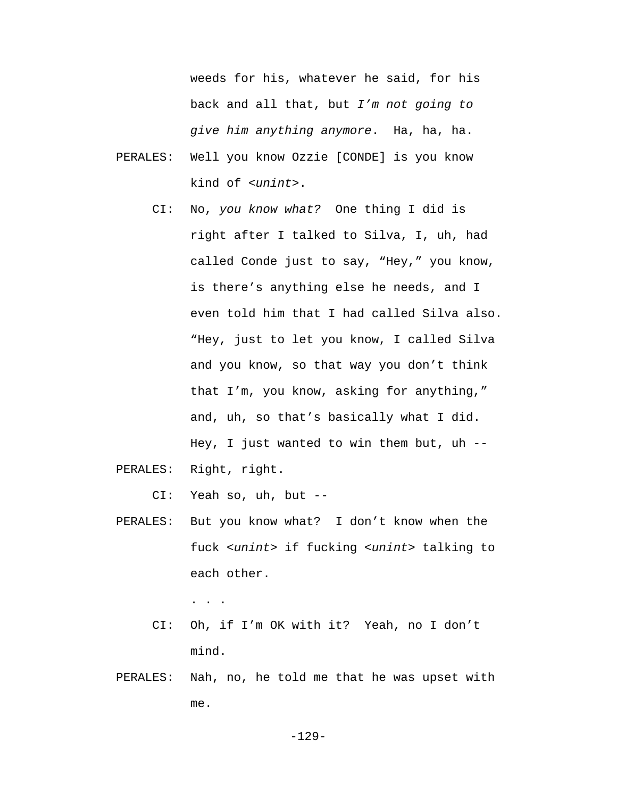weeds for his, whatever he said, for his back and all that, but *I'm not going to give him anything anymore*. Ha, ha, ha.

- PERALES: Well you know Ozzie [CONDE] is you know kind of *<unint>*.
	- CI: No, *you know what?* One thing I did is right after I talked to Silva, I, uh, had called Conde just to say, "Hey," you know, is there's anything else he needs, and I even told him that I had called Silva also. "Hey, just to let you know, I called Silva and you know, so that way you don't think that I'm, you know, asking for anything," and, uh, so that's basically what I did. Hey, I just wanted to win them but, uh  $-$

PERALES: Right, right.

CI: Yeah so, uh, but --

 PERALES: But you know what? I don't know when the fuck *<unint>* if fucking *<unint>* talking to each other.

. . .

- CI: Oh, if I'm OK with it? Yeah, no I don't mind.
- PERALES: Nah, no, he told me that he was upset with me.

-129-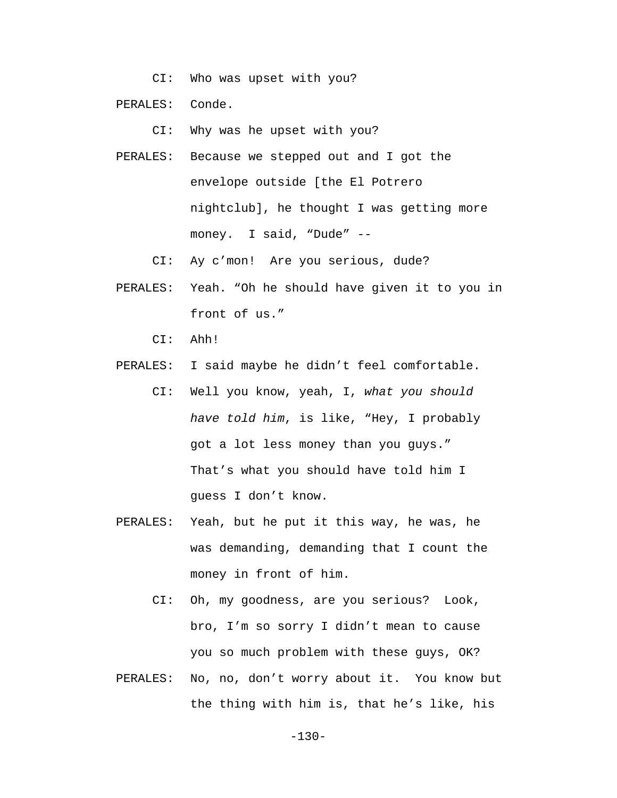CI: Who was upset with you?

PERALES: Conde.

CI: Why was he upset with you?

- PERALES: Because we stepped out and I got the envelope outside [the El Potrero nightclub], he thought I was getting more money. I said, "Dude" --
	- CI: Ay c'mon! Are you serious, dude?
- PERALES: Yeah. "Oh he should have given it to you in front of us."
	- CI: Ahh!
- PERALES: I said maybe he didn't feel comfortable.
	- CI: Well you know, yeah, I, *what you should have told him*, is like, "Hey, I probably got a lot less money than you guys." That's what you should have told him I guess I don't know.
- PERALES: Yeah, but he put it this way, he was, he was demanding, demanding that I count the money in front of him.
	- CI: Oh, my goodness, are you serious? Look, bro, I'm so sorry I didn't mean to cause you so much problem with these guys, OK?
- PERALES: No, no, don't worry about it. You know but the thing with him is, that he's like, his

-130-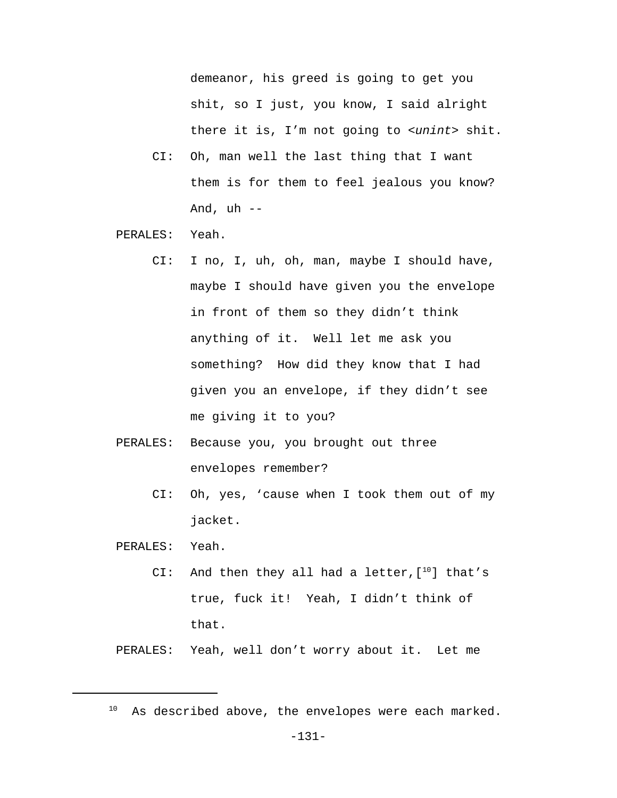demeanor, his greed is going to get you shit, so I just, you know, I said alright there it is, I'm not going to *<unint>* shit.

- CI: Oh, man well the last thing that I want them is for them to feel jealous you know? And,  $uh$  --
- PERALES: Yeah.
	- CI: I no, I, uh, oh, man, maybe I should have, maybe I should have given you the envelope in front of them so they didn't think anything of it. Well let me ask you something? How did they know that I had given you an envelope, if they didn't see me giving it to you?
- PERALES: Because you, you brought out three envelopes remember?
	- CI: Oh, yes, 'cause when I took them out of my jacket.

PERALES: Yeah.

CI: And then they all had a letter, [10] that's true, fuck it! Yeah, I didn't think of that.

PERALES: Yeah, well don't worry about it. Let me

 $10$  As described above, the envelopes were each marked.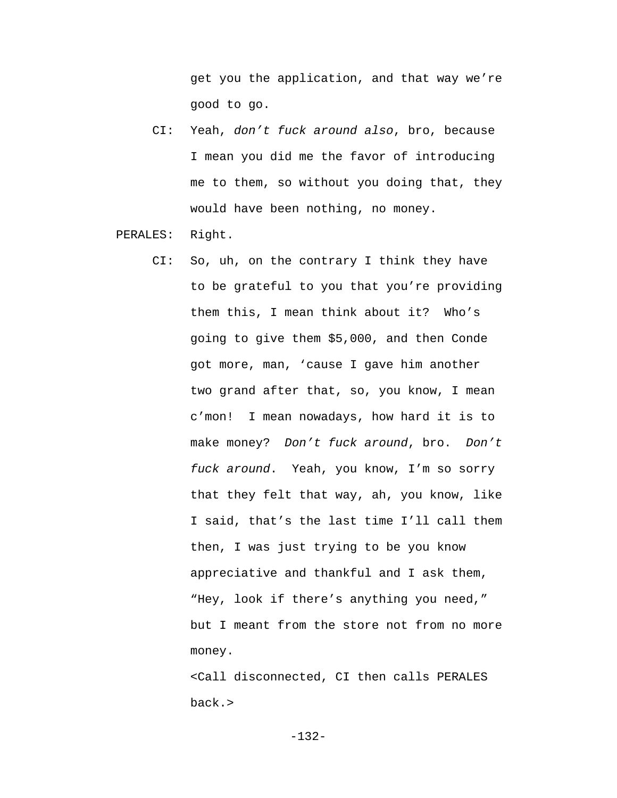get you the application, and that way we're good to go.

 CI: Yeah, *don't fuck around also*, bro, because I mean you did me the favor of introducing me to them, so without you doing that, they would have been nothing, no money.

PERALES: Right.

 CI: So, uh, on the contrary I think they have to be grateful to you that you're providing them this, I mean think about it? Who's going to give them \$5,000, and then Conde got more, man, 'cause I gave him another two grand after that, so, you know, I mean c'mon! I mean nowadays, how hard it is to make money? *Don't fuck around*, bro. *Don't fuck around*. Yeah, you know, I'm so sorry that they felt that way, ah, you know, like I said, that's the last time I'll call them then, I was just trying to be you know appreciative and thankful and I ask them, "Hey, look if there's anything you need," but I meant from the store not from no more money.

> <Call disconnected, CI then calls PERALES back.>

> > -132-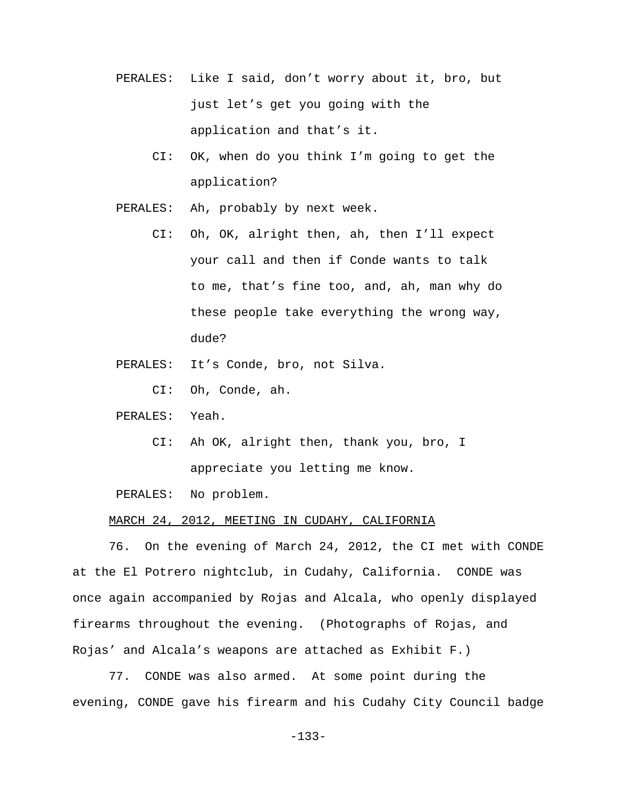- PERALES: Like I said, don't worry about it, bro, but just let's get you going with the application and that's it.
	- CI: OK, when do you think I'm going to get the application?
- PERALES: Ah, probably by next week.
	- CI: Oh, OK, alright then, ah, then I'll expect your call and then if Conde wants to talk to me, that's fine too, and, ah, man why do these people take everything the wrong way, dude?
- PERALES: It's Conde, bro, not Silva.
	- CI: Oh, Conde, ah.
- PERALES: Yeah.
	- CI: Ah OK, alright then, thank you, bro, I appreciate you letting me know.

PERALES: No problem.

# MARCH 24, 2012, MEETING IN CUDAHY, CALIFORNIA

76. On the evening of March 24, 2012, the CI met with CONDE at the El Potrero nightclub, in Cudahy, California. CONDE was once again accompanied by Rojas and Alcala, who openly displayed firearms throughout the evening. (Photographs of Rojas, and Rojas' and Alcala's weapons are attached as Exhibit F.)

77. CONDE was also armed. At some point during the evening, CONDE gave his firearm and his Cudahy City Council badge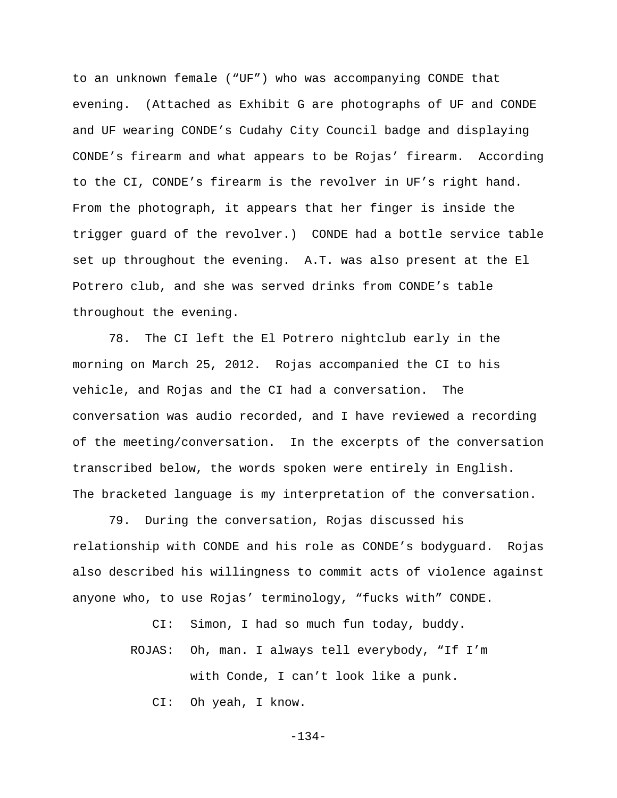to an unknown female ("UF") who was accompanying CONDE that evening. (Attached as Exhibit G are photographs of UF and CONDE and UF wearing CONDE's Cudahy City Council badge and displaying CONDE's firearm and what appears to be Rojas' firearm. According to the CI, CONDE's firearm is the revolver in UF's right hand. From the photograph, it appears that her finger is inside the trigger guard of the revolver.) CONDE had a bottle service table set up throughout the evening. A.T. was also present at the El Potrero club, and she was served drinks from CONDE's table throughout the evening.

78. The CI left the El Potrero nightclub early in the morning on March 25, 2012. Rojas accompanied the CI to his vehicle, and Rojas and the CI had a conversation. The conversation was audio recorded, and I have reviewed a recording of the meeting/conversation. In the excerpts of the conversation transcribed below, the words spoken were entirely in English. The bracketed language is my interpretation of the conversation.

79. During the conversation, Rojas discussed his relationship with CONDE and his role as CONDE's bodyguard. Rojas also described his willingness to commit acts of violence against anyone who, to use Rojas' terminology, "fucks with" CONDE.

CI: Simon, I had so much fun today, buddy.

 ROJAS: Oh, man. I always tell everybody, "If I'm with Conde, I can't look like a punk. CI: Oh yeah, I know.

-134-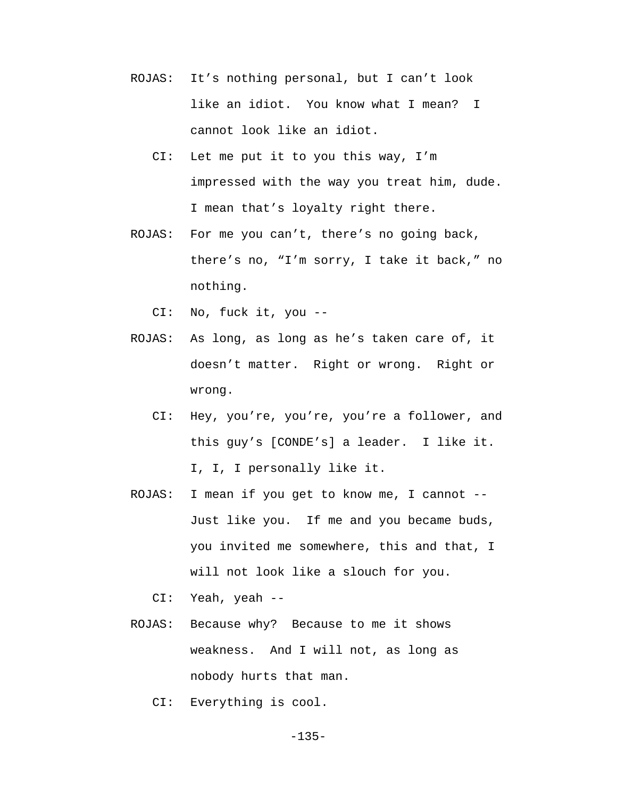- ROJAS: It's nothing personal, but I can't look like an idiot. You know what I mean? I cannot look like an idiot.
	- CI: Let me put it to you this way, I'm impressed with the way you treat him, dude. I mean that's loyalty right there.
- ROJAS: For me you can't, there's no going back, there's no, "I'm sorry, I take it back," no nothing.

CI: No, fuck it, you --

- ROJAS: As long, as long as he's taken care of, it doesn't matter. Right or wrong. Right or wrong.
	- CI: Hey, you're, you're, you're a follower, and this guy's [CONDE's] a leader. I like it. I, I, I personally like it.
- ROJAS: I mean if you get to know me, I cannot -- Just like you. If me and you became buds, you invited me somewhere, this and that, I will not look like a slouch for you.

CI: Yeah, yeah --

- ROJAS: Because why? Because to me it shows weakness. And I will not, as long as nobody hurts that man.
	- CI: Everything is cool.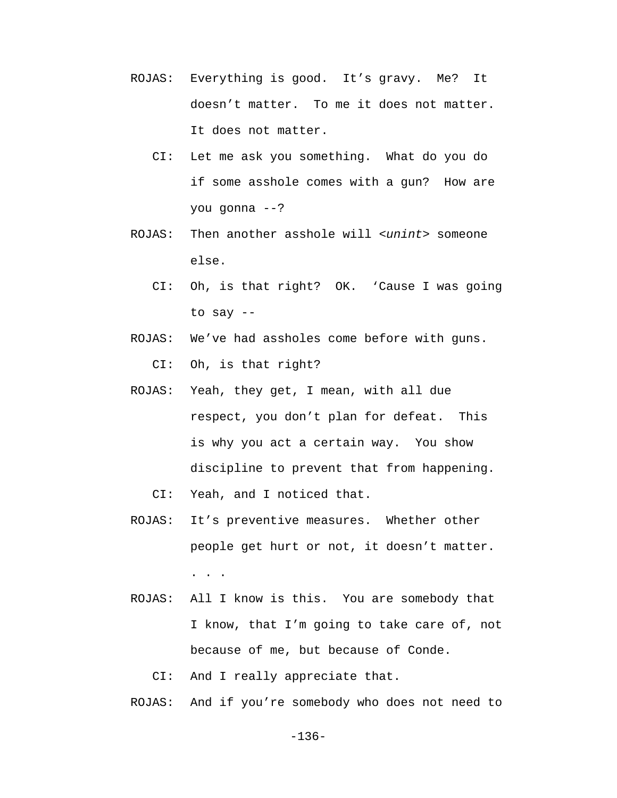- ROJAS: Everything is good. It's gravy. Me? It doesn't matter. To me it does not matter. It does not matter.
	- CI: Let me ask you something. What do you do if some asshole comes with a gun? How are you gonna --?
- ROJAS: Then another asshole will *<unint>* someone else.
	- CI: Oh, is that right? OK. 'Cause I was going to say --
- ROJAS: We've had assholes come before with guns. CI: Oh, is that right?
- ROJAS: Yeah, they get, I mean, with all due respect, you don't plan for defeat. This is why you act a certain way. You show discipline to prevent that from happening.
	- CI: Yeah, and I noticed that.
- ROJAS: It's preventive measures. Whether other people get hurt or not, it doesn't matter. . . .
- ROJAS: All I know is this. You are somebody that I know, that I'm going to take care of, not because of me, but because of Conde.

CI: And I really appreciate that.

ROJAS: And if you're somebody who does not need to

-136-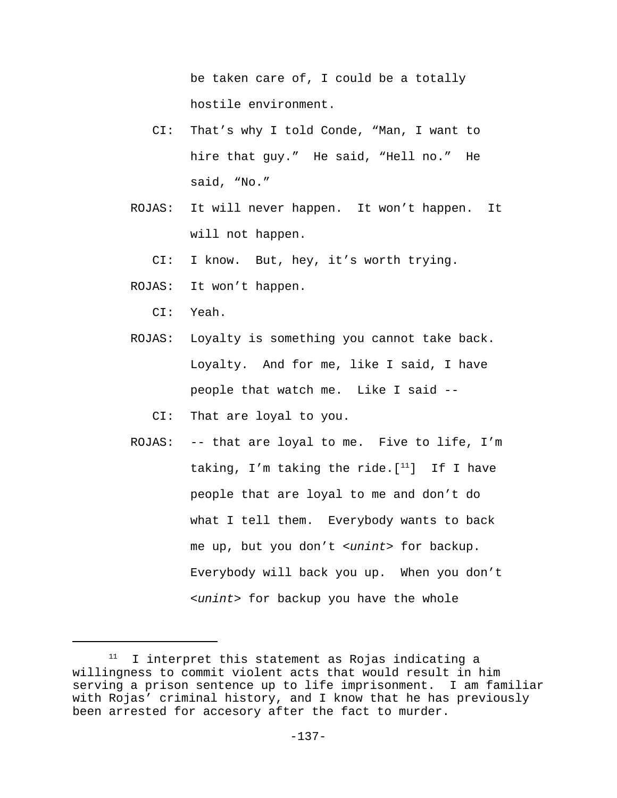be taken care of, I could be a totally hostile environment.

- CI: That's why I told Conde, "Man, I want to hire that guy." He said, "Hell no." He said, "No."
- ROJAS: It will never happen. It won't happen. It will not happen.

CI: I know. But, hey, it's worth trying.

ROJAS: It won't happen.

CI: Yeah.

 ROJAS: Loyalty is something you cannot take back. Loyalty. And for me, like I said, I have people that watch me. Like I said --

CI: That are loyal to you.

 ROJAS: -- that are loyal to me. Five to life, I'm taking, I'm taking the ride.  $[11]$  If I have people that are loyal to me and don't do what I tell them. Everybody wants to back me up, but you don't *<unint>* for backup. Everybody will back you up. When you don't *<unint>* for backup you have the whole

 $11$  I interpret this statement as Rojas indicating a willingness to commit violent acts that would result in him serving a prison sentence up to life imprisonment. I am familiar with Rojas' criminal history, and I know that he has previously been arrested for accesory after the fact to murder.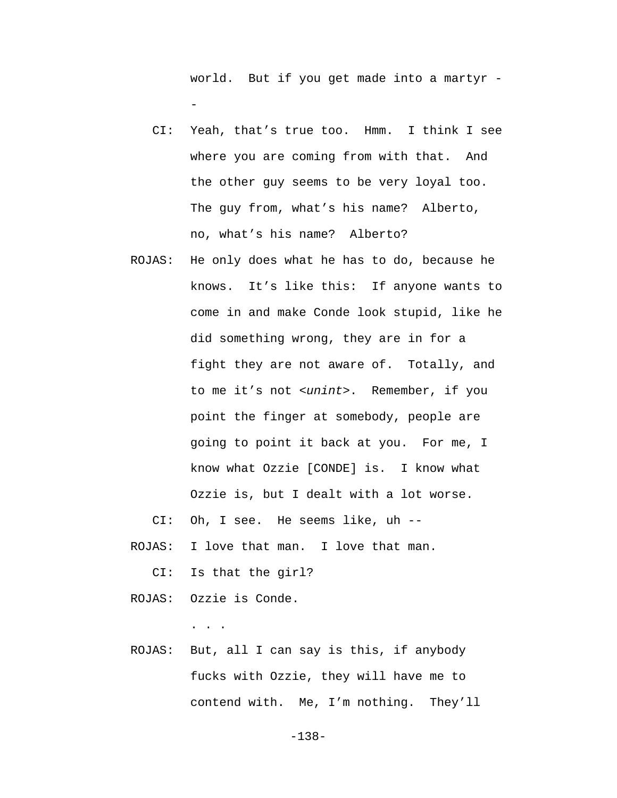world. But if you get made into a martyr - -

- CI: Yeah, that's true too. Hmm. I think I see where you are coming from with that. And the other guy seems to be very loyal too. The guy from, what's his name? Alberto, no, what's his name? Alberto?
- ROJAS: He only does what he has to do, because he knows. It's like this: If anyone wants to come in and make Conde look stupid, like he did something wrong, they are in for a fight they are not aware of. Totally, and to me it's not *<unint>*. Remember, if you point the finger at somebody, people are going to point it back at you. For me, I know what Ozzie [CONDE] is. I know what Ozzie is, but I dealt with a lot worse.

CI: Oh, I see. He seems like, uh --

ROJAS: I love that man. I love that man.

CI: Is that the girl?

ROJAS: Ozzie is Conde.

. . .

 ROJAS: But, all I can say is this, if anybody fucks with Ozzie, they will have me to contend with. Me, I'm nothing. They'll

-138-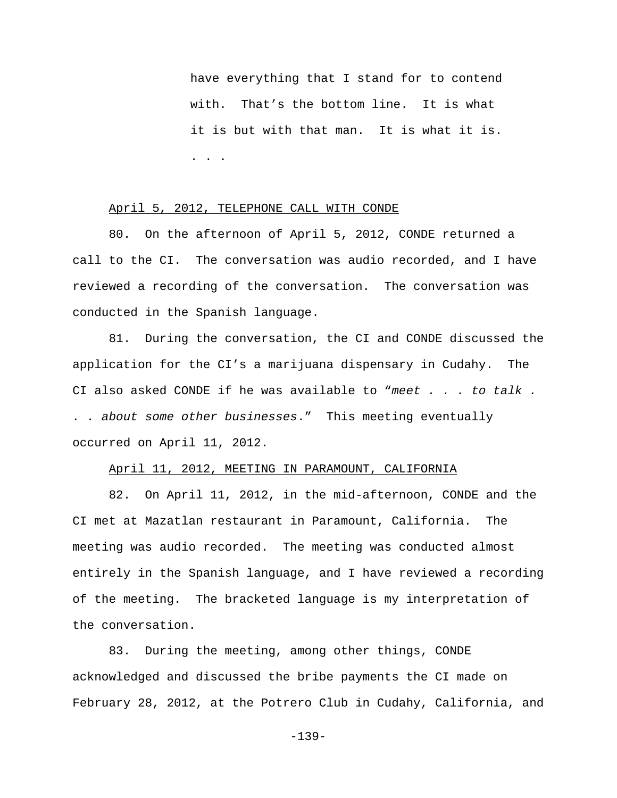have everything that I stand for to contend with. That's the bottom line. It is what it is but with that man. It is what it is. . . .

#### April 5, 2012, TELEPHONE CALL WITH CONDE

80. On the afternoon of April 5, 2012, CONDE returned a call to the CI. The conversation was audio recorded, and I have reviewed a recording of the conversation. The conversation was conducted in the Spanish language.

81. During the conversation, the CI and CONDE discussed the application for the CI's a marijuana dispensary in Cudahy. The CI also asked CONDE if he was available to "*meet . . . to talk . . . about some other businesses*." This meeting eventually occurred on April 11, 2012.

#### April 11, 2012, MEETING IN PARAMOUNT, CALIFORNIA

82. On April 11, 2012, in the mid-afternoon, CONDE and the CI met at Mazatlan restaurant in Paramount, California. The meeting was audio recorded. The meeting was conducted almost entirely in the Spanish language, and I have reviewed a recording of the meeting. The bracketed language is my interpretation of the conversation.

83. During the meeting, among other things, CONDE acknowledged and discussed the bribe payments the CI made on February 28, 2012, at the Potrero Club in Cudahy, California, and

-139-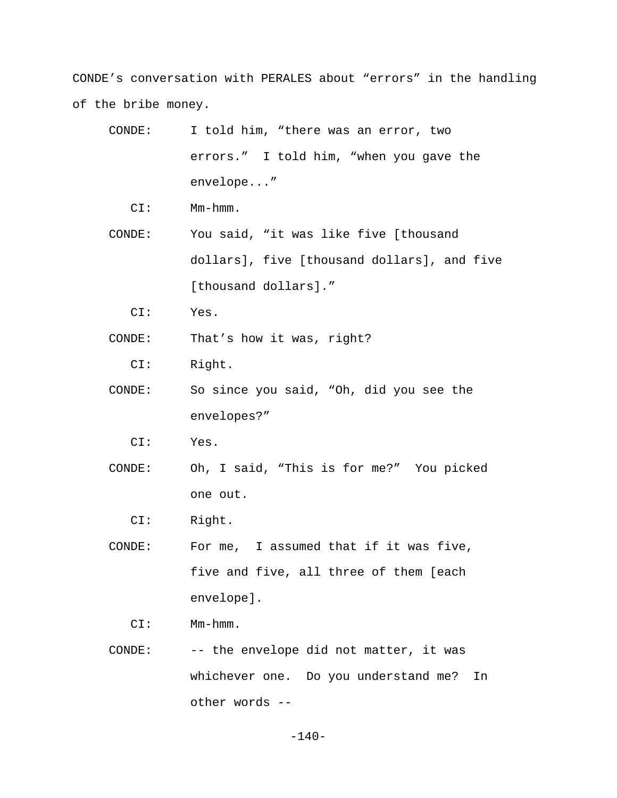CONDE's conversation with PERALES about "errors" in the handling of the bribe money.

- CONDE: I told him, "there was an error, two errors." I told him, "when you gave the envelope..."
	- CI: Mm-hmm.
- CONDE: You said, "it was like five [thousand dollars], five [thousand dollars], and five [thousand dollars]."
	- CI: Yes.
- CONDE: That's how it was, right?
	- CI: Right.
- CONDE: So since you said, "Oh, did you see the envelopes?"
	- CI: Yes.
- CONDE: Oh, I said, "This is for me?" You picked one out.
	- CI: Right.
- CONDE: For me, I assumed that if it was five, five and five, all three of them [each envelope].
	- CI: Mm-hmm.
- CONDE: -- the envelope did not matter, it was whichever one. Do you understand me? In other words --

-140-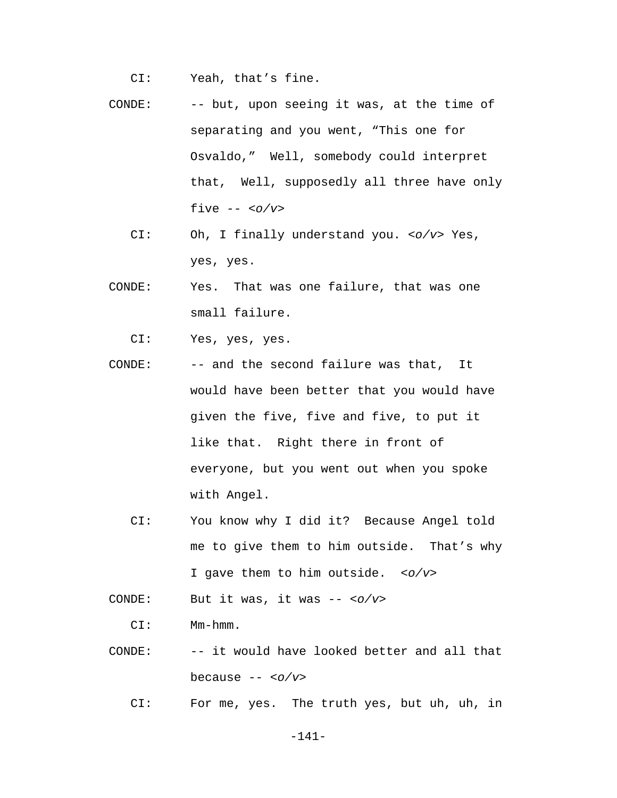- CI: Yeah, that's fine.
- CONDE: -- but, upon seeing it was, at the time of separating and you went, "This one for Osvaldo," Well, somebody could interpret that, Well, supposedly all three have only five *-- <o/v>*
	- CI: Oh, I finally understand you. *<o/v>* Yes, yes, yes.
- CONDE: Yes. That was one failure, that was one small failure.
	- CI: Yes, yes, yes.
- CONDE: -- and the second failure was that, It would have been better that you would have given the five, five and five, to put it like that. Right there in front of everyone, but you went out when you spoke with Angel.
	- CI: You know why I did it? Because Angel told me to give them to him outside. That's why I gave them to him outside. *<o/v>*

CONDE: But it was, it was -- *<o/v>*

CI: Mm-hmm.

- CONDE: -- it would have looked better and all that because -- *<o/v>*
	- CI: For me, yes. The truth yes, but uh, uh, in

-141-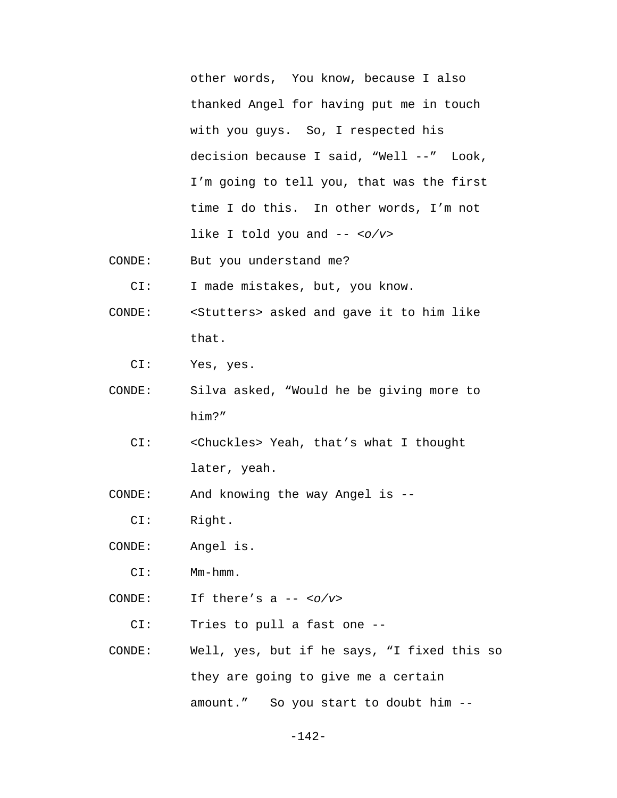other words, You know, because I also thanked Angel for having put me in touch with you guys. So, I respected his decision because I said, "Well --" Look, I'm going to tell you, that was the first time I do this. In other words, I'm not like I told you and -- *<o/v>*

CONDE: But you understand me?

CI: I made mistakes, but, you know.

- CONDE: <Stutters> asked and gave it to him like that.
	- CI: Yes, yes.
- CONDE: Silva asked, "Would he be giving more to him?"
	- CI: <Chuckles> Yeah, that's what I thought later, yeah.
- CONDE: And knowing the way Angel is --
	- CI: Right.
- CONDE: Angel is.
	- CI: Mm-hmm.
- CONDE: If there's a -- *<o/v>*
	- CI: Tries to pull a fast one --
- CONDE: Well, yes, but if he says, "I fixed this so they are going to give me a certain amount." So you start to doubt him --